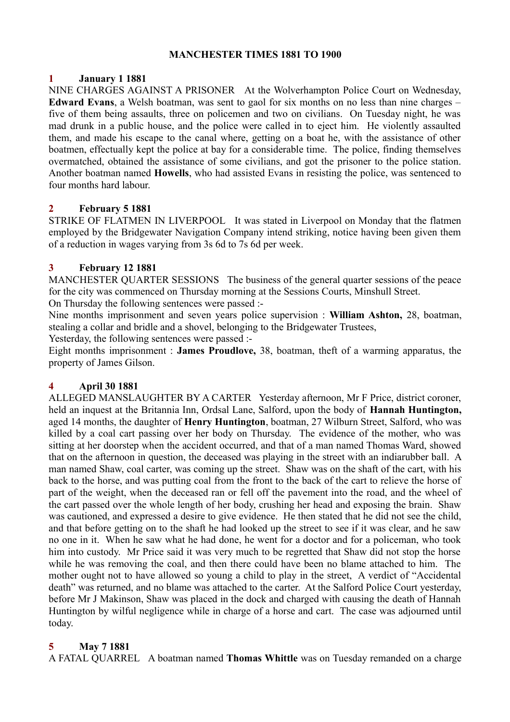## **MANCHESTER TIMES 1881 TO 1900**

# **1 January 1 1881**

NINE CHARGES AGAINST A PRISONER At the Wolverhampton Police Court on Wednesday, **Edward Evans**, a Welsh boatman, was sent to gaol for six months on no less than nine charges – five of them being assaults, three on policemen and two on civilians. On Tuesday night, he was mad drunk in a public house, and the police were called in to eject him. He violently assaulted them, and made his escape to the canal where, getting on a boat he, with the assistance of other boatmen, effectually kept the police at bay for a considerable time. The police, finding themselves overmatched, obtained the assistance of some civilians, and got the prisoner to the police station. Another boatman named **Howells**, who had assisted Evans in resisting the police, was sentenced to four months hard labour.

# **2 February 5 1881**

STRIKE OF FLATMEN IN LIVERPOOL It was stated in Liverpool on Monday that the flatmen employed by the Bridgewater Navigation Company intend striking, notice having been given them of a reduction in wages varying from 3s 6d to 7s 6d per week.

# **3 February 12 1881**

MANCHESTER QUARTER SESSIONS The business of the general quarter sessions of the peace for the city was commenced on Thursday morning at the Sessions Courts, Minshull Street.

On Thursday the following sentences were passed :-

Nine months imprisonment and seven years police supervision : **William Ashton,** 28, boatman, stealing a collar and bridle and a shovel, belonging to the Bridgewater Trustees,

Yesterday, the following sentences were passed :-

Eight months imprisonment : **James Proudlove,** 38, boatman, theft of a warming apparatus, the property of James Gilson.

# **4 April 30 1881**

ALLEGED MANSLAUGHTER BY A CARTER Yesterday afternoon, Mr F Price, district coroner, held an inquest at the Britannia Inn, Ordsal Lane, Salford, upon the body of **Hannah Huntington,** aged 14 months, the daughter of **Henry Huntington**, boatman, 27 Wilburn Street, Salford, who was killed by a coal cart passing over her body on Thursday. The evidence of the mother, who was sitting at her doorstep when the accident occurred, and that of a man named Thomas Ward, showed that on the afternoon in question, the deceased was playing in the street with an indiarubber ball. A man named Shaw, coal carter, was coming up the street. Shaw was on the shaft of the cart, with his back to the horse, and was putting coal from the front to the back of the cart to relieve the horse of part of the weight, when the deceased ran or fell off the pavement into the road, and the wheel of the cart passed over the whole length of her body, crushing her head and exposing the brain. Shaw was cautioned, and expressed a desire to give evidence. He then stated that he did not see the child, and that before getting on to the shaft he had looked up the street to see if it was clear, and he saw no one in it. When he saw what he had done, he went for a doctor and for a policeman, who took him into custody. Mr Price said it was very much to be regretted that Shaw did not stop the horse while he was removing the coal, and then there could have been no blame attached to him. The mother ought not to have allowed so young a child to play in the street, A verdict of "Accidental death" was returned, and no blame was attached to the carter. At the Salford Police Court yesterday, before Mr J Makinson, Shaw was placed in the dock and charged with causing the death of Hannah Huntington by wilful negligence while in charge of a horse and cart. The case was adjourned until today.

# **5 May 7 1881**

A FATAL QUARREL A boatman named **Thomas Whittle** was on Tuesday remanded on a charge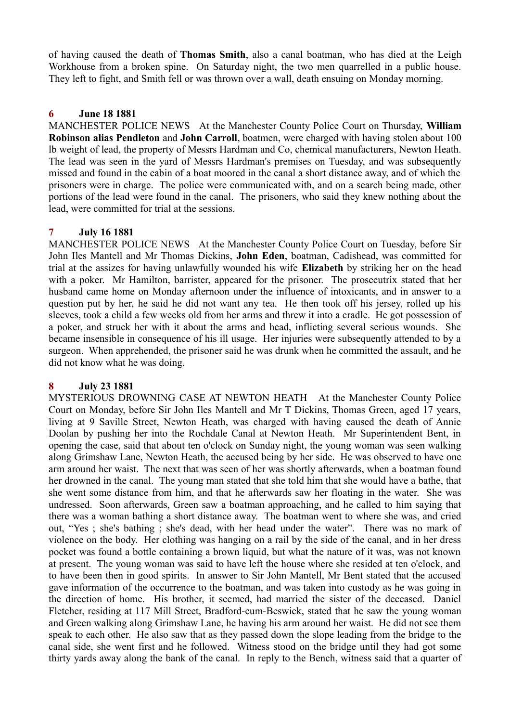of having caused the death of **Thomas Smith**, also a canal boatman, who has died at the Leigh Workhouse from a broken spine. On Saturday night, the two men quarrelled in a public house. They left to fight, and Smith fell or was thrown over a wall, death ensuing on Monday morning.

## **6 June 18 1881**

MANCHESTER POLICE NEWS At the Manchester County Police Court on Thursday, **William Robinson alias Pendleton** and **John Carroll**, boatmen, were charged with having stolen about 100 lb weight of lead, the property of Messrs Hardman and Co, chemical manufacturers, Newton Heath. The lead was seen in the yard of Messrs Hardman's premises on Tuesday, and was subsequently missed and found in the cabin of a boat moored in the canal a short distance away, and of which the prisoners were in charge. The police were communicated with, and on a search being made, other portions of the lead were found in the canal. The prisoners, who said they knew nothing about the lead, were committed for trial at the sessions.

## **7 July 16 1881**

MANCHESTER POLICE NEWS At the Manchester County Police Court on Tuesday, before Sir John Iles Mantell and Mr Thomas Dickins, **John Eden**, boatman, Cadishead, was committed for trial at the assizes for having unlawfully wounded his wife **Elizabeth** by striking her on the head with a poker. Mr Hamilton, barrister, appeared for the prisoner. The prosecutrix stated that her husband came home on Monday afternoon under the influence of intoxicants, and in answer to a question put by her, he said he did not want any tea. He then took off his jersey, rolled up his sleeves, took a child a few weeks old from her arms and threw it into a cradle. He got possession of a poker, and struck her with it about the arms and head, inflicting several serious wounds. She became insensible in consequence of his ill usage. Her injuries were subsequently attended to by a surgeon. When apprehended, the prisoner said he was drunk when he committed the assault, and he did not know what he was doing.

# **8 July 23 1881**

MYSTERIOUS DROWNING CASE AT NEWTON HEATH At the Manchester County Police Court on Monday, before Sir John Iles Mantell and Mr T Dickins, Thomas Green, aged 17 years, living at 9 Saville Street, Newton Heath, was charged with having caused the death of Annie Doolan by pushing her into the Rochdale Canal at Newton Heath. Mr Superintendent Bent, in opening the case, said that about ten o'clock on Sunday night, the young woman was seen walking along Grimshaw Lane, Newton Heath, the accused being by her side. He was observed to have one arm around her waist. The next that was seen of her was shortly afterwards, when a boatman found her drowned in the canal. The young man stated that she told him that she would have a bathe, that she went some distance from him, and that he afterwards saw her floating in the water. She was undressed. Soon afterwards, Green saw a boatman approaching, and he called to him saying that there was a woman bathing a short distance away. The boatman went to where she was, and cried out, "Yes ; she's bathing ; she's dead, with her head under the water". There was no mark of violence on the body. Her clothing was hanging on a rail by the side of the canal, and in her dress pocket was found a bottle containing a brown liquid, but what the nature of it was, was not known at present. The young woman was said to have left the house where she resided at ten o'clock, and to have been then in good spirits. In answer to Sir John Mantell, Mr Bent stated that the accused gave information of the occurrence to the boatman, and was taken into custody as he was going in the direction of home. His brother, it seemed, had married the sister of the deceased. Daniel Fletcher, residing at 117 Mill Street, Bradford-cum-Beswick, stated that he saw the young woman and Green walking along Grimshaw Lane, he having his arm around her waist. He did not see them speak to each other. He also saw that as they passed down the slope leading from the bridge to the canal side, she went first and he followed. Witness stood on the bridge until they had got some thirty yards away along the bank of the canal. In reply to the Bench, witness said that a quarter of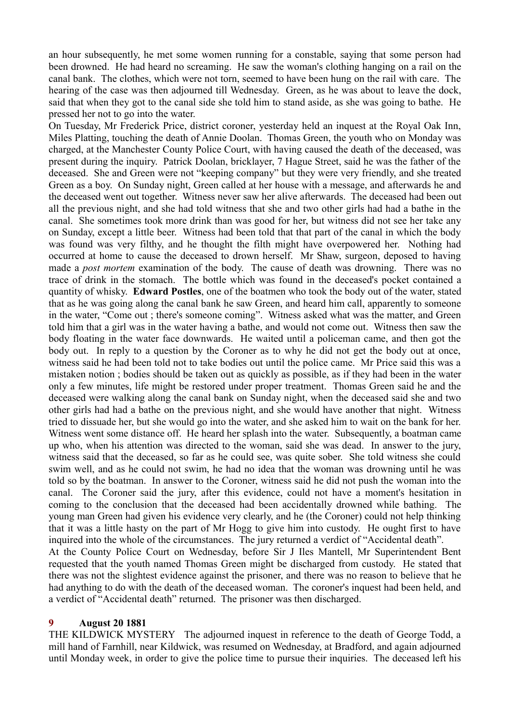an hour subsequently, he met some women running for a constable, saying that some person had been drowned. He had heard no screaming. He saw the woman's clothing hanging on a rail on the canal bank. The clothes, which were not torn, seemed to have been hung on the rail with care. The hearing of the case was then adjourned till Wednesday. Green, as he was about to leave the dock, said that when they got to the canal side she told him to stand aside, as she was going to bathe. He pressed her not to go into the water.

On Tuesday, Mr Frederick Price, district coroner, yesterday held an inquest at the Royal Oak Inn, Miles Platting, touching the death of Annie Doolan. Thomas Green, the youth who on Monday was charged, at the Manchester County Police Court, with having caused the death of the deceased, was present during the inquiry. Patrick Doolan, bricklayer, 7 Hague Street, said he was the father of the deceased. She and Green were not "keeping company" but they were very friendly, and she treated Green as a boy. On Sunday night, Green called at her house with a message, and afterwards he and the deceased went out together. Witness never saw her alive afterwards. The deceased had been out all the previous night, and she had told witness that she and two other girls had had a bathe in the canal. She sometimes took more drink than was good for her, but witness did not see her take any on Sunday, except a little beer. Witness had been told that that part of the canal in which the body was found was very filthy, and he thought the filth might have overpowered her. Nothing had occurred at home to cause the deceased to drown herself. Mr Shaw, surgeon, deposed to having made a *post mortem* examination of the body. The cause of death was drowning. There was no trace of drink in the stomach. The bottle which was found in the deceased's pocket contained a quantity of whisky. **Edward Postles**, one of the boatmen who took the body out of the water, stated that as he was going along the canal bank he saw Green, and heard him call, apparently to someone in the water, "Come out ; there's someone coming". Witness asked what was the matter, and Green told him that a girl was in the water having a bathe, and would not come out. Witness then saw the body floating in the water face downwards. He waited until a policeman came, and then got the body out. In reply to a question by the Coroner as to why he did not get the body out at once, witness said he had been told not to take bodies out until the police came. Mr Price said this was a mistaken notion ; bodies should be taken out as quickly as possible, as if they had been in the water only a few minutes, life might be restored under proper treatment. Thomas Green said he and the deceased were walking along the canal bank on Sunday night, when the deceased said she and two other girls had had a bathe on the previous night, and she would have another that night. Witness tried to dissuade her, but she would go into the water, and she asked him to wait on the bank for her. Witness went some distance off. He heard her splash into the water. Subsequently, a boatman came up who, when his attention was directed to the woman, said she was dead. In answer to the jury, witness said that the deceased, so far as he could see, was quite sober. She told witness she could swim well, and as he could not swim, he had no idea that the woman was drowning until he was told so by the boatman. In answer to the Coroner, witness said he did not push the woman into the canal. The Coroner said the jury, after this evidence, could not have a moment's hesitation in coming to the conclusion that the deceased had been accidentally drowned while bathing. The young man Green had given his evidence very clearly, and he (the Coroner) could not help thinking that it was a little hasty on the part of Mr Hogg to give him into custody. He ought first to have inquired into the whole of the circumstances. The jury returned a verdict of "Accidental death". At the County Police Court on Wednesday, before Sir J Iles Mantell, Mr Superintendent Bent requested that the youth named Thomas Green might be discharged from custody. He stated that there was not the slightest evidence against the prisoner, and there was no reason to believe that he had anything to do with the death of the deceased woman. The coroner's inquest had been held, and a verdict of "Accidental death" returned. The prisoner was then discharged.

#### **9 August 20 1881**

THE KILDWICK MYSTERY The adjourned inquest in reference to the death of George Todd, a mill hand of Farnhill, near Kildwick, was resumed on Wednesday, at Bradford, and again adjourned until Monday week, in order to give the police time to pursue their inquiries. The deceased left his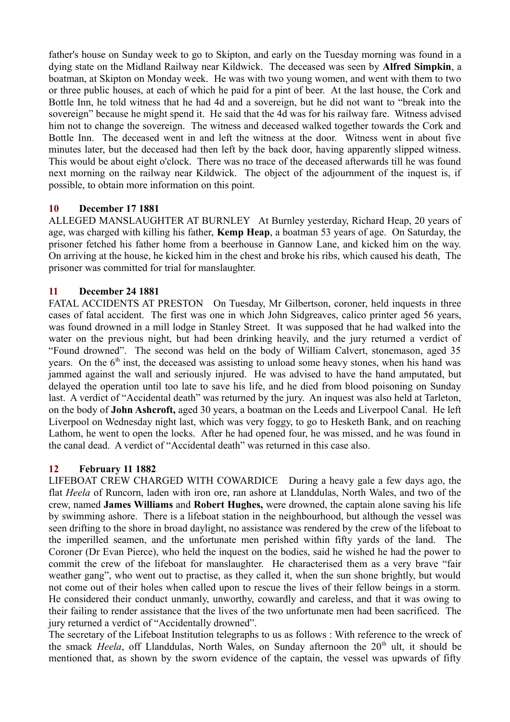father's house on Sunday week to go to Skipton, and early on the Tuesday morning was found in a dying state on the Midland Railway near Kildwick. The deceased was seen by **Alfred Simpkin**, a boatman, at Skipton on Monday week. He was with two young women, and went with them to two or three public houses, at each of which he paid for a pint of beer. At the last house, the Cork and Bottle Inn, he told witness that he had 4d and a sovereign, but he did not want to "break into the sovereign" because he might spend it. He said that the 4d was for his railway fare. Witness advised him not to change the sovereign. The witness and deceased walked together towards the Cork and Bottle Inn. The deceased went in and left the witness at the door. Witness went in about five minutes later, but the deceased had then left by the back door, having apparently slipped witness. This would be about eight o'clock. There was no trace of the deceased afterwards till he was found next morning on the railway near Kildwick. The object of the adjournment of the inquest is, if possible, to obtain more information on this point.

# **10 December 17 1881**

ALLEGED MANSLAUGHTER AT BURNLEY At Burnley yesterday, Richard Heap, 20 years of age, was charged with killing his father, **Kemp Heap**, a boatman 53 years of age. On Saturday, the prisoner fetched his father home from a beerhouse in Gannow Lane, and kicked him on the way. On arriving at the house, he kicked him in the chest and broke his ribs, which caused his death, The prisoner was committed for trial for manslaughter.

## **11 December 24 1881**

FATAL ACCIDENTS AT PRESTON On Tuesday, Mr Gilbertson, coroner, held inquests in three cases of fatal accident. The first was one in which John Sidgreaves, calico printer aged 56 years, was found drowned in a mill lodge in Stanley Street. It was supposed that he had walked into the water on the previous night, but had been drinking heavily, and the jury returned a verdict of "Found drowned". The second was held on the body of William Calvert, stonemason, aged 35 years. On the  $6<sup>th</sup>$  inst, the deceased was assisting to unload some heavy stones, when his hand was jammed against the wall and seriously injured. He was advised to have the hand amputated, but delayed the operation until too late to save his life, and he died from blood poisoning on Sunday last. A verdict of "Accidental death" was returned by the jury. An inquest was also held at Tarleton, on the body of **John Ashcroft,** aged 30 years, a boatman on the Leeds and Liverpool Canal. He left Liverpool on Wednesday night last, which was very foggy, to go to Hesketh Bank, and on reaching Lathom, he went to open the locks. After he had opened four, he was missed, and he was found in the canal dead. A verdict of "Accidental death" was returned in this case also.

## **12 February 11 1882**

LIFEBOAT CREW CHARGED WITH COWARDICE During a heavy gale a few days ago, the flat *Heela* of Runcorn, laden with iron ore, ran ashore at Llanddulas, North Wales, and two of the crew, named **James Williams** and **Robert Hughes,** were drowned, the captain alone saving his life by swimming ashore. There is a lifeboat station in the neighbourhood, but although the vessel was seen drifting to the shore in broad daylight, no assistance was rendered by the crew of the lifeboat to the imperilled seamen, and the unfortunate men perished within fifty yards of the land. The Coroner (Dr Evan Pierce), who held the inquest on the bodies, said he wished he had the power to commit the crew of the lifeboat for manslaughter. He characterised them as a very brave "fair weather gang", who went out to practise, as they called it, when the sun shone brightly, but would not come out of their holes when called upon to rescue the lives of their fellow beings in a storm. He considered their conduct unmanly, unworthy, cowardly and careless, and that it was owing to their failing to render assistance that the lives of the two unfortunate men had been sacrificed. The jury returned a verdict of "Accidentally drowned".

The secretary of the Lifeboat Institution telegraphs to us as follows : With reference to the wreck of the smack *Heela*, off Llanddulas, North Wales, on Sunday afternoon the 20<sup>th</sup> ult, it should be mentioned that, as shown by the sworn evidence of the captain, the vessel was upwards of fifty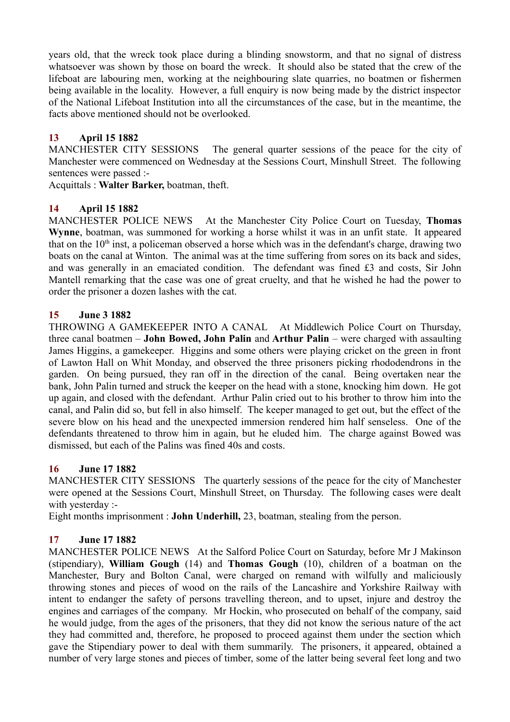years old, that the wreck took place during a blinding snowstorm, and that no signal of distress whatsoever was shown by those on board the wreck. It should also be stated that the crew of the lifeboat are labouring men, working at the neighbouring slate quarries, no boatmen or fishermen being available in the locality. However, a full enquiry is now being made by the district inspector of the National Lifeboat Institution into all the circumstances of the case, but in the meantime, the facts above mentioned should not be overlooked.

# **13 April 15 1882**

MANCHESTER CITY SESSIONS The general quarter sessions of the peace for the city of Manchester were commenced on Wednesday at the Sessions Court, Minshull Street. The following sentences were passed :-

Acquittals : **Walter Barker,** boatman, theft.

# **14 April 15 1882**

MANCHESTER POLICE NEWS At the Manchester City Police Court on Tuesday, **Thomas Wynne**, boatman, was summoned for working a horse whilst it was in an unfit state. It appeared that on the  $10<sup>th</sup>$  inst, a policeman observed a horse which was in the defendant's charge, drawing two boats on the canal at Winton. The animal was at the time suffering from sores on its back and sides, and was generally in an emaciated condition. The defendant was fined £3 and costs, Sir John Mantell remarking that the case was one of great cruelty, and that he wished he had the power to order the prisoner a dozen lashes with the cat.

# **15 June 3 1882**

THROWING A GAMEKEEPER INTO A CANAL At Middlewich Police Court on Thursday, three canal boatmen – **John Bowed, John Palin** and **Arthur Palin** – were charged with assaulting James Higgins, a gamekeeper. Higgins and some others were playing cricket on the green in front of Lawton Hall on Whit Monday, and observed the three prisoners picking rhododendrons in the garden. On being pursued, they ran off in the direction of the canal. Being overtaken near the bank, John Palin turned and struck the keeper on the head with a stone, knocking him down. He got up again, and closed with the defendant. Arthur Palin cried out to his brother to throw him into the canal, and Palin did so, but fell in also himself. The keeper managed to get out, but the effect of the severe blow on his head and the unexpected immersion rendered him half senseless. One of the defendants threatened to throw him in again, but he eluded him. The charge against Bowed was dismissed, but each of the Palins was fined 40s and costs.

# **16 June 17 1882**

MANCHESTER CITY SESSIONS The quarterly sessions of the peace for the city of Manchester were opened at the Sessions Court, Minshull Street, on Thursday. The following cases were dealt with yesterday :-

Eight months imprisonment : **John Underhill,** 23, boatman, stealing from the person.

# **17 June 17 1882**

MANCHESTER POLICE NEWS At the Salford Police Court on Saturday, before Mr J Makinson (stipendiary), **William Gough** (14) and **Thomas Gough** (10), children of a boatman on the Manchester, Bury and Bolton Canal, were charged on remand with wilfully and maliciously throwing stones and pieces of wood on the rails of the Lancashire and Yorkshire Railway with intent to endanger the safety of persons travelling thereon, and to upset, injure and destroy the engines and carriages of the company. Mr Hockin, who prosecuted on behalf of the company, said he would judge, from the ages of the prisoners, that they did not know the serious nature of the act they had committed and, therefore, he proposed to proceed against them under the section which gave the Stipendiary power to deal with them summarily. The prisoners, it appeared, obtained a number of very large stones and pieces of timber, some of the latter being several feet long and two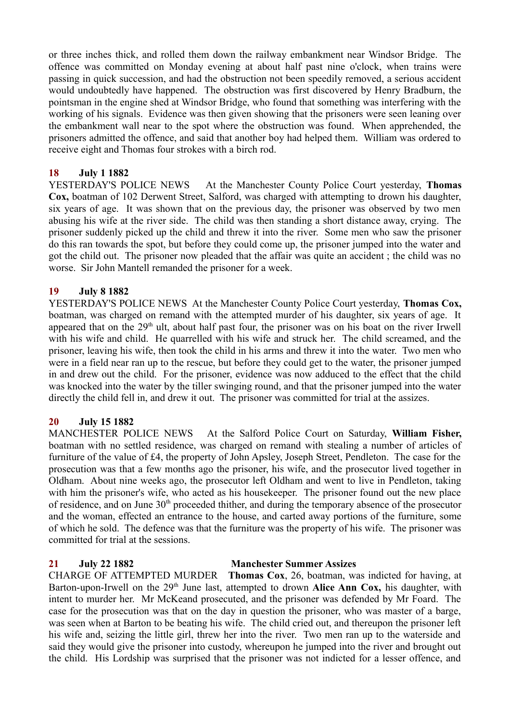or three inches thick, and rolled them down the railway embankment near Windsor Bridge. The offence was committed on Monday evening at about half past nine o'clock, when trains were passing in quick succession, and had the obstruction not been speedily removed, a serious accident would undoubtedly have happened. The obstruction was first discovered by Henry Bradburn, the pointsman in the engine shed at Windsor Bridge, who found that something was interfering with the working of his signals. Evidence was then given showing that the prisoners were seen leaning over the embankment wall near to the spot where the obstruction was found. When apprehended, the prisoners admitted the offence, and said that another boy had helped them. William was ordered to receive eight and Thomas four strokes with a birch rod.

## **18 July 1 1882**

YESTERDAY'S POLICE NEWS At the Manchester County Police Court yesterday, **Thomas Cox,** boatman of 102 Derwent Street, Salford, was charged with attempting to drown his daughter, six years of age. It was shown that on the previous day, the prisoner was observed by two men abusing his wife at the river side. The child was then standing a short distance away, crying. The prisoner suddenly picked up the child and threw it into the river. Some men who saw the prisoner do this ran towards the spot, but before they could come up, the prisoner jumped into the water and got the child out. The prisoner now pleaded that the affair was quite an accident ; the child was no worse. Sir John Mantell remanded the prisoner for a week.

## **19 July 8 1882**

YESTERDAY'S POLICE NEWS At the Manchester County Police Court yesterday, **Thomas Cox,** boatman, was charged on remand with the attempted murder of his daughter, six years of age. It appeared that on the 29<sup>th</sup> ult, about half past four, the prisoner was on his boat on the river Irwell with his wife and child. He quarrelled with his wife and struck her. The child screamed, and the prisoner, leaving his wife, then took the child in his arms and threw it into the water. Two men who were in a field near ran up to the rescue, but before they could get to the water, the prisoner jumped in and drew out the child. For the prisoner, evidence was now adduced to the effect that the child was knocked into the water by the tiller swinging round, and that the prisoner jumped into the water directly the child fell in, and drew it out. The prisoner was committed for trial at the assizes.

## **20 July 15 1882**

MANCHESTER POLICE NEWS At the Salford Police Court on Saturday, **William Fisher,** boatman with no settled residence, was charged on remand with stealing a number of articles of furniture of the value of £4, the property of John Apsley, Joseph Street, Pendleton. The case for the prosecution was that a few months ago the prisoner, his wife, and the prosecutor lived together in Oldham. About nine weeks ago, the prosecutor left Oldham and went to live in Pendleton, taking with him the prisoner's wife, who acted as his housekeeper. The prisoner found out the new place of residence, and on June 30th proceeded thither, and during the temporary absence of the prosecutor and the woman, effected an entrance to the house, and carted away portions of the furniture, some of which he sold. The defence was that the furniture was the property of his wife. The prisoner was committed for trial at the sessions.

#### **21 July 22 1882 Manchester Summer Assizes**

CHARGE OF ATTEMPTED MURDER **Thomas Cox**, 26, boatman, was indicted for having, at Barton-upon-Irwell on the 29<sup>th</sup> June last, attempted to drown **Alice Ann Cox,** his daughter, with intent to murder her. Mr McKeand prosecuted, and the prisoner was defended by Mr Foard. The case for the prosecution was that on the day in question the prisoner, who was master of a barge, was seen when at Barton to be beating his wife. The child cried out, and thereupon the prisoner left his wife and, seizing the little girl, threw her into the river. Two men ran up to the waterside and said they would give the prisoner into custody, whereupon he jumped into the river and brought out the child. His Lordship was surprised that the prisoner was not indicted for a lesser offence, and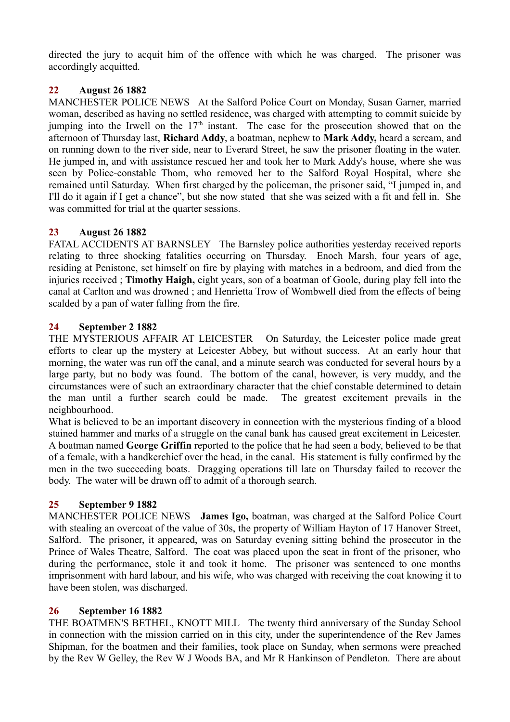directed the jury to acquit him of the offence with which he was charged. The prisoner was accordingly acquitted.

# **22 August 26 1882**

MANCHESTER POLICE NEWS At the Salford Police Court on Monday, Susan Garner, married woman, described as having no settled residence, was charged with attempting to commit suicide by jumping into the Irwell on the  $17<sup>th</sup>$  instant. The case for the prosecution showed that on the afternoon of Thursday last, **Richard Addy**, a boatman, nephew to **Mark Addy,** heard a scream, and on running down to the river side, near to Everard Street, he saw the prisoner floating in the water. He jumped in, and with assistance rescued her and took her to Mark Addy's house, where she was seen by Police-constable Thom, who removed her to the Salford Royal Hospital, where she remained until Saturday. When first charged by the policeman, the prisoner said, "I jumped in, and I'll do it again if I get a chance", but she now stated that she was seized with a fit and fell in. She was committed for trial at the quarter sessions.

# **23 August 26 1882**

FATAL ACCIDENTS AT BARNSLEY The Barnsley police authorities yesterday received reports relating to three shocking fatalities occurring on Thursday. Enoch Marsh, four years of age, residing at Penistone, set himself on fire by playing with matches in a bedroom, and died from the injuries received ; **Timothy Haigh,** eight years, son of a boatman of Goole, during play fell into the canal at Carlton and was drowned ; and Henrietta Trow of Wombwell died from the effects of being scalded by a pan of water falling from the fire.

# **24 September 2 1882**

THE MYSTERIOUS AFFAIR AT LEICESTER On Saturday, the Leicester police made great efforts to clear up the mystery at Leicester Abbey, but without success. At an early hour that morning, the water was run off the canal, and a minute search was conducted for several hours by a large party, but no body was found. The bottom of the canal, however, is very muddy, and the circumstances were of such an extraordinary character that the chief constable determined to detain the man until a further search could be made. The greatest excitement prevails in the neighbourhood.

What is believed to be an important discovery in connection with the mysterious finding of a blood stained hammer and marks of a struggle on the canal bank has caused great excitement in Leicester. A boatman named **George Griffin** reported to the police that he had seen a body, believed to be that of a female, with a handkerchief over the head, in the canal. His statement is fully confirmed by the men in the two succeeding boats. Dragging operations till late on Thursday failed to recover the body. The water will be drawn off to admit of a thorough search.

# **25 September 9 1882**

MANCHESTER POLICE NEWS **James Igo,** boatman, was charged at the Salford Police Court with stealing an overcoat of the value of 30s, the property of William Hayton of 17 Hanover Street, Salford. The prisoner, it appeared, was on Saturday evening sitting behind the prosecutor in the Prince of Wales Theatre, Salford. The coat was placed upon the seat in front of the prisoner, who during the performance, stole it and took it home. The prisoner was sentenced to one months imprisonment with hard labour, and his wife, who was charged with receiving the coat knowing it to have been stolen, was discharged.

# **26 September 16 1882**

THE BOATMEN'S BETHEL, KNOTT MILL The twenty third anniversary of the Sunday School in connection with the mission carried on in this city, under the superintendence of the Rev James Shipman, for the boatmen and their families, took place on Sunday, when sermons were preached by the Rev W Gelley, the Rev W J Woods BA, and Mr R Hankinson of Pendleton. There are about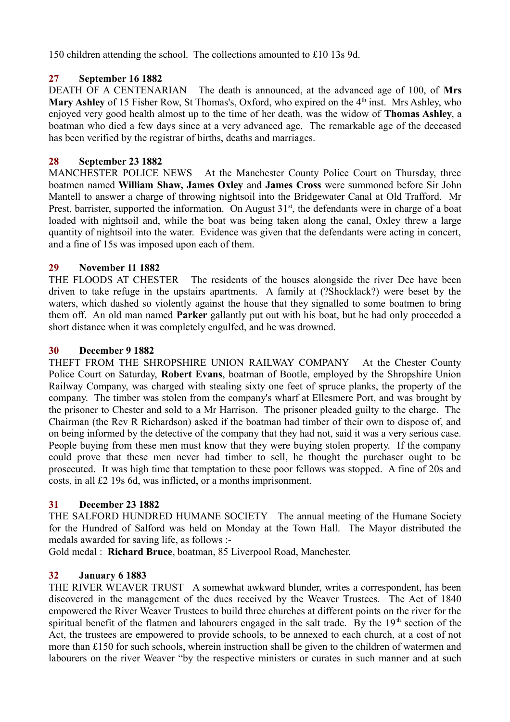150 children attending the school. The collections amounted to £10 13s 9d.

# **27 September 16 1882**

DEATH OF A CENTENARIAN The death is announced, at the advanced age of 100, of **Mrs Mary Ashley** of 15 Fisher Row, St Thomas's, Oxford, who expired on the 4<sup>th</sup> inst. Mrs Ashley, who enjoyed very good health almost up to the time of her death, was the widow of **Thomas Ashley**, a boatman who died a few days since at a very advanced age. The remarkable age of the deceased has been verified by the registrar of births, deaths and marriages.

# **28 September 23 1882**

MANCHESTER POLICE NEWS At the Manchester County Police Court on Thursday, three boatmen named **William Shaw, James Oxley** and **James Cross** were summoned before Sir John Mantell to answer a charge of throwing nightsoil into the Bridgewater Canal at Old Trafford. Mr Prest, barrister, supported the information. On August  $31<sup>st</sup>$ , the defendants were in charge of a boat loaded with nightsoil and, while the boat was being taken along the canal, Oxley threw a large quantity of nightsoil into the water. Evidence was given that the defendants were acting in concert, and a fine of 15s was imposed upon each of them.

# **29 November 11 1882**

THE FLOODS AT CHESTER The residents of the houses alongside the river Dee have been driven to take refuge in the upstairs apartments. A family at (?Shocklack?) were beset by the waters, which dashed so violently against the house that they signalled to some boatmen to bring them off. An old man named **Parker** gallantly put out with his boat, but he had only proceeded a short distance when it was completely engulfed, and he was drowned.

# **30 December 9 1882**

THEFT FROM THE SHROPSHIRE UNION RAILWAY COMPANY At the Chester County Police Court on Saturday, **Robert Evans**, boatman of Bootle, employed by the Shropshire Union Railway Company, was charged with stealing sixty one feet of spruce planks, the property of the company. The timber was stolen from the company's wharf at Ellesmere Port, and was brought by the prisoner to Chester and sold to a Mr Harrison. The prisoner pleaded guilty to the charge. The Chairman (the Rev R Richardson) asked if the boatman had timber of their own to dispose of, and on being informed by the detective of the company that they had not, said it was a very serious case. People buying from these men must know that they were buying stolen property. If the company could prove that these men never had timber to sell, he thought the purchaser ought to be prosecuted. It was high time that temptation to these poor fellows was stopped. A fine of 20s and costs, in all £2 19s 6d, was inflicted, or a months imprisonment.

# **31 December 23 1882**

THE SALFORD HUNDRED HUMANE SOCIETY The annual meeting of the Humane Society for the Hundred of Salford was held on Monday at the Town Hall. The Mayor distributed the medals awarded for saving life, as follows :-

Gold medal : **Richard Bruce**, boatman, 85 Liverpool Road, Manchester.

# **32 January 6 1883**

THE RIVER WEAVER TRUST A somewhat awkward blunder, writes a correspondent, has been discovered in the management of the dues received by the Weaver Trustees. The Act of 1840 empowered the River Weaver Trustees to build three churches at different points on the river for the spiritual benefit of the flatmen and labourers engaged in the salt trade. By the 19<sup>th</sup> section of the Act, the trustees are empowered to provide schools, to be annexed to each church, at a cost of not more than £150 for such schools, wherein instruction shall be given to the children of watermen and labourers on the river Weaver "by the respective ministers or curates in such manner and at such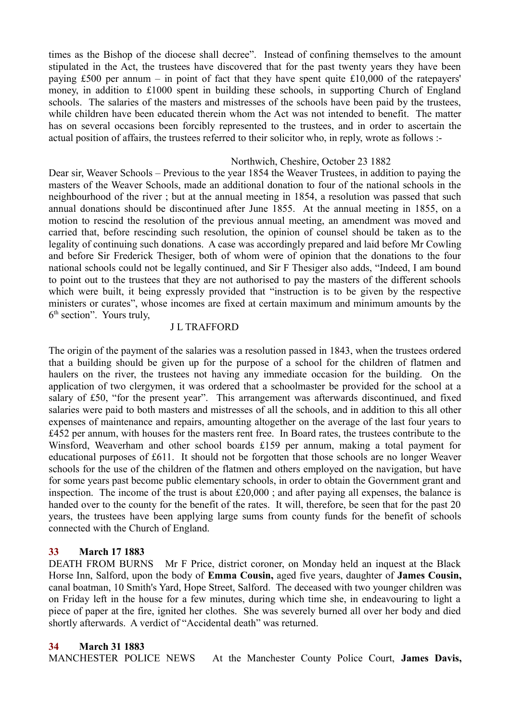times as the Bishop of the diocese shall decree". Instead of confining themselves to the amount stipulated in the Act, the trustees have discovered that for the past twenty years they have been paying £500 per annum – in point of fact that they have spent quite £10,000 of the ratepayers' money, in addition to £1000 spent in building these schools, in supporting Church of England schools. The salaries of the masters and mistresses of the schools have been paid by the trustees, while children have been educated therein whom the Act was not intended to benefit. The matter has on several occasions been forcibly represented to the trustees, and in order to ascertain the actual position of affairs, the trustees referred to their solicitor who, in reply, wrote as follows :-

## Northwich, Cheshire, October 23 1882

Dear sir, Weaver Schools – Previous to the year 1854 the Weaver Trustees, in addition to paying the masters of the Weaver Schools, made an additional donation to four of the national schools in the neighbourhood of the river ; but at the annual meeting in 1854, a resolution was passed that such annual donations should be discontinued after June 1855. At the annual meeting in 1855, on a motion to rescind the resolution of the previous annual meeting, an amendment was moved and carried that, before rescinding such resolution, the opinion of counsel should be taken as to the legality of continuing such donations. A case was accordingly prepared and laid before Mr Cowling and before Sir Frederick Thesiger, both of whom were of opinion that the donations to the four national schools could not be legally continued, and Sir F Thesiger also adds, "Indeed, I am bound to point out to the trustees that they are not authorised to pay the masters of the different schools which were built, it being expressly provided that "instruction is to be given by the respective ministers or curates", whose incomes are fixed at certain maximum and minimum amounts by the 6<sup>th</sup> section". Yours truly,

## J L TRAFFORD

The origin of the payment of the salaries was a resolution passed in 1843, when the trustees ordered that a building should be given up for the purpose of a school for the children of flatmen and haulers on the river, the trustees not having any immediate occasion for the building. On the application of two clergymen, it was ordered that a schoolmaster be provided for the school at a salary of £50, "for the present year". This arrangement was afterwards discontinued, and fixed salaries were paid to both masters and mistresses of all the schools, and in addition to this all other expenses of maintenance and repairs, amounting altogether on the average of the last four years to £452 per annum, with houses for the masters rent free. In Board rates, the trustees contribute to the Winsford, Weaverham and other school boards £159 per annum, making a total payment for educational purposes of £611. It should not be forgotten that those schools are no longer Weaver schools for the use of the children of the flatmen and others employed on the navigation, but have for some years past become public elementary schools, in order to obtain the Government grant and inspection. The income of the trust is about £20,000 ; and after paying all expenses, the balance is handed over to the county for the benefit of the rates. It will, therefore, be seen that for the past 20 years, the trustees have been applying large sums from county funds for the benefit of schools connected with the Church of England.

## **33 March 17 1883**

DEATH FROM BURNS Mr F Price, district coroner, on Monday held an inquest at the Black Horse Inn, Salford, upon the body of **Emma Cousin,** aged five years, daughter of **James Cousin,** canal boatman, 10 Smith's Yard, Hope Street, Salford. The deceased with two younger children was on Friday left in the house for a few minutes, during which time she, in endeavouring to light a piece of paper at the fire, ignited her clothes. She was severely burned all over her body and died shortly afterwards. A verdict of "Accidental death" was returned.

## **34 March 31 1883**

MANCHESTER POLICE NEWS At the Manchester County Police Court, **James Davis,**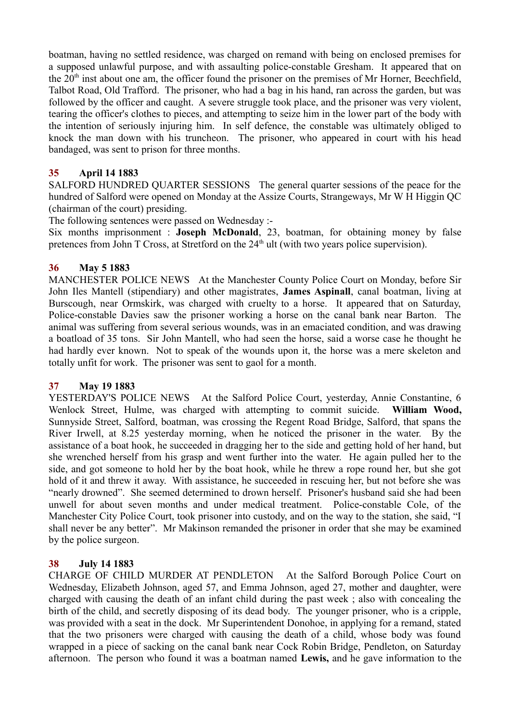boatman, having no settled residence, was charged on remand with being on enclosed premises for a supposed unlawful purpose, and with assaulting police-constable Gresham. It appeared that on the  $20<sup>th</sup>$  inst about one am, the officer found the prisoner on the premises of Mr Horner, Beechfield, Talbot Road, Old Trafford. The prisoner, who had a bag in his hand, ran across the garden, but was followed by the officer and caught. A severe struggle took place, and the prisoner was very violent, tearing the officer's clothes to pieces, and attempting to seize him in the lower part of the body with the intention of seriously injuring him. In self defence, the constable was ultimately obliged to knock the man down with his truncheon. The prisoner, who appeared in court with his head bandaged, was sent to prison for three months.

# **35 April 14 1883**

SALFORD HUNDRED QUARTER SESSIONS The general quarter sessions of the peace for the hundred of Salford were opened on Monday at the Assize Courts, Strangeways, Mr W H Higgin QC (chairman of the court) presiding.

The following sentences were passed on Wednesday :-

Six months imprisonment : **Joseph McDonald**, 23, boatman, for obtaining money by false pretences from John T Cross, at Stretford on the 24<sup>th</sup> ult (with two years police supervision).

# **36 May 5 1883**

MANCHESTER POLICE NEWS At the Manchester County Police Court on Monday, before Sir John Iles Mantell (stipendiary) and other magistrates, **James Aspinall**, canal boatman, living at Burscough, near Ormskirk, was charged with cruelty to a horse. It appeared that on Saturday, Police-constable Davies saw the prisoner working a horse on the canal bank near Barton. The animal was suffering from several serious wounds, was in an emaciated condition, and was drawing a boatload of 35 tons. Sir John Mantell, who had seen the horse, said a worse case he thought he had hardly ever known. Not to speak of the wounds upon it, the horse was a mere skeleton and totally unfit for work. The prisoner was sent to gaol for a month.

## **37 May 19 1883**

YESTERDAY'S POLICE NEWS At the Salford Police Court, yesterday, Annie Constantine, 6 Wenlock Street, Hulme, was charged with attempting to commit suicide. **William Wood,** Sunnyside Street, Salford, boatman, was crossing the Regent Road Bridge, Salford, that spans the River Irwell, at 8.25 yesterday morning, when he noticed the prisoner in the water. By the assistance of a boat hook, he succeeded in dragging her to the side and getting hold of her hand, but she wrenched herself from his grasp and went further into the water. He again pulled her to the side, and got someone to hold her by the boat hook, while he threw a rope round her, but she got hold of it and threw it away. With assistance, he succeeded in rescuing her, but not before she was "nearly drowned". She seemed determined to drown herself. Prisoner's husband said she had been unwell for about seven months and under medical treatment. Police-constable Cole, of the Manchester City Police Court, took prisoner into custody, and on the way to the station, she said, "I shall never be any better". Mr Makinson remanded the prisoner in order that she may be examined by the police surgeon.

## **38 July 14 1883**

CHARGE OF CHILD MURDER AT PENDLETON At the Salford Borough Police Court on Wednesday, Elizabeth Johnson, aged 57, and Emma Johnson, aged 27, mother and daughter, were charged with causing the death of an infant child during the past week ; also with concealing the birth of the child, and secretly disposing of its dead body. The younger prisoner, who is a cripple, was provided with a seat in the dock. Mr Superintendent Donohoe, in applying for a remand, stated that the two prisoners were charged with causing the death of a child, whose body was found wrapped in a piece of sacking on the canal bank near Cock Robin Bridge, Pendleton, on Saturday afternoon. The person who found it was a boatman named **Lewis,** and he gave information to the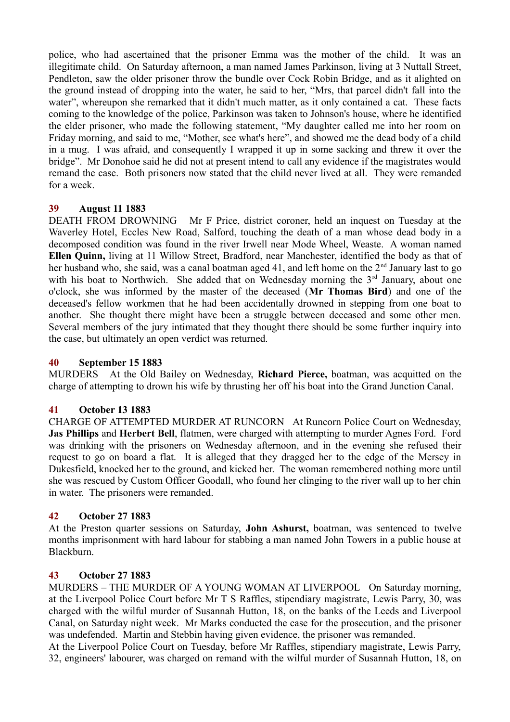police, who had ascertained that the prisoner Emma was the mother of the child. It was an illegitimate child. On Saturday afternoon, a man named James Parkinson, living at 3 Nuttall Street, Pendleton, saw the older prisoner throw the bundle over Cock Robin Bridge, and as it alighted on the ground instead of dropping into the water, he said to her, "Mrs, that parcel didn't fall into the water", whereupon she remarked that it didn't much matter, as it only contained a cat. These facts coming to the knowledge of the police, Parkinson was taken to Johnson's house, where he identified the elder prisoner, who made the following statement, "My daughter called me into her room on Friday morning, and said to me, "Mother, see what's here", and showed me the dead body of a child in a mug. I was afraid, and consequently I wrapped it up in some sacking and threw it over the bridge". Mr Donohoe said he did not at present intend to call any evidence if the magistrates would remand the case. Both prisoners now stated that the child never lived at all. They were remanded for a week.

# **39 August 11 1883**

DEATH FROM DROWNING Mr F Price, district coroner, held an inquest on Tuesday at the Waverley Hotel, Eccles New Road, Salford, touching the death of a man whose dead body in a decomposed condition was found in the river Irwell near Mode Wheel, Weaste. A woman named **Ellen Quinn,** living at 11 Willow Street, Bradford, near Manchester, identified the body as that of her husband who, she said, was a canal boatman aged 41, and left home on the  $2<sup>nd</sup>$  January last to go with his boat to Northwich. She added that on Wednesday morning the  $3<sup>rd</sup>$  January, about one o'clock, she was informed by the master of the deceased (**Mr Thomas Bird**) and one of the deceased's fellow workmen that he had been accidentally drowned in stepping from one boat to another. She thought there might have been a struggle between deceased and some other men. Several members of the jury intimated that they thought there should be some further inquiry into the case, but ultimately an open verdict was returned.

# **40 September 15 1883**

MURDERS At the Old Bailey on Wednesday, **Richard Pierce,** boatman, was acquitted on the charge of attempting to drown his wife by thrusting her off his boat into the Grand Junction Canal.

# **41 October 13 1883**

CHARGE OF ATTEMPTED MURDER AT RUNCORN At Runcorn Police Court on Wednesday, **Jas Phillips** and **Herbert Bell**, flatmen, were charged with attempting to murder Agnes Ford. Ford was drinking with the prisoners on Wednesday afternoon, and in the evening she refused their request to go on board a flat. It is alleged that they dragged her to the edge of the Mersey in Dukesfield, knocked her to the ground, and kicked her. The woman remembered nothing more until she was rescued by Custom Officer Goodall, who found her clinging to the river wall up to her chin in water. The prisoners were remanded.

# **42 October 27 1883**

At the Preston quarter sessions on Saturday, **John Ashurst,** boatman, was sentenced to twelve months imprisonment with hard labour for stabbing a man named John Towers in a public house at Blackburn.

## **43 October 27 1883**

MURDERS – THE MURDER OF A YOUNG WOMAN AT LIVERPOOL On Saturday morning, at the Liverpool Police Court before Mr T S Raffles, stipendiary magistrate, Lewis Parry, 30, was charged with the wilful murder of Susannah Hutton, 18, on the banks of the Leeds and Liverpool Canal, on Saturday night week. Mr Marks conducted the case for the prosecution, and the prisoner was undefended. Martin and Stebbin having given evidence, the prisoner was remanded.

At the Liverpool Police Court on Tuesday, before Mr Raffles, stipendiary magistrate, Lewis Parry, 32, engineers' labourer, was charged on remand with the wilful murder of Susannah Hutton, 18, on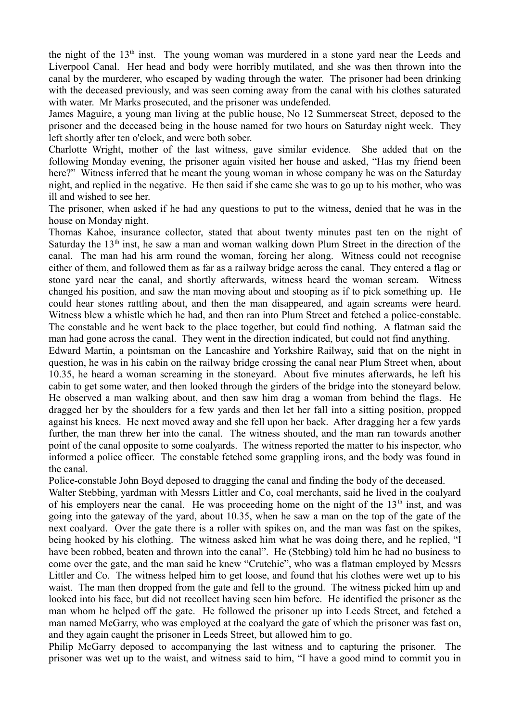the night of the  $13<sup>th</sup>$  inst. The young woman was murdered in a stone yard near the Leeds and Liverpool Canal. Her head and body were horribly mutilated, and she was then thrown into the canal by the murderer, who escaped by wading through the water. The prisoner had been drinking with the deceased previously, and was seen coming away from the canal with his clothes saturated with water. Mr Marks prosecuted, and the prisoner was undefended.

James Maguire, a young man living at the public house, No 12 Summerseat Street, deposed to the prisoner and the deceased being in the house named for two hours on Saturday night week. They left shortly after ten o'clock, and were both sober.

Charlotte Wright, mother of the last witness, gave similar evidence. She added that on the following Monday evening, the prisoner again visited her house and asked, "Has my friend been here?" Witness inferred that he meant the young woman in whose company he was on the Saturday night, and replied in the negative. He then said if she came she was to go up to his mother, who was ill and wished to see her.

The prisoner, when asked if he had any questions to put to the witness, denied that he was in the house on Monday night.

Thomas Kahoe, insurance collector, stated that about twenty minutes past ten on the night of Saturday the  $13<sup>th</sup>$  inst, he saw a man and woman walking down Plum Street in the direction of the canal. The man had his arm round the woman, forcing her along. Witness could not recognise either of them, and followed them as far as a railway bridge across the canal. They entered a flag or stone yard near the canal, and shortly afterwards, witness heard the woman scream. Witness changed his position, and saw the man moving about and stooping as if to pick something up. He could hear stones rattling about, and then the man disappeared, and again screams were heard. Witness blew a whistle which he had, and then ran into Plum Street and fetched a police-constable. The constable and he went back to the place together, but could find nothing. A flatman said the man had gone across the canal. They went in the direction indicated, but could not find anything.

Edward Martin, a pointsman on the Lancashire and Yorkshire Railway, said that on the night in question, he was in his cabin on the railway bridge crossing the canal near Plum Street when, about 10.35, he heard a woman screaming in the stoneyard. About five minutes afterwards, he left his cabin to get some water, and then looked through the girders of the bridge into the stoneyard below. He observed a man walking about, and then saw him drag a woman from behind the flags. He dragged her by the shoulders for a few yards and then let her fall into a sitting position, propped against his knees. He next moved away and she fell upon her back. After dragging her a few yards further, the man threw her into the canal. The witness shouted, and the man ran towards another point of the canal opposite to some coalyards. The witness reported the matter to his inspector, who informed a police officer. The constable fetched some grappling irons, and the body was found in the canal.

Police-constable John Boyd deposed to dragging the canal and finding the body of the deceased.

Walter Stebbing, yardman with Messrs Littler and Co, coal merchants, said he lived in the coalyard of his employers near the canal. He was proceeding home on the night of the  $13<sup>th</sup>$  inst, and was going into the gateway of the yard, about 10.35, when he saw a man on the top of the gate of the next coalyard. Over the gate there is a roller with spikes on, and the man was fast on the spikes, being hooked by his clothing. The witness asked him what he was doing there, and he replied, "I have been robbed, beaten and thrown into the canal". He (Stebbing) told him he had no business to come over the gate, and the man said he knew "Crutchie", who was a flatman employed by Messrs Littler and Co. The witness helped him to get loose, and found that his clothes were wet up to his waist. The man then dropped from the gate and fell to the ground. The witness picked him up and looked into his face, but did not recollect having seen him before. He identified the prisoner as the man whom he helped off the gate. He followed the prisoner up into Leeds Street, and fetched a man named McGarry, who was employed at the coalyard the gate of which the prisoner was fast on, and they again caught the prisoner in Leeds Street, but allowed him to go.

Philip McGarry deposed to accompanying the last witness and to capturing the prisoner. The prisoner was wet up to the waist, and witness said to him, "I have a good mind to commit you in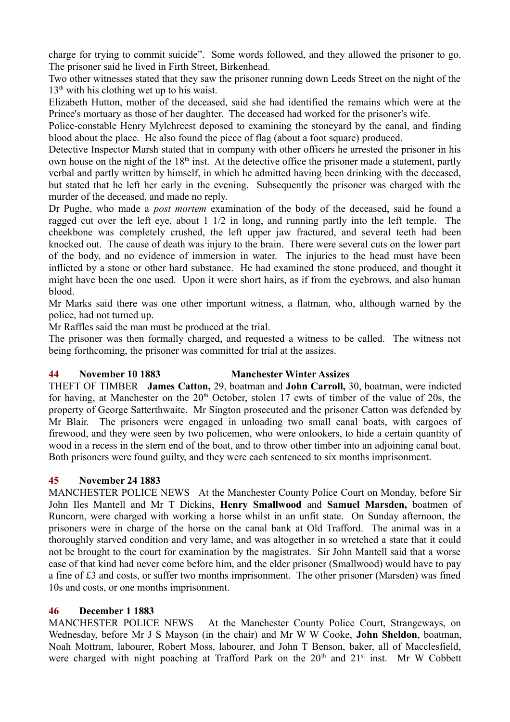charge for trying to commit suicide". Some words followed, and they allowed the prisoner to go. The prisoner said he lived in Firth Street, Birkenhead.

Two other witnesses stated that they saw the prisoner running down Leeds Street on the night of the  $13<sup>th</sup>$  with his clothing wet up to his waist.

Elizabeth Hutton, mother of the deceased, said she had identified the remains which were at the Prince's mortuary as those of her daughter. The deceased had worked for the prisoner's wife.

Police-constable Henry Mylchreest deposed to examining the stoneyard by the canal, and finding blood about the place. He also found the piece of flag (about a foot square) produced.

Detective Inspector Marsh stated that in company with other officers he arrested the prisoner in his own house on the night of the  $18<sup>th</sup>$  inst. At the detective office the prisoner made a statement, partly verbal and partly written by himself, in which he admitted having been drinking with the deceased, but stated that he left her early in the evening. Subsequently the prisoner was charged with the murder of the deceased, and made no reply.

Dr Pughe, who made a *post mortem* examination of the body of the deceased, said he found a ragged cut over the left eye, about 1 1/2 in long, and running partly into the left temple. The cheekbone was completely crushed, the left upper jaw fractured, and several teeth had been knocked out. The cause of death was injury to the brain. There were several cuts on the lower part of the body, and no evidence of immersion in water. The injuries to the head must have been inflicted by a stone or other hard substance. He had examined the stone produced, and thought it might have been the one used. Upon it were short hairs, as if from the eyebrows, and also human blood.

Mr Marks said there was one other important witness, a flatman, who, although warned by the police, had not turned up.

Mr Raffles said the man must be produced at the trial.

The prisoner was then formally charged, and requested a witness to be called. The witness not being forthcoming, the prisoner was committed for trial at the assizes.

# **44 November 10 1883 Manchester Winter Assizes**

THEFT OF TIMBER **James Catton,** 29, boatman and **John Carroll,** 30, boatman, were indicted for having, at Manchester on the  $20<sup>th</sup>$  October, stolen 17 cwts of timber of the value of 20s, the property of George Satterthwaite. Mr Sington prosecuted and the prisoner Catton was defended by Mr Blair. The prisoners were engaged in unloading two small canal boats, with cargoes of firewood, and they were seen by two policemen, who were onlookers, to hide a certain quantity of wood in a recess in the stern end of the boat, and to throw other timber into an adjoining canal boat. Both prisoners were found guilty, and they were each sentenced to six months imprisonment.

# **45 November 24 1883**

MANCHESTER POLICE NEWS At the Manchester County Police Court on Monday, before Sir John Iles Mantell and Mr T Dickins, **Henry Smallwood** and **Samuel Marsden,** boatmen of Runcorn, were charged with working a horse whilst in an unfit state. On Sunday afternoon, the prisoners were in charge of the horse on the canal bank at Old Trafford. The animal was in a thoroughly starved condition and very lame, and was altogether in so wretched a state that it could not be brought to the court for examination by the magistrates. Sir John Mantell said that a worse case of that kind had never come before him, and the elder prisoner (Smallwood) would have to pay a fine of £3 and costs, or suffer two months imprisonment. The other prisoner (Marsden) was fined 10s and costs, or one months imprisonment.

## **46 December 1 1883**

MANCHESTER POLICE NEWS At the Manchester County Police Court, Strangeways, on Wednesday, before Mr J S Mayson (in the chair) and Mr W W Cooke, **John Sheldon**, boatman, Noah Mottram, labourer, Robert Moss, labourer, and John T Benson, baker, all of Macclesfield, were charged with night poaching at Trafford Park on the  $20<sup>th</sup>$  and  $21<sup>st</sup>$  inst. Mr W Cobbett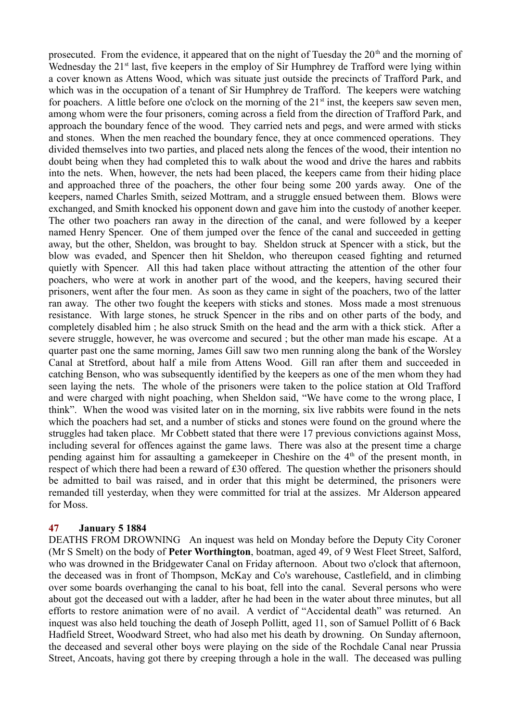prosecuted. From the evidence, it appeared that on the night of Tuesday the  $20<sup>th</sup>$  and the morning of Wednesday the 21<sup>st</sup> last, five keepers in the employ of Sir Humphrey de Trafford were lying within a cover known as Attens Wood, which was situate just outside the precincts of Trafford Park, and which was in the occupation of a tenant of Sir Humphrey de Trafford. The keepers were watching for poachers. A little before one o'clock on the morning of the  $21<sup>st</sup>$  inst, the keepers saw seven men, among whom were the four prisoners, coming across a field from the direction of Trafford Park, and approach the boundary fence of the wood. They carried nets and pegs, and were armed with sticks and stones. When the men reached the boundary fence, they at once commenced operations. They divided themselves into two parties, and placed nets along the fences of the wood, their intention no doubt being when they had completed this to walk about the wood and drive the hares and rabbits into the nets. When, however, the nets had been placed, the keepers came from their hiding place and approached three of the poachers, the other four being some 200 yards away. One of the keepers, named Charles Smith, seized Mottram, and a struggle ensued between them. Blows were exchanged, and Smith knocked his opponent down and gave him into the custody of another keeper. The other two poachers ran away in the direction of the canal, and were followed by a keeper named Henry Spencer. One of them jumped over the fence of the canal and succeeded in getting away, but the other, Sheldon, was brought to bay. Sheldon struck at Spencer with a stick, but the blow was evaded, and Spencer then hit Sheldon, who thereupon ceased fighting and returned quietly with Spencer. All this had taken place without attracting the attention of the other four poachers, who were at work in another part of the wood, and the keepers, having secured their prisoners, went after the four men. As soon as they came in sight of the poachers, two of the latter ran away. The other two fought the keepers with sticks and stones. Moss made a most strenuous resistance. With large stones, he struck Spencer in the ribs and on other parts of the body, and completely disabled him ; he also struck Smith on the head and the arm with a thick stick. After a severe struggle, however, he was overcome and secured ; but the other man made his escape. At a quarter past one the same morning, James Gill saw two men running along the bank of the Worsley Canal at Stretford, about half a mile from Attens Wood. Gill ran after them and succeeded in catching Benson, who was subsequently identified by the keepers as one of the men whom they had seen laying the nets. The whole of the prisoners were taken to the police station at Old Trafford and were charged with night poaching, when Sheldon said, "We have come to the wrong place, I think". When the wood was visited later on in the morning, six live rabbits were found in the nets which the poachers had set, and a number of sticks and stones were found on the ground where the struggles had taken place. Mr Cobbett stated that there were 17 previous convictions against Moss, including several for offences against the game laws. There was also at the present time a charge pending against him for assaulting a gamekeeper in Cheshire on the  $4<sup>th</sup>$  of the present month, in respect of which there had been a reward of £30 offered. The question whether the prisoners should be admitted to bail was raised, and in order that this might be determined, the prisoners were remanded till yesterday, when they were committed for trial at the assizes. Mr Alderson appeared for Moss.

# **47 January 5 1884**

DEATHS FROM DROWNING An inquest was held on Monday before the Deputy City Coroner (Mr S Smelt) on the body of **Peter Worthington**, boatman, aged 49, of 9 West Fleet Street, Salford, who was drowned in the Bridgewater Canal on Friday afternoon. About two o'clock that afternoon, the deceased was in front of Thompson, McKay and Co's warehouse, Castlefield, and in climbing over some boards overhanging the canal to his boat, fell into the canal. Several persons who were about got the deceased out with a ladder, after he had been in the water about three minutes, but all efforts to restore animation were of no avail. A verdict of "Accidental death" was returned. An inquest was also held touching the death of Joseph Pollitt, aged 11, son of Samuel Pollitt of 6 Back Hadfield Street, Woodward Street, who had also met his death by drowning. On Sunday afternoon, the deceased and several other boys were playing on the side of the Rochdale Canal near Prussia Street, Ancoats, having got there by creeping through a hole in the wall. The deceased was pulling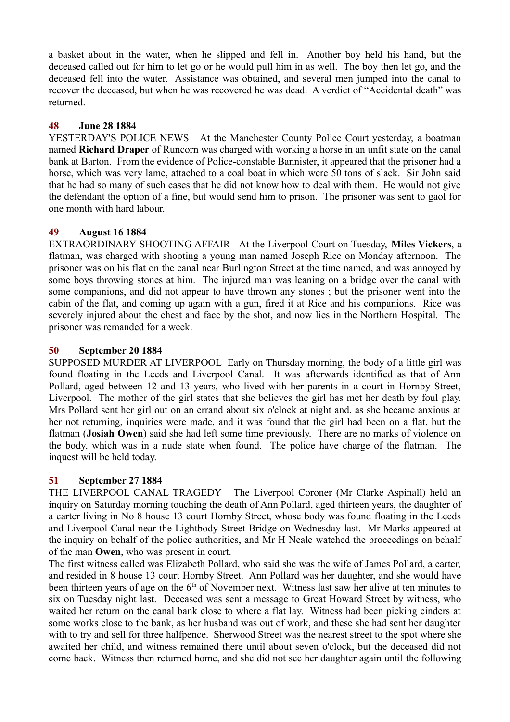a basket about in the water, when he slipped and fell in. Another boy held his hand, but the deceased called out for him to let go or he would pull him in as well. The boy then let go, and the deceased fell into the water. Assistance was obtained, and several men jumped into the canal to recover the deceased, but when he was recovered he was dead. A verdict of "Accidental death" was returned.

# **48 June 28 1884**

YESTERDAY'S POLICE NEWS At the Manchester County Police Court yesterday, a boatman named **Richard Draper** of Runcorn was charged with working a horse in an unfit state on the canal bank at Barton. From the evidence of Police-constable Bannister, it appeared that the prisoner had a horse, which was very lame, attached to a coal boat in which were 50 tons of slack. Sir John said that he had so many of such cases that he did not know how to deal with them. He would not give the defendant the option of a fine, but would send him to prison. The prisoner was sent to gaol for one month with hard labour.

## **49 August 16 1884**

EXTRAORDINARY SHOOTING AFFAIR At the Liverpool Court on Tuesday, **Miles Vickers**, a flatman, was charged with shooting a young man named Joseph Rice on Monday afternoon. The prisoner was on his flat on the canal near Burlington Street at the time named, and was annoyed by some boys throwing stones at him. The injured man was leaning on a bridge over the canal with some companions, and did not appear to have thrown any stones ; but the prisoner went into the cabin of the flat, and coming up again with a gun, fired it at Rice and his companions. Rice was severely injured about the chest and face by the shot, and now lies in the Northern Hospital. The prisoner was remanded for a week.

## **50 September 20 1884**

SUPPOSED MURDER AT LIVERPOOL Early on Thursday morning, the body of a little girl was found floating in the Leeds and Liverpool Canal. It was afterwards identified as that of Ann Pollard, aged between 12 and 13 years, who lived with her parents in a court in Hornby Street, Liverpool. The mother of the girl states that she believes the girl has met her death by foul play. Mrs Pollard sent her girl out on an errand about six o'clock at night and, as she became anxious at her not returning, inquiries were made, and it was found that the girl had been on a flat, but the flatman (**Josiah Owen**) said she had left some time previously. There are no marks of violence on the body, which was in a nude state when found. The police have charge of the flatman. The inquest will be held today.

# **51 September 27 1884**

THE LIVERPOOL CANAL TRAGEDY The Liverpool Coroner (Mr Clarke Aspinall) held an inquiry on Saturday morning touching the death of Ann Pollard, aged thirteen years, the daughter of a carter living in No 8 house 13 court Hornby Street, whose body was found floating in the Leeds and Liverpool Canal near the Lightbody Street Bridge on Wednesday last. Mr Marks appeared at the inquiry on behalf of the police authorities, and Mr H Neale watched the proceedings on behalf of the man **Owen**, who was present in court.

The first witness called was Elizabeth Pollard, who said she was the wife of James Pollard, a carter, and resided in 8 house 13 court Hornby Street. Ann Pollard was her daughter, and she would have been thirteen years of age on the  $6<sup>th</sup>$  of November next. Witness last saw her alive at ten minutes to six on Tuesday night last. Deceased was sent a message to Great Howard Street by witness, who waited her return on the canal bank close to where a flat lay. Witness had been picking cinders at some works close to the bank, as her husband was out of work, and these she had sent her daughter with to try and sell for three halfpence. Sherwood Street was the nearest street to the spot where she awaited her child, and witness remained there until about seven o'clock, but the deceased did not come back. Witness then returned home, and she did not see her daughter again until the following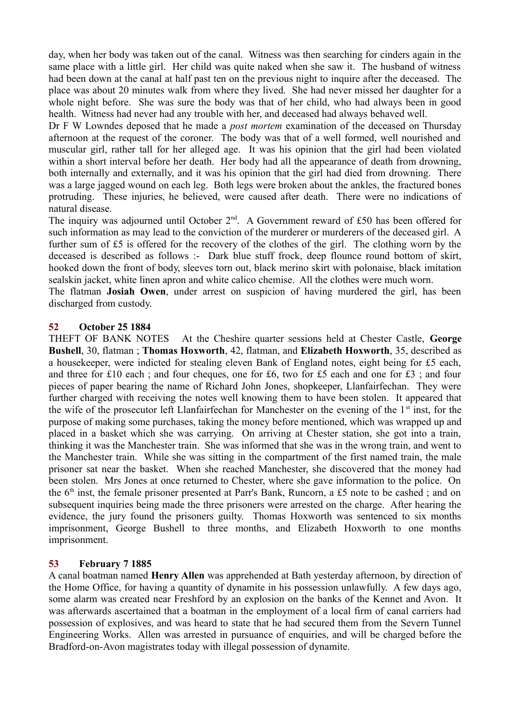day, when her body was taken out of the canal. Witness was then searching for cinders again in the same place with a little girl. Her child was quite naked when she saw it. The husband of witness had been down at the canal at half past ten on the previous night to inquire after the deceased. The place was about 20 minutes walk from where they lived. She had never missed her daughter for a whole night before. She was sure the body was that of her child, who had always been in good health. Witness had never had any trouble with her, and deceased had always behaved well.

Dr F W Lowndes deposed that he made a *post mortem* examination of the deceased on Thursday afternoon at the request of the coroner. The body was that of a well formed, well nourished and muscular girl, rather tall for her alleged age. It was his opinion that the girl had been violated within a short interval before her death. Her body had all the appearance of death from drowning, both internally and externally, and it was his opinion that the girl had died from drowning. There was a large jagged wound on each leg. Both legs were broken about the ankles, the fractured bones protruding. These injuries, he believed, were caused after death. There were no indications of natural disease.

The inquiry was adjourned until October  $2<sup>nd</sup>$ . A Government reward of £50 has been offered for such information as may lead to the conviction of the murderer or murderers of the deceased girl. A further sum of £5 is offered for the recovery of the clothes of the girl. The clothing worn by the deceased is described as follows :- Dark blue stuff frock, deep flounce round bottom of skirt, hooked down the front of body, sleeves torn out, black merino skirt with polonaise, black imitation sealskin jacket, white linen apron and white calico chemise. All the clothes were much worn.

The flatman **Josiah Owen**, under arrest on suspicion of having murdered the girl, has been discharged from custody.

## **52 October 25 1884**

THEFT OF BANK NOTES At the Cheshire quarter sessions held at Chester Castle, **George Bushell**, 30, flatman ; **Thomas Hoxworth**, 42, flatman, and **Elizabeth Hoxworth**, 35, described as a housekeeper, were indicted for stealing eleven Bank of England notes, eight being for £5 each, and three for £10 each ; and four cheques, one for £6, two for £5 each and one for £3 ; and four pieces of paper bearing the name of Richard John Jones, shopkeeper, Llanfairfechan. They were further charged with receiving the notes well knowing them to have been stolen. It appeared that the wife of the prosecutor left Llanfairfechan for Manchester on the evening of the  $1<sup>st</sup>$  inst, for the purpose of making some purchases, taking the money before mentioned, which was wrapped up and placed in a basket which she was carrying. On arriving at Chester station, she got into a train, thinking it was the Manchester train. She was informed that she was in the wrong train, and went to the Manchester train. While she was sitting in the compartment of the first named train, the male prisoner sat near the basket. When she reached Manchester, she discovered that the money had been stolen. Mrs Jones at once returned to Chester, where she gave information to the police. On the 6th inst, the female prisoner presented at Parr's Bank, Runcorn, a £5 note to be cashed ; and on subsequent inquiries being made the three prisoners were arrested on the charge. After hearing the evidence, the jury found the prisoners guilty. Thomas Hoxworth was sentenced to six months imprisonment, George Bushell to three months, and Elizabeth Hoxworth to one months imprisonment.

## **53 February 7 1885**

A canal boatman named **Henry Allen** was apprehended at Bath yesterday afternoon, by direction of the Home Office, for having a quantity of dynamite in his possession unlawfully. A few days ago, some alarm was created near Freshford by an explosion on the banks of the Kennet and Avon. It was afterwards ascertained that a boatman in the employment of a local firm of canal carriers had possession of explosives, and was heard to state that he had secured them from the Severn Tunnel Engineering Works. Allen was arrested in pursuance of enquiries, and will be charged before the Bradford-on-Avon magistrates today with illegal possession of dynamite.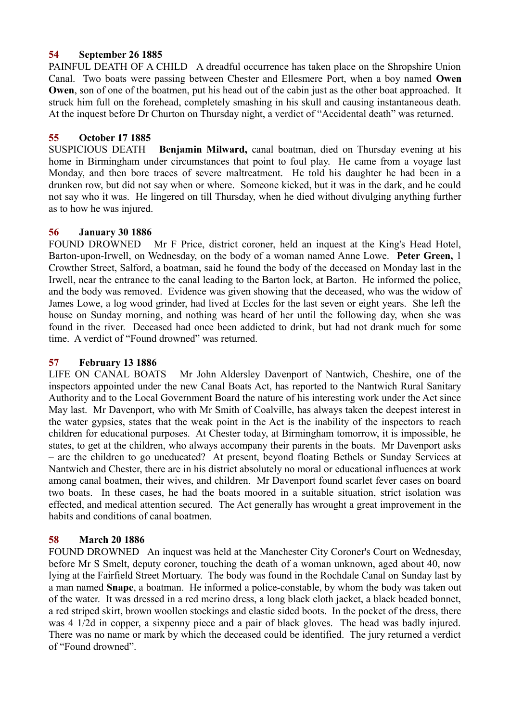## **54 September 26 1885**

PAINFUL DEATH OF A CHILD A dreadful occurrence has taken place on the Shropshire Union Canal. Two boats were passing between Chester and Ellesmere Port, when a boy named **Owen Owen**, son of one of the boatmen, put his head out of the cabin just as the other boat approached. It struck him full on the forehead, completely smashing in his skull and causing instantaneous death. At the inquest before Dr Churton on Thursday night, a verdict of "Accidental death" was returned.

## **55 October 17 1885**

SUSPICIOUS DEATH **Benjamin Milward,** canal boatman, died on Thursday evening at his home in Birmingham under circumstances that point to foul play. He came from a voyage last Monday, and then bore traces of severe maltreatment. He told his daughter he had been in a drunken row, but did not say when or where. Someone kicked, but it was in the dark, and he could not say who it was. He lingered on till Thursday, when he died without divulging anything further as to how he was injured.

## **56 January 30 1886**

FOUND DROWNED Mr F Price, district coroner, held an inquest at the King's Head Hotel, Barton-upon-Irwell, on Wednesday, on the body of a woman named Anne Lowe. **Peter Green,** 1 Crowther Street, Salford, a boatman, said he found the body of the deceased on Monday last in the Irwell, near the entrance to the canal leading to the Barton lock, at Barton. He informed the police, and the body was removed. Evidence was given showing that the deceased, who was the widow of James Lowe, a log wood grinder, had lived at Eccles for the last seven or eight years. She left the house on Sunday morning, and nothing was heard of her until the following day, when she was found in the river. Deceased had once been addicted to drink, but had not drank much for some time. A verdict of "Found drowned" was returned.

## **57 February 13 1886**

LIFE ON CANAL BOATS Mr John Aldersley Davenport of Nantwich, Cheshire, one of the inspectors appointed under the new Canal Boats Act, has reported to the Nantwich Rural Sanitary Authority and to the Local Government Board the nature of his interesting work under the Act since May last. Mr Davenport, who with Mr Smith of Coalville, has always taken the deepest interest in the water gypsies, states that the weak point in the Act is the inability of the inspectors to reach children for educational purposes. At Chester today, at Birmingham tomorrow, it is impossible, he states, to get at the children, who always accompany their parents in the boats. Mr Davenport asks – are the children to go uneducated? At present, beyond floating Bethels or Sunday Services at Nantwich and Chester, there are in his district absolutely no moral or educational influences at work among canal boatmen, their wives, and children. Mr Davenport found scarlet fever cases on board two boats. In these cases, he had the boats moored in a suitable situation, strict isolation was effected, and medical attention secured. The Act generally has wrought a great improvement in the habits and conditions of canal boatmen.

# **58 March 20 1886**

FOUND DROWNED An inquest was held at the Manchester City Coroner's Court on Wednesday, before Mr S Smelt, deputy coroner, touching the death of a woman unknown, aged about 40, now lying at the Fairfield Street Mortuary. The body was found in the Rochdale Canal on Sunday last by a man named **Snape**, a boatman. He informed a police-constable, by whom the body was taken out of the water. It was dressed in a red merino dress, a long black cloth jacket, a black beaded bonnet, a red striped skirt, brown woollen stockings and elastic sided boots. In the pocket of the dress, there was 4 1/2d in copper, a sixpenny piece and a pair of black gloves. The head was badly injured. There was no name or mark by which the deceased could be identified. The jury returned a verdict of "Found drowned".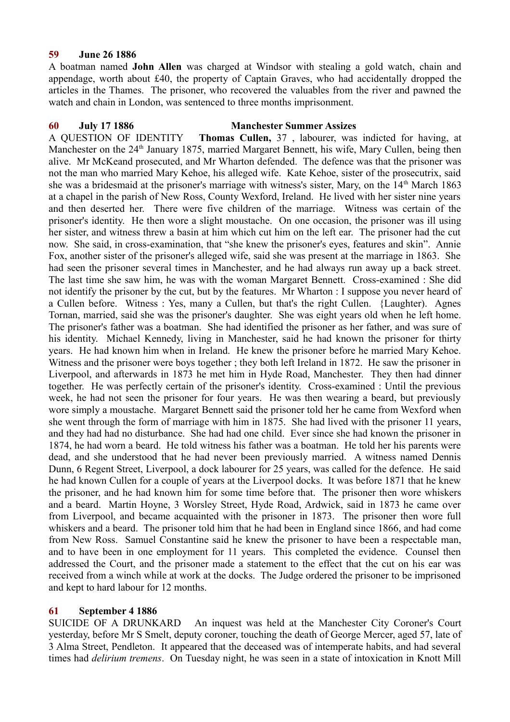## **59 June 26 1886**

A boatman named **John Allen** was charged at Windsor with stealing a gold watch, chain and appendage, worth about £40, the property of Captain Graves, who had accidentally dropped the articles in the Thames. The prisoner, who recovered the valuables from the river and pawned the watch and chain in London, was sentenced to three months imprisonment.

## **60 July 17 1886 Manchester Summer Assizes**

A QUESTION OF IDENTITY **Thomas Cullen,** 37 , labourer, was indicted for having, at Manchester on the 24<sup>th</sup> January 1875, married Margaret Bennett, his wife, Mary Cullen, being then alive. Mr McKeand prosecuted, and Mr Wharton defended. The defence was that the prisoner was not the man who married Mary Kehoe, his alleged wife. Kate Kehoe, sister of the prosecutrix, said she was a bridesmaid at the prisoner's marriage with witness's sister, Mary, on the 14<sup>th</sup> March 1863 at a chapel in the parish of New Ross, County Wexford, Ireland. He lived with her sister nine years and then deserted her. There were five children of the marriage. Witness was certain of the prisoner's identity. He then wore a slight moustache. On one occasion, the prisoner was ill using her sister, and witness threw a basin at him which cut him on the left ear. The prisoner had the cut now. She said, in cross-examination, that "she knew the prisoner's eyes, features and skin". Annie Fox, another sister of the prisoner's alleged wife, said she was present at the marriage in 1863. She had seen the prisoner several times in Manchester, and he had always run away up a back street. The last time she saw him, he was with the woman Margaret Bennett. Cross-examined : She did not identify the prisoner by the cut, but by the features. Mr Wharton : I suppose you never heard of a Cullen before. Witness : Yes, many a Cullen, but that's the right Cullen. {Laughter). Agnes Tornan, married, said she was the prisoner's daughter. She was eight years old when he left home. The prisoner's father was a boatman. She had identified the prisoner as her father, and was sure of his identity. Michael Kennedy, living in Manchester, said he had known the prisoner for thirty years. He had known him when in Ireland. He knew the prisoner before he married Mary Kehoe. Witness and the prisoner were boys together ; they both left Ireland in 1872. He saw the prisoner in Liverpool, and afterwards in 1873 he met him in Hyde Road, Manchester. They then had dinner together. He was perfectly certain of the prisoner's identity. Cross-examined : Until the previous week, he had not seen the prisoner for four years. He was then wearing a beard, but previously wore simply a moustache. Margaret Bennett said the prisoner told her he came from Wexford when she went through the form of marriage with him in 1875. She had lived with the prisoner 11 years, and they had had no disturbance. She had had one child. Ever since she had known the prisoner in 1874, he had worn a beard. He told witness his father was a boatman. He told her his parents were dead, and she understood that he had never been previously married. A witness named Dennis Dunn, 6 Regent Street, Liverpool, a dock labourer for 25 years, was called for the defence. He said he had known Cullen for a couple of years at the Liverpool docks. It was before 1871 that he knew the prisoner, and he had known him for some time before that. The prisoner then wore whiskers and a beard. Martin Hoyne, 3 Worsley Street, Hyde Road, Ardwick, said in 1873 he came over from Liverpool, and became acquainted with the prisoner in 1873. The prisoner then wore full whiskers and a beard. The prisoner told him that he had been in England since 1866, and had come from New Ross. Samuel Constantine said he knew the prisoner to have been a respectable man, and to have been in one employment for 11 years. This completed the evidence. Counsel then addressed the Court, and the prisoner made a statement to the effect that the cut on his ear was received from a winch while at work at the docks. The Judge ordered the prisoner to be imprisoned and kept to hard labour for 12 months.

# **61 September 4 1886**

SUICIDE OF A DRUNKARD An inquest was held at the Manchester City Coroner's Court yesterday, before Mr S Smelt, deputy coroner, touching the death of George Mercer, aged 57, late of 3 Alma Street, Pendleton. It appeared that the deceased was of intemperate habits, and had several times had *delirium tremens*. On Tuesday night, he was seen in a state of intoxication in Knott Mill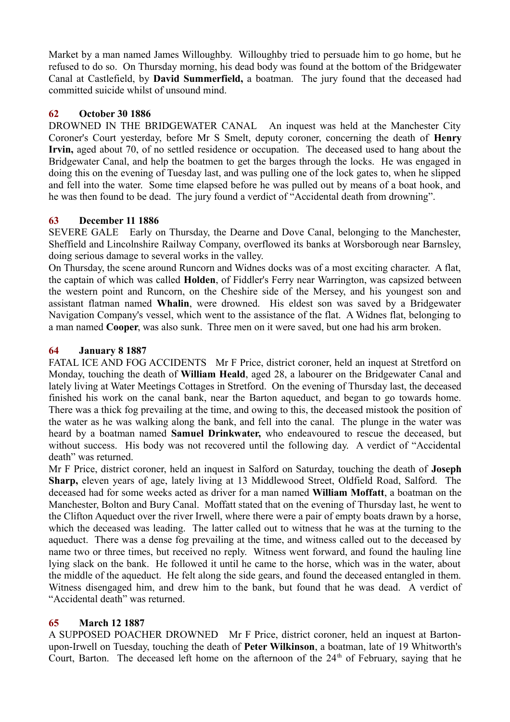Market by a man named James Willoughby. Willoughby tried to persuade him to go home, but he refused to do so. On Thursday morning, his dead body was found at the bottom of the Bridgewater Canal at Castlefield, by **David Summerfield,** a boatman. The jury found that the deceased had committed suicide whilst of unsound mind.

# **62 October 30 1886**

DROWNED IN THE BRIDGEWATER CANAL An inquest was held at the Manchester City Coroner's Court yesterday, before Mr S Smelt, deputy coroner, concerning the death of **Henry Irvin,** aged about 70, of no settled residence or occupation. The deceased used to hang about the Bridgewater Canal, and help the boatmen to get the barges through the locks. He was engaged in doing this on the evening of Tuesday last, and was pulling one of the lock gates to, when he slipped and fell into the water. Some time elapsed before he was pulled out by means of a boat hook, and he was then found to be dead. The jury found a verdict of "Accidental death from drowning".

# **63 December 11 1886**

SEVERE GALE Early on Thursday, the Dearne and Dove Canal, belonging to the Manchester, Sheffield and Lincolnshire Railway Company, overflowed its banks at Worsborough near Barnsley, doing serious damage to several works in the valley.

On Thursday, the scene around Runcorn and Widnes docks was of a most exciting character. A flat, the captain of which was called **Holden**, of Fiddler's Ferry near Warrington, was capsized between the western point and Runcorn, on the Cheshire side of the Mersey, and his youngest son and assistant flatman named **Whalin**, were drowned. His eldest son was saved by a Bridgewater Navigation Company's vessel, which went to the assistance of the flat. A Widnes flat, belonging to a man named **Cooper**, was also sunk. Three men on it were saved, but one had his arm broken.

# **64 January 8 1887**

FATAL ICE AND FOG ACCIDENTS Mr F Price, district coroner, held an inquest at Stretford on Monday, touching the death of **William Heald**, aged 28, a labourer on the Bridgewater Canal and lately living at Water Meetings Cottages in Stretford. On the evening of Thursday last, the deceased finished his work on the canal bank, near the Barton aqueduct, and began to go towards home. There was a thick fog prevailing at the time, and owing to this, the deceased mistook the position of the water as he was walking along the bank, and fell into the canal. The plunge in the water was heard by a boatman named **Samuel Drinkwater,** who endeavoured to rescue the deceased, but without success. His body was not recovered until the following day. A verdict of "Accidental death" was returned.

Mr F Price, district coroner, held an inquest in Salford on Saturday, touching the death of **Joseph Sharp,** eleven years of age, lately living at 13 Middlewood Street, Oldfield Road, Salford. The deceased had for some weeks acted as driver for a man named **William Moffatt**, a boatman on the Manchester, Bolton and Bury Canal. Moffatt stated that on the evening of Thursday last, he went to the Clifton Aqueduct over the river Irwell, where there were a pair of empty boats drawn by a horse, which the deceased was leading. The latter called out to witness that he was at the turning to the aqueduct. There was a dense fog prevailing at the time, and witness called out to the deceased by name two or three times, but received no reply. Witness went forward, and found the hauling line lying slack on the bank. He followed it until he came to the horse, which was in the water, about the middle of the aqueduct. He felt along the side gears, and found the deceased entangled in them. Witness disengaged him, and drew him to the bank, but found that he was dead. A verdict of "Accidental death" was returned.

# **65 March 12 1887**

A SUPPOSED POACHER DROWNED Mr F Price, district coroner, held an inquest at Bartonupon-Irwell on Tuesday, touching the death of **Peter Wilkinson**, a boatman, late of 19 Whitworth's Court, Barton. The deceased left home on the afternoon of the  $24<sup>th</sup>$  of February, saying that he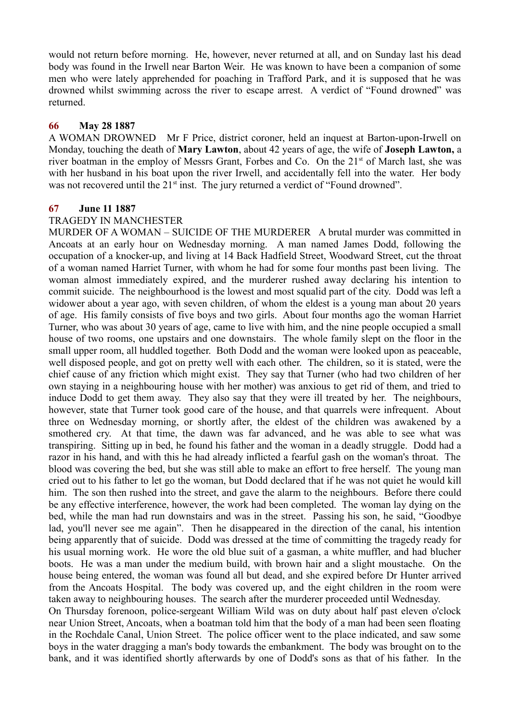would not return before morning. He, however, never returned at all, and on Sunday last his dead body was found in the Irwell near Barton Weir. He was known to have been a companion of some men who were lately apprehended for poaching in Trafford Park, and it is supposed that he was drowned whilst swimming across the river to escape arrest. A verdict of "Found drowned" was returned.

## **66 May 28 1887**

A WOMAN DROWNED Mr F Price, district coroner, held an inquest at Barton-upon-Irwell on Monday, touching the death of **Mary Lawton**, about 42 years of age, the wife of **Joseph Lawton,** a river boatman in the employ of Messrs Grant, Forbes and Co. On the 21<sup>st</sup> of March last, she was with her husband in his boat upon the river Irwell, and accidentally fell into the water. Her body was not recovered until the 21<sup>st</sup> inst. The jury returned a verdict of "Found drowned".

## **67 June 11 1887**

### TRAGEDY IN MANCHESTER

MURDER OF A WOMAN – SUICIDE OF THE MURDERER A brutal murder was committed in Ancoats at an early hour on Wednesday morning. A man named James Dodd, following the occupation of a knocker-up, and living at 14 Back Hadfield Street, Woodward Street, cut the throat of a woman named Harriet Turner, with whom he had for some four months past been living. The woman almost immediately expired, and the murderer rushed away declaring his intention to commit suicide. The neighbourhood is the lowest and most squalid part of the city. Dodd was left a widower about a year ago, with seven children, of whom the eldest is a young man about 20 years of age. His family consists of five boys and two girls. About four months ago the woman Harriet Turner, who was about 30 years of age, came to live with him, and the nine people occupied a small house of two rooms, one upstairs and one downstairs. The whole family slept on the floor in the small upper room, all huddled together. Both Dodd and the woman were looked upon as peaceable, well disposed people, and got on pretty well with each other. The children, so it is stated, were the chief cause of any friction which might exist. They say that Turner (who had two children of her own staying in a neighbouring house with her mother) was anxious to get rid of them, and tried to induce Dodd to get them away. They also say that they were ill treated by her. The neighbours, however, state that Turner took good care of the house, and that quarrels were infrequent. About three on Wednesday morning, or shortly after, the eldest of the children was awakened by a smothered cry. At that time, the dawn was far advanced, and he was able to see what was transpiring. Sitting up in bed, he found his father and the woman in a deadly struggle. Dodd had a razor in his hand, and with this he had already inflicted a fearful gash on the woman's throat. The blood was covering the bed, but she was still able to make an effort to free herself. The young man cried out to his father to let go the woman, but Dodd declared that if he was not quiet he would kill him. The son then rushed into the street, and gave the alarm to the neighbours. Before there could be any effective interference, however, the work had been completed. The woman lay dying on the bed, while the man had run downstairs and was in the street. Passing his son, he said, "Goodbye lad, you'll never see me again". Then he disappeared in the direction of the canal, his intention being apparently that of suicide. Dodd was dressed at the time of committing the tragedy ready for his usual morning work. He wore the old blue suit of a gasman, a white muffler, and had blucher boots. He was a man under the medium build, with brown hair and a slight moustache. On the house being entered, the woman was found all but dead, and she expired before Dr Hunter arrived from the Ancoats Hospital. The body was covered up, and the eight children in the room were taken away to neighbouring houses. The search after the murderer proceeded until Wednesday. On Thursday forenoon, police-sergeant William Wild was on duty about half past eleven o'clock

near Union Street, Ancoats, when a boatman told him that the body of a man had been seen floating in the Rochdale Canal, Union Street. The police officer went to the place indicated, and saw some boys in the water dragging a man's body towards the embankment. The body was brought on to the bank, and it was identified shortly afterwards by one of Dodd's sons as that of his father. In the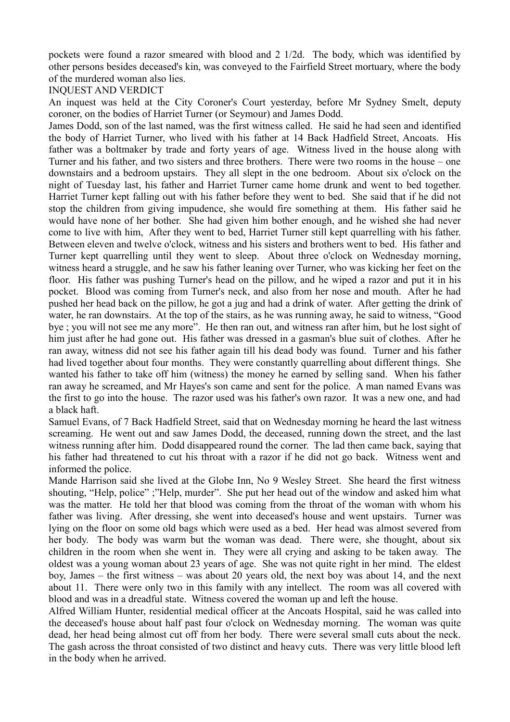pockets were found a razor smeared with blood and 2 1/2d. The body, which was identified by other persons besides deceased's kin, was conveyed to the Fairfield Street mortuary, where the body of the murdered woman also lies.

## INQUEST AND VERDICT

An inquest was held at the City Coroner's Court yesterday, before Mr Sydney Smelt, deputy coroner, on the bodies of Harriet Turner (or Seymour) and James Dodd.

James Dodd, son of the last named, was the first witness called. He said he had seen and identified the body of Harriet Turner, who lived with his father at 14 Back Hadfield Street, Ancoats. His father was a boltmaker by trade and forty years of age. Witness lived in the house along with Turner and his father, and two sisters and three brothers. There were two rooms in the house – one downstairs and a bedroom upstairs. They all slept in the one bedroom. About six o'clock on the night of Tuesday last, his father and Harriet Turner came home drunk and went to bed together. Harriet Turner kept falling out with his father before they went to bed. She said that if he did not stop the children from giving impudence, she would fire something at them. His father said he would have none of her bother. She had given him bother enough, and he wished she had never come to live with him, After they went to bed, Harriet Turner still kept quarrelling with his father. Between eleven and twelve o'clock, witness and his sisters and brothers went to bed. His father and Turner kept quarrelling until they went to sleep. About three o'clock on Wednesday morning, witness heard a struggle, and he saw his father leaning over Turner, who was kicking her feet on the floor. His father was pushing Turner's head on the pillow, and he wiped a razor and put it in his pocket. Blood was coming from Turner's neck, and also from her nose and mouth. After he had pushed her head back on the pillow, he got a jug and had a drink of water. After getting the drink of water, he ran downstairs. At the top of the stairs, as he was running away, he said to witness, "Good bye ; you will not see me any more". He then ran out, and witness ran after him, but he lost sight of him just after he had gone out. His father was dressed in a gasman's blue suit of clothes. After he ran away, witness did not see his father again till his dead body was found. Turner and his father had lived together about four months. They were constantly quarrelling about different things. She wanted his father to take off him (witness) the money he earned by selling sand. When his father ran away he screamed, and Mr Hayes's son came and sent for the police. A man named Evans was the first to go into the house. The razor used was his father's own razor. It was a new one, and had a black haft.

Samuel Evans, of 7 Back Hadfield Street, said that on Wednesday morning he heard the last witness screaming. He went out and saw James Dodd, the deceased, running down the street, and the last witness running after him. Dodd disappeared round the corner. The lad then came back, saying that his father had threatened to cut his throat with a razor if he did not go back. Witness went and informed the police.

Mande Harrison said she lived at the Globe Inn, No 9 Wesley Street. She heard the first witness shouting, "Help, police" ;"Help, murder". She put her head out of the window and asked him what was the matter. He told her that blood was coming from the throat of the woman with whom his father was living. After dressing, she went into deceased's house and went upstairs. Turner was lying on the floor on some old bags which were used as a bed. Her head was almost severed from her body. The body was warm but the woman was dead. There were, she thought, about six children in the room when she went in. They were all crying and asking to be taken away. The oldest was a young woman about 23 years of age. She was not quite right in her mind. The eldest boy, James – the first witness – was about 20 years old, the next boy was about 14, and the next about 11. There were only two in this family with any intellect. The room was all covered with blood and was in a dreadful state. Witness covered the woman up and left the house.

Alfred William Hunter, residential medical officer at the Ancoats Hospital, said he was called into the deceased's house about half past four o'clock on Wednesday morning. The woman was quite dead, her head being almost cut off from her body. There were several small cuts about the neck. The gash across the throat consisted of two distinct and heavy cuts. There was very little blood left in the body when he arrived.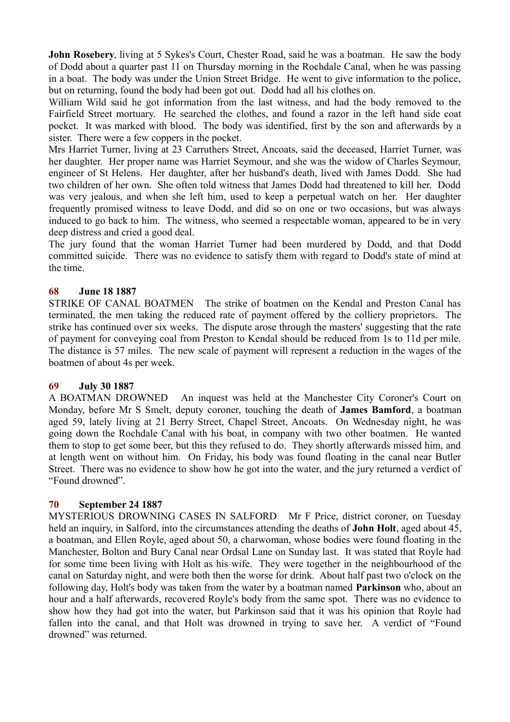**John Rosebery**, living at 5 Sykes's Court, Chester Road, said he was a boatman. He saw the body of Dodd about a quarter past 11 on Thursday morning in the Rochdale Canal, when he was passing in a boat. The body was under the Union Street Bridge. He went to give information to the police, but on returning, found the body had been got out. Dodd had all his clothes on.

William Wild said he got information from the last witness, and had the body removed to the Fairfield Street mortuary. He searched the clothes, and found a razor in the left hand side coat pocket. It was marked with blood. The body was identified, first by the son and afterwards by a sister. There were a few coppers in the pocket.

Mrs Harriet Turner, living at 23 Carruthers Street, Ancoats, said the deceased, Harriet Turner, was her daughter. Her proper name was Harriet Seymour, and she was the widow of Charles Seymour, engineer of St Helens. Her daughter, after her husband's death, lived with James Dodd. She had two children of her own. She often told witness that James Dodd had threatened to kill her. Dodd was very jealous, and when she left him, used to keep a perpetual watch on her. Her daughter frequently promised witness to leave Dodd, and did so on one or two occasions, but was always induced to go back to him. The witness, who seemed a respectable woman, appeared to be in very deep distress and cried a good deal.

The jury found that the woman Harriet Turner had been murdered by Dodd, and that Dodd committed suicide. There was no evidence to satisfy them with regard to Dodd's state of mind at the time.

## **68 June 18 1887**

STRIKE OF CANAL BOATMEN The strike of boatmen on the Kendal and Preston Canal has terminated, the men taking the reduced rate of payment offered by the colliery proprietors. The strike has continued over six weeks. The dispute arose through the masters' suggesting that the rate of payment for conveying coal from Preston to Kendal should be reduced from 1s to 11d per mile. The distance is 57 miles. The new scale of payment will represent a reduction in the wages of the boatmen of about 4s per week.

## **69 July 30 1887**

A BOATMAN DROWNED An inquest was held at the Manchester City Coroner's Court on Monday, before Mr S Smelt, deputy coroner, touching the death of **James Bamford**, a boatman aged 59, lately living at 21 Berry Street, Chapel Street, Ancoats. On Wednesday night, he was going down the Rochdale Canal with his boat, in company with two other boatmen. He wanted them to stop to get some beer, but this they refused to do. They shortly afterwards missed him, and at length went on without him. On Friday, his body was found floating in the canal near Butler Street. There was no evidence to show how he got into the water, and the jury returned a verdict of "Found drowned".

## **70 September 24 1887**

MYSTERIOUS DROWNING CASES IN SALFORD Mr F Price, district coroner, on Tuesday held an inquiry, in Salford, into the circumstances attending the deaths of **John Holt**, aged about 45, a boatman, and Ellen Royle, aged about 50, a charwoman, whose bodies were found floating in the Manchester, Bolton and Bury Canal near Ordsal Lane on Sunday last. It was stated that Royle had for some time been living with Holt as his wife. They were together in the neighbourhood of the canal on Saturday night, and were both then the worse for drink. About half past two o'clock on the following day, Holt's body was taken from the water by a boatman named **Parkinson** who, about an hour and a half afterwards, recovered Royle's body from the same spot. There was no evidence to show how they had got into the water, but Parkinson said that it was his opinion that Royle had fallen into the canal, and that Holt was drowned in trying to save her. A verdict of "Found drowned" was returned.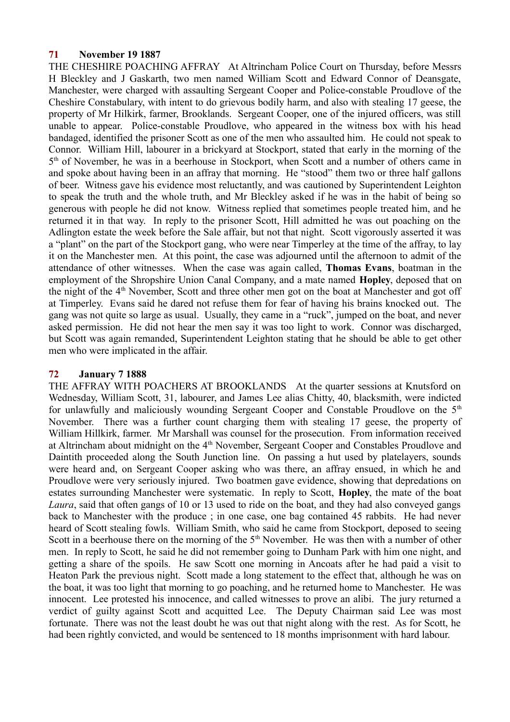## **71 November 19 1887**

THE CHESHIRE POACHING AFFRAY At Altrincham Police Court on Thursday, before Messrs H Bleckley and J Gaskarth, two men named William Scott and Edward Connor of Deansgate, Manchester, were charged with assaulting Sergeant Cooper and Police-constable Proudlove of the Cheshire Constabulary, with intent to do grievous bodily harm, and also with stealing 17 geese, the property of Mr Hilkirk, farmer, Brooklands. Sergeant Cooper, one of the injured officers, was still unable to appear. Police-constable Proudlove, who appeared in the witness box with his head bandaged, identified the prisoner Scott as one of the men who assaulted him. He could not speak to Connor. William Hill, labourer in a brickyard at Stockport, stated that early in the morning of the 5<sup>th</sup> of November, he was in a beerhouse in Stockport, when Scott and a number of others came in and spoke about having been in an affray that morning. He "stood" them two or three half gallons of beer. Witness gave his evidence most reluctantly, and was cautioned by Superintendent Leighton to speak the truth and the whole truth, and Mr Bleckley asked if he was in the habit of being so generous with people he did not know. Witness replied that sometimes people treated him, and he returned it in that way. In reply to the prisoner Scott, Hill admitted he was out poaching on the Adlington estate the week before the Sale affair, but not that night. Scott vigorously asserted it was a "plant" on the part of the Stockport gang, who were near Timperley at the time of the affray, to lay it on the Manchester men. At this point, the case was adjourned until the afternoon to admit of the attendance of other witnesses. When the case was again called, **Thomas Evans**, boatman in the employment of the Shropshire Union Canal Company, and a mate named **Hopley**, deposed that on the night of the 4<sup>th</sup> November, Scott and three other men got on the boat at Manchester and got off at Timperley. Evans said he dared not refuse them for fear of having his brains knocked out. The gang was not quite so large as usual. Usually, they came in a "ruck", jumped on the boat, and never asked permission. He did not hear the men say it was too light to work. Connor was discharged, but Scott was again remanded, Superintendent Leighton stating that he should be able to get other men who were implicated in the affair.

## **72 January 7 1888**

THE AFFRAY WITH POACHERS AT BROOKLANDS At the quarter sessions at Knutsford on Wednesday, William Scott, 31, labourer, and James Lee alias Chitty, 40, blacksmith, were indicted for unlawfully and maliciously wounding Sergeant Cooper and Constable Proudlove on the  $5<sup>th</sup>$ November. There was a further count charging them with stealing 17 geese, the property of William Hillkirk, farmer. Mr Marshall was counsel for the prosecution. From information received at Altrincham about midnight on the 4<sup>th</sup> November, Sergeant Cooper and Constables Proudlove and Daintith proceeded along the South Junction line. On passing a hut used by platelayers, sounds were heard and, on Sergeant Cooper asking who was there, an affray ensued, in which he and Proudlove were very seriously injured. Two boatmen gave evidence, showing that depredations on estates surrounding Manchester were systematic. In reply to Scott, **Hopley**, the mate of the boat *Laura*, said that often gangs of 10 or 13 used to ride on the boat, and they had also conveyed gangs back to Manchester with the produce ; in one case, one bag contained 45 rabbits. He had never heard of Scott stealing fowls. William Smith, who said he came from Stockport, deposed to seeing Scott in a beerhouse there on the morning of the  $5<sup>th</sup>$  November. He was then with a number of other men. In reply to Scott, he said he did not remember going to Dunham Park with him one night, and getting a share of the spoils. He saw Scott one morning in Ancoats after he had paid a visit to Heaton Park the previous night. Scott made a long statement to the effect that, although he was on the boat, it was too light that morning to go poaching, and he returned home to Manchester. He was innocent. Lee protested his innocence, and called witnesses to prove an alibi. The jury returned a verdict of guilty against Scott and acquitted Lee. The Deputy Chairman said Lee was most fortunate. There was not the least doubt he was out that night along with the rest. As for Scott, he had been rightly convicted, and would be sentenced to 18 months imprisonment with hard labour.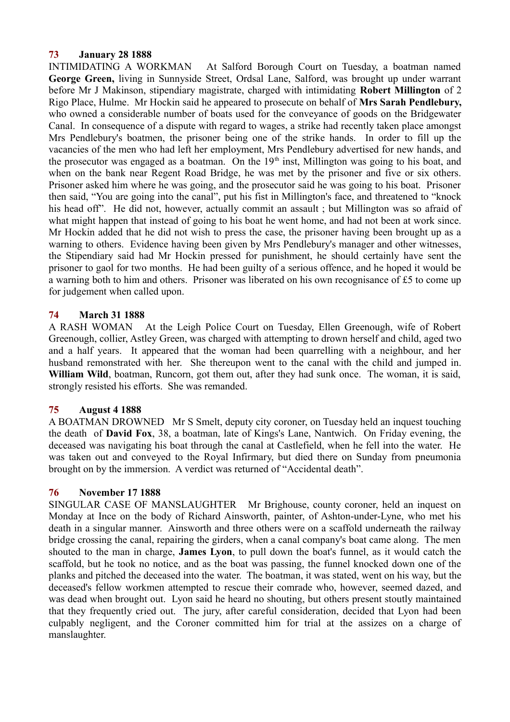## **73 January 28 1888**

INTIMIDATING A WORKMAN At Salford Borough Court on Tuesday, a boatman named **George Green,** living in Sunnyside Street, Ordsal Lane, Salford, was brought up under warrant before Mr J Makinson, stipendiary magistrate, charged with intimidating **Robert Millington** of 2 Rigo Place, Hulme. Mr Hockin said he appeared to prosecute on behalf of **Mrs Sarah Pendlebury,** who owned a considerable number of boats used for the conveyance of goods on the Bridgewater Canal. In consequence of a dispute with regard to wages, a strike had recently taken place amongst Mrs Pendlebury's boatmen, the prisoner being one of the strike hands. In order to fill up the vacancies of the men who had left her employment, Mrs Pendlebury advertised for new hands, and the prosecutor was engaged as a boatman. On the  $19<sup>th</sup>$  inst, Millington was going to his boat, and when on the bank near Regent Road Bridge, he was met by the prisoner and five or six others. Prisoner asked him where he was going, and the prosecutor said he was going to his boat. Prisoner then said, "You are going into the canal", put his fist in Millington's face, and threatened to "knock his head off". He did not, however, actually commit an assault ; but Millington was so afraid of what might happen that instead of going to his boat he went home, and had not been at work since. Mr Hockin added that he did not wish to press the case, the prisoner having been brought up as a warning to others. Evidence having been given by Mrs Pendlebury's manager and other witnesses, the Stipendiary said had Mr Hockin pressed for punishment, he should certainly have sent the prisoner to gaol for two months. He had been guilty of a serious offence, and he hoped it would be a warning both to him and others. Prisoner was liberated on his own recognisance of £5 to come up for judgement when called upon.

# **74 March 31 1888**

A RASH WOMAN At the Leigh Police Court on Tuesday, Ellen Greenough, wife of Robert Greenough, collier, Astley Green, was charged with attempting to drown herself and child, aged two and a half years. It appeared that the woman had been quarrelling with a neighbour, and her husband remonstrated with her. She thereupon went to the canal with the child and jumped in. **William Wild**, boatman, Runcorn, got them out, after they had sunk once. The woman, it is said, strongly resisted his efforts. She was remanded.

# **75 August 4 1888**

A BOATMAN DROWNED Mr S Smelt, deputy city coroner, on Tuesday held an inquest touching the death of **David Fox**, 38, a boatman, late of Kings's Lane, Nantwich. On Friday evening, the deceased was navigating his boat through the canal at Castlefield, when he fell into the water. He was taken out and conveyed to the Royal Infirmary, but died there on Sunday from pneumonia brought on by the immersion. A verdict was returned of "Accidental death".

# **76 November 17 1888**

SINGULAR CASE OF MANSLAUGHTER Mr Brighouse, county coroner, held an inquest on Monday at Ince on the body of Richard Ainsworth, painter, of Ashton-under-Lyne, who met his death in a singular manner. Ainsworth and three others were on a scaffold underneath the railway bridge crossing the canal, repairing the girders, when a canal company's boat came along. The men shouted to the man in charge, **James Lyon**, to pull down the boat's funnel, as it would catch the scaffold, but he took no notice, and as the boat was passing, the funnel knocked down one of the planks and pitched the deceased into the water. The boatman, it was stated, went on his way, but the deceased's fellow workmen attempted to rescue their comrade who, however, seemed dazed, and was dead when brought out. Lyon said he heard no shouting, but others present stoutly maintained that they frequently cried out. The jury, after careful consideration, decided that Lyon had been culpably negligent, and the Coroner committed him for trial at the assizes on a charge of manslaughter.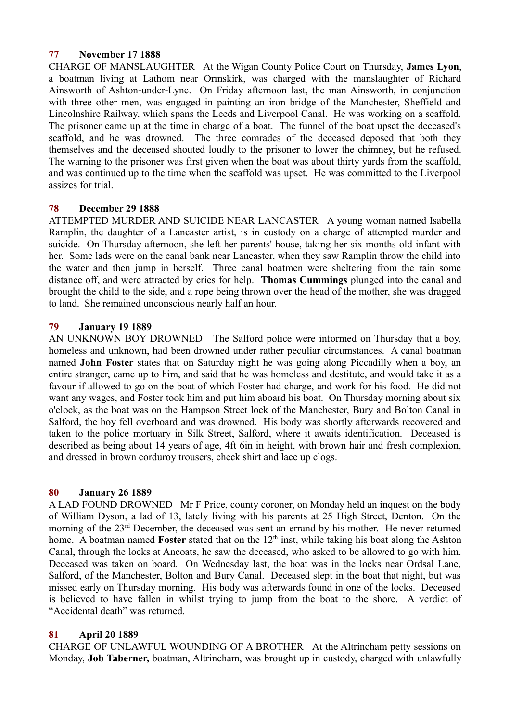# **77 November 17 1888**

CHARGE OF MANSLAUGHTER At the Wigan County Police Court on Thursday, **James Lyon**, a boatman living at Lathom near Ormskirk, was charged with the manslaughter of Richard Ainsworth of Ashton-under-Lyne. On Friday afternoon last, the man Ainsworth, in conjunction with three other men, was engaged in painting an iron bridge of the Manchester, Sheffield and Lincolnshire Railway, which spans the Leeds and Liverpool Canal. He was working on a scaffold. The prisoner came up at the time in charge of a boat. The funnel of the boat upset the deceased's scaffold, and he was drowned. The three comrades of the deceased deposed that both they themselves and the deceased shouted loudly to the prisoner to lower the chimney, but he refused. The warning to the prisoner was first given when the boat was about thirty yards from the scaffold, and was continued up to the time when the scaffold was upset. He was committed to the Liverpool assizes for trial.

## **78 December 29 1888**

ATTEMPTED MURDER AND SUICIDE NEAR LANCASTER A young woman named Isabella Ramplin, the daughter of a Lancaster artist, is in custody on a charge of attempted murder and suicide. On Thursday afternoon, she left her parents' house, taking her six months old infant with her. Some lads were on the canal bank near Lancaster, when they saw Ramplin throw the child into the water and then jump in herself. Three canal boatmen were sheltering from the rain some distance off, and were attracted by cries for help. **Thomas Cummings** plunged into the canal and brought the child to the side, and a rope being thrown over the head of the mother, she was dragged to land. She remained unconscious nearly half an hour.

## **79 January 19 1889**

AN UNKNOWN BOY DROWNED The Salford police were informed on Thursday that a boy, homeless and unknown, had been drowned under rather peculiar circumstances. A canal boatman named **John Foster** states that on Saturday night he was going along Piccadilly when a boy, an entire stranger, came up to him, and said that he was homeless and destitute, and would take it as a favour if allowed to go on the boat of which Foster had charge, and work for his food. He did not want any wages, and Foster took him and put him aboard his boat. On Thursday morning about six o'clock, as the boat was on the Hampson Street lock of the Manchester, Bury and Bolton Canal in Salford, the boy fell overboard and was drowned. His body was shortly afterwards recovered and taken to the police mortuary in Silk Street, Salford, where it awaits identification. Deceased is described as being about 14 years of age, 4ft 6in in height, with brown hair and fresh complexion, and dressed in brown corduroy trousers, check shirt and lace up clogs.

## **80 January 26 1889**

A LAD FOUND DROWNED Mr F Price, county coroner, on Monday held an inquest on the body of William Dyson, a lad of 13, lately living with his parents at 25 High Street, Denton. On the morning of the 23<sup>rd</sup> December, the deceased was sent an errand by his mother. He never returned home. A boatman named **Foster** stated that on the 12<sup>th</sup> inst, while taking his boat along the Ashton Canal, through the locks at Ancoats, he saw the deceased, who asked to be allowed to go with him. Deceased was taken on board. On Wednesday last, the boat was in the locks near Ordsal Lane, Salford, of the Manchester, Bolton and Bury Canal. Deceased slept in the boat that night, but was missed early on Thursday morning. His body was afterwards found in one of the locks. Deceased is believed to have fallen in whilst trying to jump from the boat to the shore. A verdict of "Accidental death" was returned.

# **81 April 20 1889**

CHARGE OF UNLAWFUL WOUNDING OF A BROTHER At the Altrincham petty sessions on Monday, **Job Taberner,** boatman, Altrincham, was brought up in custody, charged with unlawfully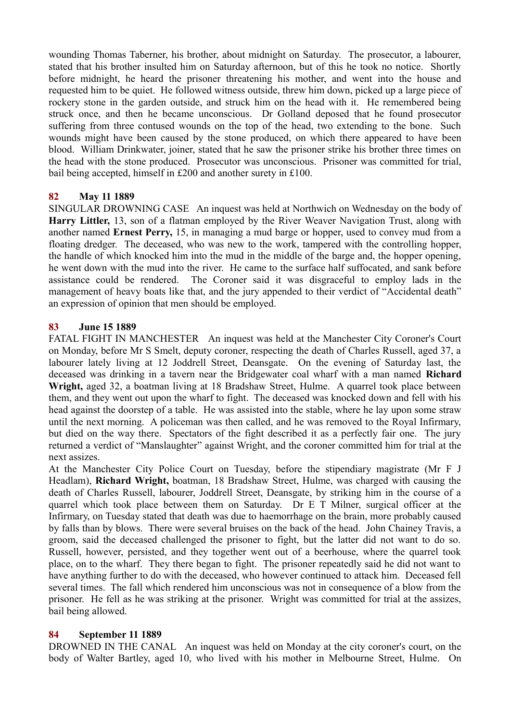wounding Thomas Taberner, his brother, about midnight on Saturday. The prosecutor, a labourer, stated that his brother insulted him on Saturday afternoon, but of this he took no notice. Shortly before midnight, he heard the prisoner threatening his mother, and went into the house and requested him to be quiet. He followed witness outside, threw him down, picked up a large piece of rockery stone in the garden outside, and struck him on the head with it. He remembered being struck once, and then he became unconscious. Dr Golland deposed that he found prosecutor suffering from three contused wounds on the top of the head, two extending to the bone. Such wounds might have been caused by the stone produced, on which there appeared to have been blood. William Drinkwater, joiner, stated that he saw the prisoner strike his brother three times on the head with the stone produced. Prosecutor was unconscious. Prisoner was committed for trial, bail being accepted, himself in £200 and another surety in £100.

# **82 May 11 1889**

SINGULAR DROWNING CASE An inquest was held at Northwich on Wednesday on the body of **Harry Littler,** 13, son of a flatman employed by the River Weaver Navigation Trust, along with another named **Ernest Perry,** 15, in managing a mud barge or hopper, used to convey mud from a floating dredger. The deceased, who was new to the work, tampered with the controlling hopper, the handle of which knocked him into the mud in the middle of the barge and, the hopper opening, he went down with the mud into the river. He came to the surface half suffocated, and sank before assistance could be rendered. The Coroner said it was disgraceful to employ lads in the management of heavy boats like that, and the jury appended to their verdict of "Accidental death" an expression of opinion that men should be employed.

# **83 June 15 1889**

FATAL FIGHT IN MANCHESTER An inquest was held at the Manchester City Coroner's Court on Monday, before Mr S Smelt, deputy coroner, respecting the death of Charles Russell, aged 37, a labourer lately living at 12 Joddrell Street, Deansgate. On the evening of Saturday last, the deceased was drinking in a tavern near the Bridgewater coal wharf with a man named **Richard Wright,** aged 32, a boatman living at 18 Bradshaw Street, Hulme. A quarrel took place between them, and they went out upon the wharf to fight. The deceased was knocked down and fell with his head against the doorstep of a table. He was assisted into the stable, where he lay upon some straw until the next morning. A policeman was then called, and he was removed to the Royal Infirmary, but died on the way there. Spectators of the fight described it as a perfectly fair one. The jury returned a verdict of "Manslaughter" against Wright, and the coroner committed him for trial at the next assizes.

At the Manchester City Police Court on Tuesday, before the stipendiary magistrate (Mr F J Headlam), **Richard Wright,** boatman, 18 Bradshaw Street, Hulme, was charged with causing the death of Charles Russell, labourer, Joddrell Street, Deansgate, by striking him in the course of a quarrel which took place between them on Saturday. Dr E T Milner, surgical officer at the Infirmary, on Tuesday stated that death was due to haemorrhage on the brain, more probably caused by falls than by blows. There were several bruises on the back of the head. John Chainey Travis, a groom, said the deceased challenged the prisoner to fight, but the latter did not want to do so. Russell, however, persisted, and they together went out of a beerhouse, where the quarrel took place, on to the wharf. They there began to fight. The prisoner repeatedly said he did not want to have anything further to do with the deceased, who however continued to attack him. Deceased fell several times. The fall which rendered him unconscious was not in consequence of a blow from the prisoner. He fell as he was striking at the prisoner. Wright was committed for trial at the assizes, bail being allowed.

# **84 September 11 1889**

DROWNED IN THE CANAL An inquest was held on Monday at the city coroner's court, on the body of Walter Bartley, aged 10, who lived with his mother in Melbourne Street, Hulme. On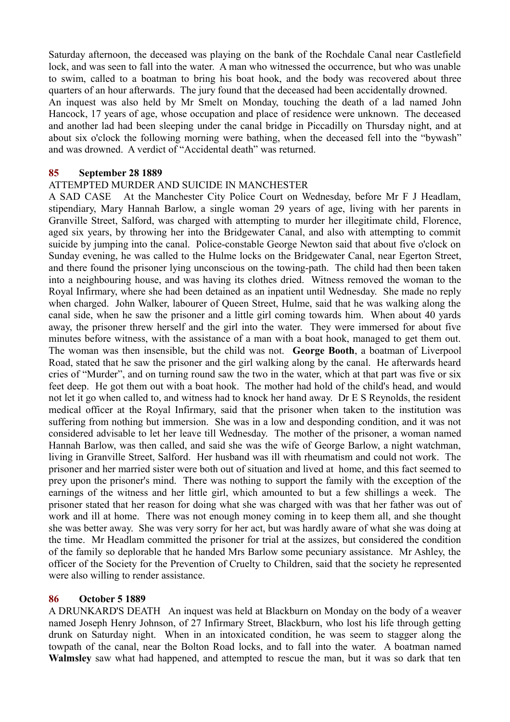Saturday afternoon, the deceased was playing on the bank of the Rochdale Canal near Castlefield lock, and was seen to fall into the water. A man who witnessed the occurrence, but who was unable to swim, called to a boatman to bring his boat hook, and the body was recovered about three quarters of an hour afterwards. The jury found that the deceased had been accidentally drowned. An inquest was also held by Mr Smelt on Monday, touching the death of a lad named John Hancock, 17 years of age, whose occupation and place of residence were unknown. The deceased and another lad had been sleeping under the canal bridge in Piccadilly on Thursday night, and at about six o'clock the following morning were bathing, when the deceased fell into the "bywash" and was drowned. A verdict of "Accidental death" was returned.

### **85 September 28 1889**

### ATTEMPTED MURDER AND SUICIDE IN MANCHESTER

A SAD CASE At the Manchester City Police Court on Wednesday, before Mr F J Headlam, stipendiary, Mary Hannah Barlow, a single woman 29 years of age, living with her parents in Granville Street, Salford, was charged with attempting to murder her illegitimate child, Florence, aged six years, by throwing her into the Bridgewater Canal, and also with attempting to commit suicide by jumping into the canal. Police-constable George Newton said that about five o'clock on Sunday evening, he was called to the Hulme locks on the Bridgewater Canal, near Egerton Street, and there found the prisoner lying unconscious on the towing-path. The child had then been taken into a neighbouring house, and was having its clothes dried. Witness removed the woman to the Royal Infirmary, where she had been detained as an inpatient until Wednesday. She made no reply when charged. John Walker, labourer of Queen Street, Hulme, said that he was walking along the canal side, when he saw the prisoner and a little girl coming towards him. When about 40 yards away, the prisoner threw herself and the girl into the water. They were immersed for about five minutes before witness, with the assistance of a man with a boat hook, managed to get them out. The woman was then insensible, but the child was not. **George Booth**, a boatman of Liverpool Road, stated that he saw the prisoner and the girl walking along by the canal. He afterwards heard cries of "Murder", and on turning round saw the two in the water, which at that part was five or six feet deep. He got them out with a boat hook. The mother had hold of the child's head, and would not let it go when called to, and witness had to knock her hand away. Dr E S Reynolds, the resident medical officer at the Royal Infirmary, said that the prisoner when taken to the institution was suffering from nothing but immersion. She was in a low and desponding condition, and it was not considered advisable to let her leave till Wednesday. The mother of the prisoner, a woman named Hannah Barlow, was then called, and said she was the wife of George Barlow, a night watchman, living in Granville Street, Salford. Her husband was ill with rheumatism and could not work. The prisoner and her married sister were both out of situation and lived at home, and this fact seemed to prey upon the prisoner's mind. There was nothing to support the family with the exception of the earnings of the witness and her little girl, which amounted to but a few shillings a week. The prisoner stated that her reason for doing what she was charged with was that her father was out of work and ill at home. There was not enough money coming in to keep them all, and she thought she was better away. She was very sorry for her act, but was hardly aware of what she was doing at the time. Mr Headlam committed the prisoner for trial at the assizes, but considered the condition of the family so deplorable that he handed Mrs Barlow some pecuniary assistance. Mr Ashley, the officer of the Society for the Prevention of Cruelty to Children, said that the society he represented were also willing to render assistance.

## **86 October 5 1889**

A DRUNKARD'S DEATH An inquest was held at Blackburn on Monday on the body of a weaver named Joseph Henry Johnson, of 27 Infirmary Street, Blackburn, who lost his life through getting drunk on Saturday night. When in an intoxicated condition, he was seem to stagger along the towpath of the canal, near the Bolton Road locks, and to fall into the water. A boatman named **Walmsley** saw what had happened, and attempted to rescue the man, but it was so dark that ten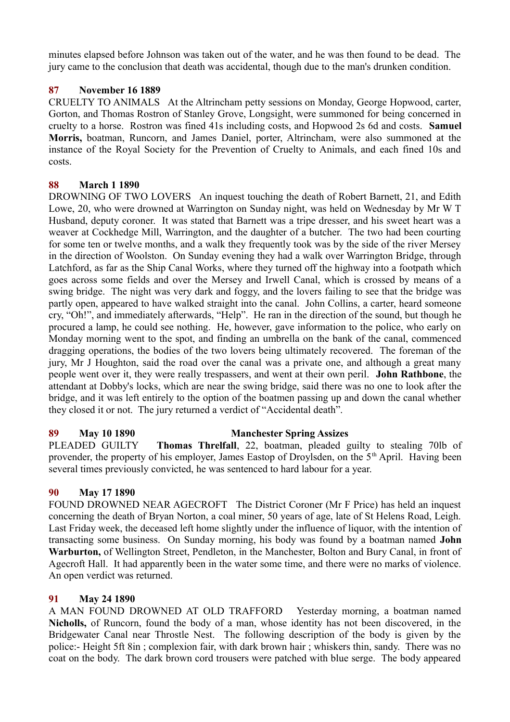minutes elapsed before Johnson was taken out of the water, and he was then found to be dead. The jury came to the conclusion that death was accidental, though due to the man's drunken condition.

# **87 November 16 1889**

CRUELTY TO ANIMALS At the Altrincham petty sessions on Monday, George Hopwood, carter, Gorton, and Thomas Rostron of Stanley Grove, Longsight, were summoned for being concerned in cruelty to a horse. Rostron was fined 41s including costs, and Hopwood 2s 6d and costs. **Samuel Morris,** boatman, Runcorn, and James Daniel, porter, Altrincham, were also summoned at the instance of the Royal Society for the Prevention of Cruelty to Animals, and each fined 10s and costs.

# **88 March 1 1890**

DROWNING OF TWO LOVERS An inquest touching the death of Robert Barnett, 21, and Edith Lowe, 20, who were drowned at Warrington on Sunday night, was held on Wednesday by Mr W T Husband, deputy coroner. It was stated that Barnett was a tripe dresser, and his sweet heart was a weaver at Cockhedge Mill, Warrington, and the daughter of a butcher. The two had been courting for some ten or twelve months, and a walk they frequently took was by the side of the river Mersey in the direction of Woolston. On Sunday evening they had a walk over Warrington Bridge, through Latchford, as far as the Ship Canal Works, where they turned off the highway into a footpath which goes across some fields and over the Mersey and Irwell Canal, which is crossed by means of a swing bridge. The night was very dark and foggy, and the lovers failing to see that the bridge was partly open, appeared to have walked straight into the canal. John Collins, a carter, heard someone cry, "Oh!", and immediately afterwards, "Help". He ran in the direction of the sound, but though he procured a lamp, he could see nothing. He, however, gave information to the police, who early on Monday morning went to the spot, and finding an umbrella on the bank of the canal, commenced dragging operations, the bodies of the two lovers being ultimately recovered. The foreman of the jury, Mr J Houghton, said the road over the canal was a private one, and although a great many people went over it, they were really trespassers, and went at their own peril. **John Rathbone**, the attendant at Dobby's locks, which are near the swing bridge, said there was no one to look after the bridge, and it was left entirely to the option of the boatmen passing up and down the canal whether they closed it or not. The jury returned a verdict of "Accidental death".

# **89 May 10 1890 Manchester Spring Assizes**

PLEADED GUILTY **Thomas Threlfall**, 22, boatman, pleaded guilty to stealing 70lb of provender, the property of his employer, James Eastop of Droylsden, on the 5<sup>th</sup> April. Having been several times previously convicted, he was sentenced to hard labour for a year.

# **90 May 17 1890**

FOUND DROWNED NEAR AGECROFT The District Coroner (Mr F Price) has held an inquest concerning the death of Bryan Norton, a coal miner, 50 years of age, late of St Helens Road, Leigh. Last Friday week, the deceased left home slightly under the influence of liquor, with the intention of transacting some business. On Sunday morning, his body was found by a boatman named **John Warburton,** of Wellington Street, Pendleton, in the Manchester, Bolton and Bury Canal, in front of Agecroft Hall. It had apparently been in the water some time, and there were no marks of violence. An open verdict was returned.

# **91 May 24 1890**

A MAN FOUND DROWNED AT OLD TRAFFORD Yesterday morning, a boatman named **Nicholls,** of Runcorn, found the body of a man, whose identity has not been discovered, in the Bridgewater Canal near Throstle Nest. The following description of the body is given by the police:- Height 5ft 8in ; complexion fair, with dark brown hair ; whiskers thin, sandy. There was no coat on the body. The dark brown cord trousers were patched with blue serge. The body appeared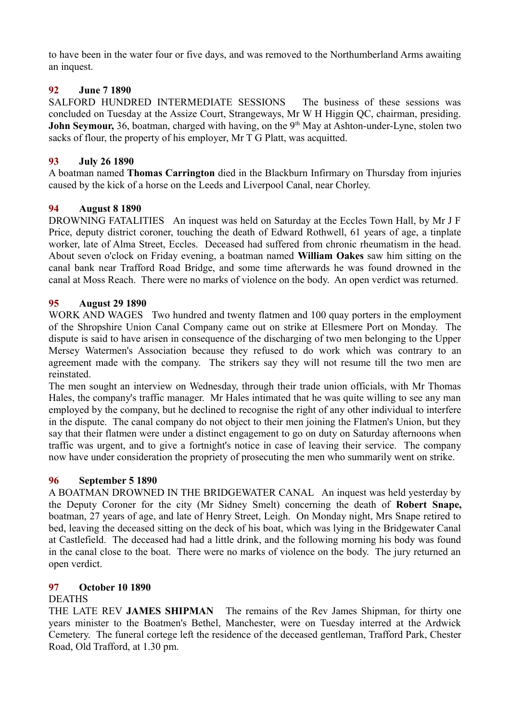to have been in the water four or five days, and was removed to the Northumberland Arms awaiting an inquest.

# **92 June 7 1890**

SALFORD HUNDRED INTERMEDIATE SESSIONS The business of these sessions was concluded on Tuesday at the Assize Court, Strangeways, Mr W H Higgin QC, chairman, presiding. **John Seymour,** 36, boatman, charged with having, on the 9<sup>th</sup> May at Ashton-under-Lyne, stolen two sacks of flour, the property of his employer, Mr T G Platt, was acquitted.

## **93 July 26 1890**

A boatman named **Thomas Carrington** died in the Blackburn Infirmary on Thursday from injuries caused by the kick of a horse on the Leeds and Liverpool Canal, near Chorley.

# **94 August 8 1890**

DROWNING FATALITIES An inquest was held on Saturday at the Eccles Town Hall, by Mr J F Price, deputy district coroner, touching the death of Edward Rothwell, 61 years of age, a tinplate worker, late of Alma Street, Eccles. Deceased had suffered from chronic rheumatism in the head. About seven o'clock on Friday evening, a boatman named **William Oakes** saw him sitting on the canal bank near Trafford Road Bridge, and some time afterwards he was found drowned in the canal at Moss Reach. There were no marks of violence on the body. An open verdict was returned.

## **95 August 29 1890**

WORK AND WAGES Two hundred and twenty flatmen and 100 quay porters in the employment of the Shropshire Union Canal Company came out on strike at Ellesmere Port on Monday. The dispute is said to have arisen in consequence of the discharging of two men belonging to the Upper Mersey Watermen's Association because they refused to do work which was contrary to an agreement made with the company. The strikers say they will not resume till the two men are reinstated.

The men sought an interview on Wednesday, through their trade union officials, with Mr Thomas Hales, the company's traffic manager. Mr Hales intimated that he was quite willing to see any man employed by the company, but he declined to recognise the right of any other individual to interfere in the dispute. The canal company do not object to their men joining the Flatmen's Union, but they say that their flatmen were under a distinct engagement to go on duty on Saturday afternoons when traffic was urgent, and to give a fortnight's notice in case of leaving their service. The company now have under consideration the propriety of prosecuting the men who summarily went on strike.

# **96 September 5 1890**

A BOATMAN DROWNED IN THE BRIDGEWATER CANAL An inquest was held yesterday by the Deputy Coroner for the city (Mr Sidney Smelt) concerning the death of **Robert Snape,** boatman, 27 years of age, and late of Henry Street, Leigh. On Monday night, Mrs Snape retired to bed, leaving the deceased sitting on the deck of his boat, which was lying in the Bridgewater Canal at Castlefield. The deceased had had a little drink, and the following morning his body was found in the canal close to the boat. There were no marks of violence on the body. The jury returned an open verdict.

# **97 October 10 1890**

## DEATHS

THE LATE REV **JAMES SHIPMAN** The remains of the Rev James Shipman, for thirty one years minister to the Boatmen's Bethel, Manchester, were on Tuesday interred at the Ardwick Cemetery. The funeral cortege left the residence of the deceased gentleman, Trafford Park, Chester Road, Old Trafford, at 1.30 pm.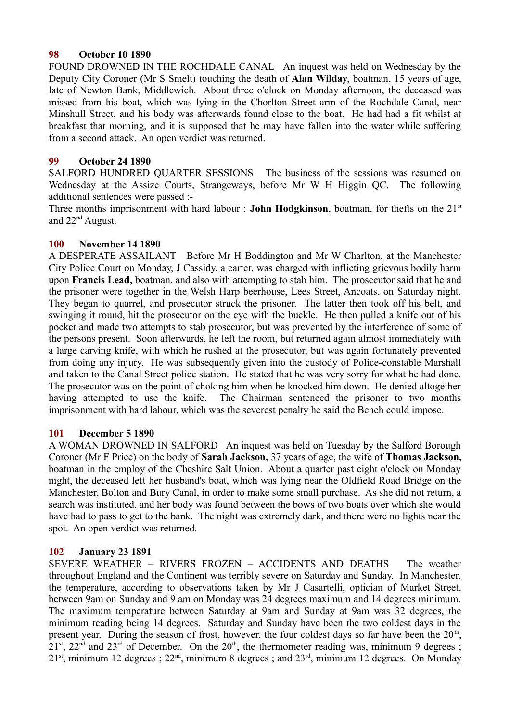## **98 October 10 1890**

FOUND DROWNED IN THE ROCHDALE CANAL An inquest was held on Wednesday by the Deputy City Coroner (Mr S Smelt) touching the death of **Alan Wilday**, boatman, 15 years of age, late of Newton Bank, Middlewich. About three o'clock on Monday afternoon, the deceased was missed from his boat, which was lying in the Chorlton Street arm of the Rochdale Canal, near Minshull Street, and his body was afterwards found close to the boat. He had had a fit whilst at breakfast that morning, and it is supposed that he may have fallen into the water while suffering from a second attack. An open verdict was returned.

## **99 October 24 1890**

SALFORD HUNDRED QUARTER SESSIONS The business of the sessions was resumed on Wednesday at the Assize Courts, Strangeways, before Mr W H Higgin QC. The following additional sentences were passed :-

Three months imprisonment with hard labour : **John Hodgkinson**, boatman, for thefts on the 21<sup>st</sup> and 22nd August.

## **100 November 14 1890**

A DESPERATE ASSAILANT Before Mr H Boddington and Mr W Charlton, at the Manchester City Police Court on Monday, J Cassidy, a carter, was charged with inflicting grievous bodily harm upon **Francis Lead,** boatman, and also with attempting to stab him. The prosecutor said that he and the prisoner were together in the Welsh Harp beerhouse, Lees Street, Ancoats, on Saturday night. They began to quarrel, and prosecutor struck the prisoner. The latter then took off his belt, and swinging it round, hit the prosecutor on the eye with the buckle. He then pulled a knife out of his pocket and made two attempts to stab prosecutor, but was prevented by the interference of some of the persons present. Soon afterwards, he left the room, but returned again almost immediately with a large carving knife, with which he rushed at the prosecutor, but was again fortunately prevented from doing any injury. He was subsequently given into the custody of Police-constable Marshall and taken to the Canal Street police station. He stated that he was very sorry for what he had done. The prosecutor was on the point of choking him when he knocked him down. He denied altogether having attempted to use the knife. The Chairman sentenced the prisoner to two months imprisonment with hard labour, which was the severest penalty he said the Bench could impose.

# **101 December 5 1890**

A WOMAN DROWNED IN SALFORD An inquest was held on Tuesday by the Salford Borough Coroner (Mr F Price) on the body of **Sarah Jackson,** 37 years of age, the wife of **Thomas Jackson,** boatman in the employ of the Cheshire Salt Union. About a quarter past eight o'clock on Monday night, the deceased left her husband's boat, which was lying near the Oldfield Road Bridge on the Manchester, Bolton and Bury Canal, in order to make some small purchase. As she did not return, a search was instituted, and her body was found between the bows of two boats over which she would have had to pass to get to the bank. The night was extremely dark, and there were no lights near the spot. An open verdict was returned.

# **102 January 23 1891**

SEVERE WEATHER – RIVERS FROZEN – ACCIDENTS AND DEATHS The weather throughout England and the Continent was terribly severe on Saturday and Sunday. In Manchester, the temperature, according to observations taken by Mr J Casartelli, optician of Market Street, between 9am on Sunday and 9 am on Monday was 24 degrees maximum and 14 degrees minimum. The maximum temperature between Saturday at 9am and Sunday at 9am was 32 degrees, the minimum reading being 14 degrees. Saturday and Sunday have been the two coldest days in the present year. During the season of frost, however, the four coldest days so far have been the  $20<sup>th</sup>$ ,  $21<sup>st</sup>$ ,  $22<sup>nd</sup>$  and  $23<sup>rd</sup>$  of December. On the  $20<sup>th</sup>$ , the thermometer reading was, minimum 9 degrees ;  $21<sup>st</sup>$ , minimum 12 degrees ;  $22<sup>nd</sup>$ , minimum 8 degrees ; and  $23<sup>rd</sup>$ , minimum 12 degrees. On Monday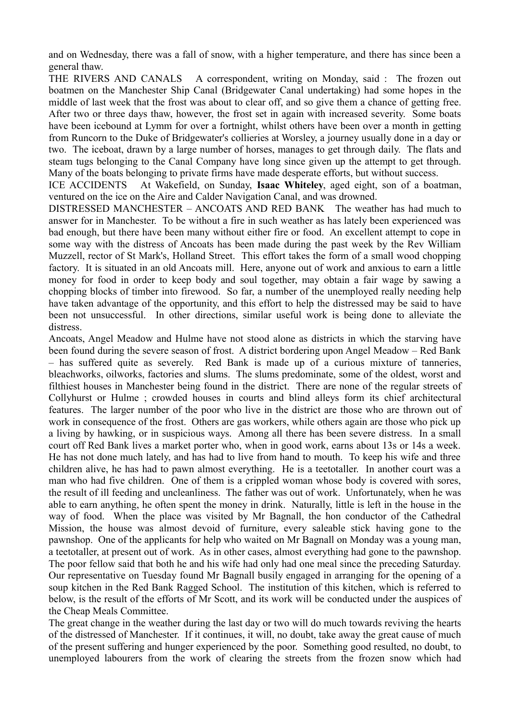and on Wednesday, there was a fall of snow, with a higher temperature, and there has since been a general thaw.

THE RIVERS AND CANALS A correspondent, writing on Monday, said : The frozen out boatmen on the Manchester Ship Canal (Bridgewater Canal undertaking) had some hopes in the middle of last week that the frost was about to clear off, and so give them a chance of getting free. After two or three days thaw, however, the frost set in again with increased severity. Some boats have been icebound at Lymm for over a fortnight, whilst others have been over a month in getting from Runcorn to the Duke of Bridgewater's collieries at Worsley, a journey usually done in a day or two. The iceboat, drawn by a large number of horses, manages to get through daily. The flats and steam tugs belonging to the Canal Company have long since given up the attempt to get through. Many of the boats belonging to private firms have made desperate efforts, but without success.

ICE ACCIDENTS At Wakefield, on Sunday, **Isaac Whiteley**, aged eight, son of a boatman, ventured on the ice on the Aire and Calder Navigation Canal, and was drowned.

DISTRESSED MANCHESTER – ANCOATS AND RED BANK The weather has had much to answer for in Manchester. To be without a fire in such weather as has lately been experienced was bad enough, but there have been many without either fire or food. An excellent attempt to cope in some way with the distress of Ancoats has been made during the past week by the Rev William Muzzell, rector of St Mark's, Holland Street. This effort takes the form of a small wood chopping factory. It is situated in an old Ancoats mill. Here, anyone out of work and anxious to earn a little money for food in order to keep body and soul together, may obtain a fair wage by sawing a chopping blocks of timber into firewood. So far, a number of the unemployed really needing help have taken advantage of the opportunity, and this effort to help the distressed may be said to have been not unsuccessful. In other directions, similar useful work is being done to alleviate the distress.

Ancoats, Angel Meadow and Hulme have not stood alone as districts in which the starving have been found during the severe season of frost. A district bordering upon Angel Meadow – Red Bank – has suffered quite as severely. Red Bank is made up of a curious mixture of tanneries, bleachworks, oilworks, factories and slums. The slums predominate, some of the oldest, worst and filthiest houses in Manchester being found in the district. There are none of the regular streets of Collyhurst or Hulme ; crowded houses in courts and blind alleys form its chief architectural features. The larger number of the poor who live in the district are those who are thrown out of work in consequence of the frost. Others are gas workers, while others again are those who pick up a living by hawking, or in suspicious ways. Among all there has been severe distress. In a small court off Red Bank lives a market porter who, when in good work, earns about 13s or 14s a week. He has not done much lately, and has had to live from hand to mouth. To keep his wife and three children alive, he has had to pawn almost everything. He is a teetotaller. In another court was a man who had five children. One of them is a crippled woman whose body is covered with sores, the result of ill feeding and uncleanliness. The father was out of work. Unfortunately, when he was able to earn anything, he often spent the money in drink. Naturally, little is left in the house in the way of food. When the place was visited by Mr Bagnall, the hon conductor of the Cathedral Mission, the house was almost devoid of furniture, every saleable stick having gone to the pawnshop. One of the applicants for help who waited on Mr Bagnall on Monday was a young man, a teetotaller, at present out of work. As in other cases, almost everything had gone to the pawnshop. The poor fellow said that both he and his wife had only had one meal since the preceding Saturday. Our representative on Tuesday found Mr Bagnall busily engaged in arranging for the opening of a soup kitchen in the Red Bank Ragged School. The institution of this kitchen, which is referred to below, is the result of the efforts of Mr Scott, and its work will be conducted under the auspices of the Cheap Meals Committee.

The great change in the weather during the last day or two will do much towards reviving the hearts of the distressed of Manchester. If it continues, it will, no doubt, take away the great cause of much of the present suffering and hunger experienced by the poor. Something good resulted, no doubt, to unemployed labourers from the work of clearing the streets from the frozen snow which had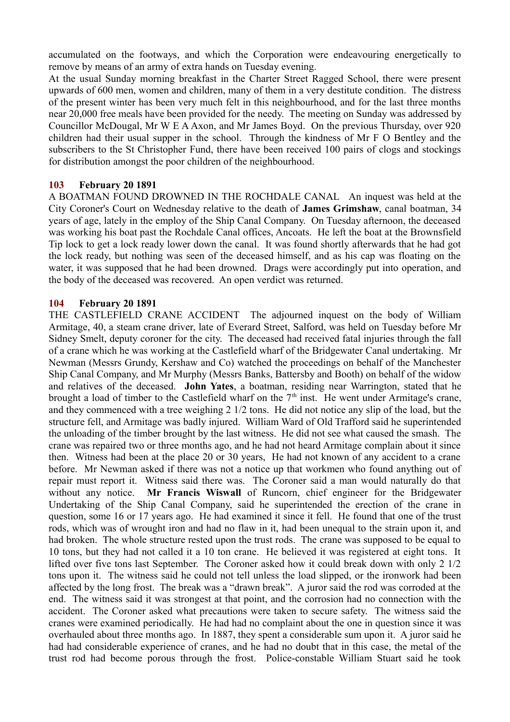accumulated on the footways, and which the Corporation were endeavouring energetically to remove by means of an army of extra hands on Tuesday evening.

At the usual Sunday morning breakfast in the Charter Street Ragged School, there were present upwards of 600 men, women and children, many of them in a very destitute condition. The distress of the present winter has been very much felt in this neighbourhood, and for the last three months near 20,000 free meals have been provided for the needy. The meeting on Sunday was addressed by Councillor McDougal, Mr W E A Axon, and Mr James Boyd. On the previous Thursday, over 920 children had their usual supper in the school. Through the kindness of Mr F O Bentley and the subscribers to the St Christopher Fund, there have been received 100 pairs of clogs and stockings for distribution amongst the poor children of the neighbourhood.

## **103 February 20 1891**

A BOATMAN FOUND DROWNED IN THE ROCHDALE CANAL An inquest was held at the City Coroner's Court on Wednesday relative to the death of **James Grimshaw**, canal boatman, 34 years of age, lately in the employ of the Ship Canal Company. On Tuesday afternoon, the deceased was working his boat past the Rochdale Canal offices, Ancoats. He left the boat at the Brownsfield Tip lock to get a lock ready lower down the canal. It was found shortly afterwards that he had got the lock ready, but nothing was seen of the deceased himself, and as his cap was floating on the water, it was supposed that he had been drowned. Drags were accordingly put into operation, and the body of the deceased was recovered. An open verdict was returned.

### **104 February 20 1891**

THE CASTLEFIELD CRANE ACCIDENT The adjourned inquest on the body of William Armitage, 40, a steam crane driver, late of Everard Street, Salford, was held on Tuesday before Mr Sidney Smelt, deputy coroner for the city. The deceased had received fatal injuries through the fall of a crane which he was working at the Castlefield wharf of the Bridgewater Canal undertaking. Mr Newman (Messrs Grundy, Kershaw and Co) watched the proceedings on behalf of the Manchester Ship Canal Company, and Mr Murphy (Messrs Banks, Battersby and Booth) on behalf of the widow and relatives of the deceased. **John Yates**, a boatman, residing near Warrington, stated that he brought a load of timber to the Castlefield wharf on the  $7<sup>th</sup>$  inst. He went under Armitage's crane, and they commenced with a tree weighing 2 1/2 tons. He did not notice any slip of the load, but the structure fell, and Armitage was badly injured. William Ward of Old Trafford said he superintended the unloading of the timber brought by the last witness. He did not see what caused the smash. The crane was repaired two or three months ago, and he had not heard Armitage complain about it since then. Witness had been at the place 20 or 30 years, He had not known of any accident to a crane before. Mr Newman asked if there was not a notice up that workmen who found anything out of repair must report it. Witness said there was. The Coroner said a man would naturally do that without any notice. **Mr Francis Wiswall** of Runcorn, chief engineer for the Bridgewater Undertaking of the Ship Canal Company, said he superintended the erection of the crane in question, some 16 or 17 years ago. He had examined it since it fell. He found that one of the trust rods, which was of wrought iron and had no flaw in it, had been unequal to the strain upon it, and had broken. The whole structure rested upon the trust rods. The crane was supposed to be equal to 10 tons, but they had not called it a 10 ton crane. He believed it was registered at eight tons. It lifted over five tons last September. The Coroner asked how it could break down with only 2 1/2 tons upon it. The witness said he could not tell unless the load slipped, or the ironwork had been affected by the long frost. The break was a "drawn break". A juror said the rod was corroded at the end. The witness said it was strongest at that point, and the corrosion had no connection with the accident. The Coroner asked what precautions were taken to secure safety. The witness said the cranes were examined periodically. He had had no complaint about the one in question since it was overhauled about three months ago. In 1887, they spent a considerable sum upon it. A juror said he had had considerable experience of cranes, and he had no doubt that in this case, the metal of the trust rod had become porous through the frost. Police-constable William Stuart said he took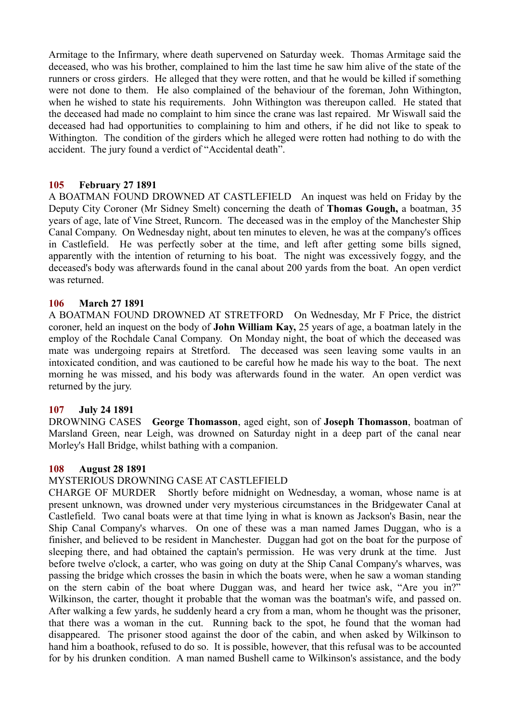Armitage to the Infirmary, where death supervened on Saturday week. Thomas Armitage said the deceased, who was his brother, complained to him the last time he saw him alive of the state of the runners or cross girders. He alleged that they were rotten, and that he would be killed if something were not done to them. He also complained of the behaviour of the foreman, John Withington, when he wished to state his requirements. John Withington was thereupon called. He stated that the deceased had made no complaint to him since the crane was last repaired. Mr Wiswall said the deceased had had opportunities to complaining to him and others, if he did not like to speak to Withington. The condition of the girders which he alleged were rotten had nothing to do with the accident. The jury found a verdict of "Accidental death".

## **105 February 27 1891**

A BOATMAN FOUND DROWNED AT CASTLEFIELD An inquest was held on Friday by the Deputy City Coroner (Mr Sidney Smelt) concerning the death of **Thomas Gough,** a boatman, 35 years of age, late of Vine Street, Runcorn. The deceased was in the employ of the Manchester Ship Canal Company. On Wednesday night, about ten minutes to eleven, he was at the company's offices in Castlefield. He was perfectly sober at the time, and left after getting some bills signed, apparently with the intention of returning to his boat. The night was excessively foggy, and the deceased's body was afterwards found in the canal about 200 yards from the boat. An open verdict was returned.

## **106 March 27 1891**

A BOATMAN FOUND DROWNED AT STRETFORD On Wednesday, Mr F Price, the district coroner, held an inquest on the body of **John William Kay,** 25 years of age, a boatman lately in the employ of the Rochdale Canal Company. On Monday night, the boat of which the deceased was mate was undergoing repairs at Stretford. The deceased was seen leaving some vaults in an intoxicated condition, and was cautioned to be careful how he made his way to the boat. The next morning he was missed, and his body was afterwards found in the water. An open verdict was returned by the jury.

## **107 July 24 1891**

DROWNING CASES **George Thomasson**, aged eight, son of **Joseph Thomasson**, boatman of Marsland Green, near Leigh, was drowned on Saturday night in a deep part of the canal near Morley's Hall Bridge, whilst bathing with a companion.

## **108 August 28 1891**

## MYSTERIOUS DROWNING CASE AT CASTLEFIELD

CHARGE OF MURDER Shortly before midnight on Wednesday, a woman, whose name is at present unknown, was drowned under very mysterious circumstances in the Bridgewater Canal at Castlefield. Two canal boats were at that time lying in what is known as Jackson's Basin, near the Ship Canal Company's wharves. On one of these was a man named James Duggan, who is a finisher, and believed to be resident in Manchester. Duggan had got on the boat for the purpose of sleeping there, and had obtained the captain's permission. He was very drunk at the time. Just before twelve o'clock, a carter, who was going on duty at the Ship Canal Company's wharves, was passing the bridge which crosses the basin in which the boats were, when he saw a woman standing on the stern cabin of the boat where Duggan was, and heard her twice ask, "Are you in?" Wilkinson, the carter, thought it probable that the woman was the boatman's wife, and passed on. After walking a few yards, he suddenly heard a cry from a man, whom he thought was the prisoner, that there was a woman in the cut. Running back to the spot, he found that the woman had disappeared. The prisoner stood against the door of the cabin, and when asked by Wilkinson to hand him a boathook, refused to do so. It is possible, however, that this refusal was to be accounted for by his drunken condition. A man named Bushell came to Wilkinson's assistance, and the body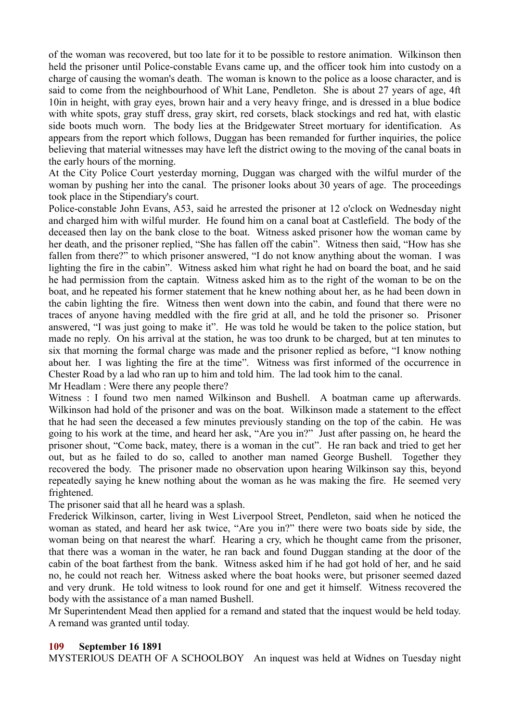of the woman was recovered, but too late for it to be possible to restore animation. Wilkinson then held the prisoner until Police-constable Evans came up, and the officer took him into custody on a charge of causing the woman's death. The woman is known to the police as a loose character, and is said to come from the neighbourhood of Whit Lane, Pendleton. She is about 27 years of age, 4ft 10in in height, with gray eyes, brown hair and a very heavy fringe, and is dressed in a blue bodice with white spots, gray stuff dress, gray skirt, red corsets, black stockings and red hat, with elastic side boots much worn. The body lies at the Bridgewater Street mortuary for identification. As appears from the report which follows, Duggan has been remanded for further inquiries, the police believing that material witnesses may have left the district owing to the moving of the canal boats in the early hours of the morning.

At the City Police Court yesterday morning, Duggan was charged with the wilful murder of the woman by pushing her into the canal. The prisoner looks about 30 years of age. The proceedings took place in the Stipendiary's court.

Police-constable John Evans, A53, said he arrested the prisoner at 12 o'clock on Wednesday night and charged him with wilful murder. He found him on a canal boat at Castlefield. The body of the deceased then lay on the bank close to the boat. Witness asked prisoner how the woman came by her death, and the prisoner replied, "She has fallen off the cabin". Witness then said, "How has she fallen from there?" to which prisoner answered, "I do not know anything about the woman. I was lighting the fire in the cabin". Witness asked him what right he had on board the boat, and he said he had permission from the captain. Witness asked him as to the right of the woman to be on the boat, and he repeated his former statement that he knew nothing about her, as he had been down in the cabin lighting the fire. Witness then went down into the cabin, and found that there were no traces of anyone having meddled with the fire grid at all, and he told the prisoner so. Prisoner answered, "I was just going to make it". He was told he would be taken to the police station, but made no reply. On his arrival at the station, he was too drunk to be charged, but at ten minutes to six that morning the formal charge was made and the prisoner replied as before, "I know nothing about her. I was lighting the fire at the time". Witness was first informed of the occurrence in Chester Road by a lad who ran up to him and told him. The lad took him to the canal. Mr Headlam : Were there any people there?

Witness : I found two men named Wilkinson and Bushell. A boatman came up afterwards. Wilkinson had hold of the prisoner and was on the boat. Wilkinson made a statement to the effect that he had seen the deceased a few minutes previously standing on the top of the cabin. He was going to his work at the time, and heard her ask, "Are you in?" Just after passing on, he heard the prisoner shout, "Come back, matey, there is a woman in the cut". He ran back and tried to get her out, but as he failed to do so, called to another man named George Bushell. Together they recovered the body. The prisoner made no observation upon hearing Wilkinson say this, beyond repeatedly saying he knew nothing about the woman as he was making the fire. He seemed very frightened.

The prisoner said that all he heard was a splash.

Frederick Wilkinson, carter, living in West Liverpool Street, Pendleton, said when he noticed the woman as stated, and heard her ask twice, "Are you in?" there were two boats side by side, the woman being on that nearest the wharf. Hearing a cry, which he thought came from the prisoner, that there was a woman in the water, he ran back and found Duggan standing at the door of the cabin of the boat farthest from the bank. Witness asked him if he had got hold of her, and he said no, he could not reach her. Witness asked where the boat hooks were, but prisoner seemed dazed and very drunk. He told witness to look round for one and get it himself. Witness recovered the body with the assistance of a man named Bushell.

Mr Superintendent Mead then applied for a remand and stated that the inquest would be held today. A remand was granted until today.

## **109 September 16 1891**

MYSTERIOUS DEATH OF A SCHOOLBOY An inquest was held at Widnes on Tuesday night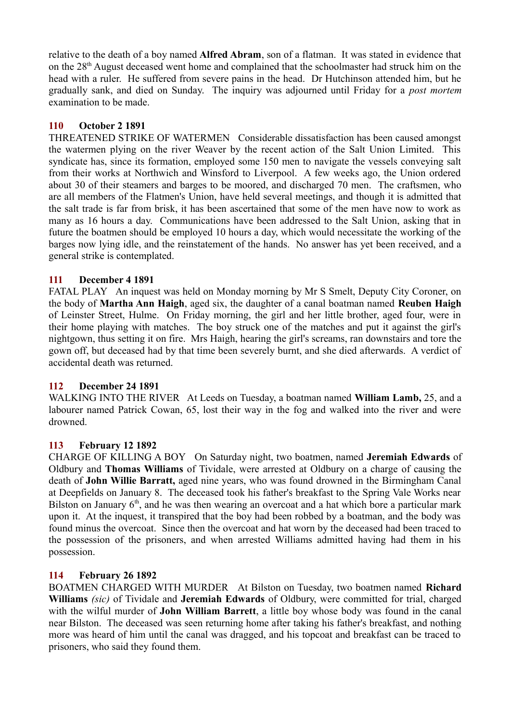relative to the death of a boy named **Alfred Abram**, son of a flatman. It was stated in evidence that on the 28th August deceased went home and complained that the schoolmaster had struck him on the head with a ruler. He suffered from severe pains in the head. Dr Hutchinson attended him, but he gradually sank, and died on Sunday. The inquiry was adjourned until Friday for a *post mortem* examination to be made.

# **110 October 2 1891**

THREATENED STRIKE OF WATERMEN Considerable dissatisfaction has been caused amongst the watermen plying on the river Weaver by the recent action of the Salt Union Limited. This syndicate has, since its formation, employed some 150 men to navigate the vessels conveying salt from their works at Northwich and Winsford to Liverpool. A few weeks ago, the Union ordered about 30 of their steamers and barges to be moored, and discharged 70 men. The craftsmen, who are all members of the Flatmen's Union, have held several meetings, and though it is admitted that the salt trade is far from brisk, it has been ascertained that some of the men have now to work as many as 16 hours a day. Communications have been addressed to the Salt Union, asking that in future the boatmen should be employed 10 hours a day, which would necessitate the working of the barges now lying idle, and the reinstatement of the hands. No answer has yet been received, and a general strike is contemplated.

## **111 December 4 1891**

FATAL PLAY An inquest was held on Monday morning by Mr S Smelt, Deputy City Coroner, on the body of **Martha Ann Haigh**, aged six, the daughter of a canal boatman named **Reuben Haigh** of Leinster Street, Hulme. On Friday morning, the girl and her little brother, aged four, were in their home playing with matches. The boy struck one of the matches and put it against the girl's nightgown, thus setting it on fire. Mrs Haigh, hearing the girl's screams, ran downstairs and tore the gown off, but deceased had by that time been severely burnt, and she died afterwards. A verdict of accidental death was returned.

## **112 December 24 1891**

WALKING INTO THE RIVER At Leeds on Tuesday, a boatman named **William Lamb,** 25, and a labourer named Patrick Cowan, 65, lost their way in the fog and walked into the river and were drowned.

## **113 February 12 1892**

CHARGE OF KILLING A BOY On Saturday night, two boatmen, named **Jeremiah Edwards** of Oldbury and **Thomas Williams** of Tividale, were arrested at Oldbury on a charge of causing the death of **John Willie Barratt,** aged nine years, who was found drowned in the Birmingham Canal at Deepfields on January 8. The deceased took his father's breakfast to the Spring Vale Works near Bilston on January  $6<sup>th</sup>$ , and he was then wearing an overcoat and a hat which bore a particular mark upon it. At the inquest, it transpired that the boy had been robbed by a boatman, and the body was found minus the overcoat. Since then the overcoat and hat worn by the deceased had been traced to the possession of the prisoners, and when arrested Williams admitted having had them in his possession.

## **114 February 26 1892**

BOATMEN CHARGED WITH MURDER At Bilston on Tuesday, two boatmen named **Richard Williams** *(sic)* of Tividale and **Jeremiah Edwards** of Oldbury, were committed for trial, charged with the wilful murder of **John William Barrett**, a little boy whose body was found in the canal near Bilston. The deceased was seen returning home after taking his father's breakfast, and nothing more was heard of him until the canal was dragged, and his topcoat and breakfast can be traced to prisoners, who said they found them.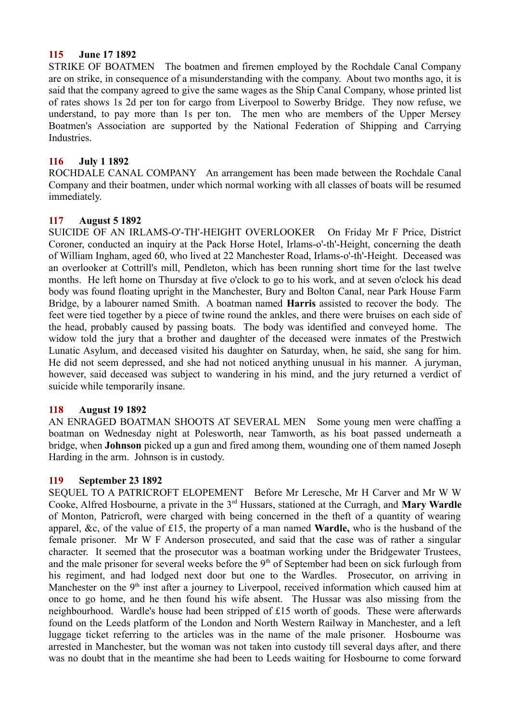## **115 June 17 1892**

STRIKE OF BOATMEN The boatmen and firemen employed by the Rochdale Canal Company are on strike, in consequence of a misunderstanding with the company. About two months ago, it is said that the company agreed to give the same wages as the Ship Canal Company, whose printed list of rates shows 1s 2d per ton for cargo from Liverpool to Sowerby Bridge. They now refuse, we understand, to pay more than 1s per ton. The men who are members of the Upper Mersey Boatmen's Association are supported by the National Federation of Shipping and Carrying **Industries** 

## **116 July 1 1892**

ROCHDALE CANAL COMPANY An arrangement has been made between the Rochdale Canal Company and their boatmen, under which normal working with all classes of boats will be resumed immediately.

## **117 August 5 1892**

SUICIDE OF AN IRLAMS-O'-TH'-HEIGHT OVERLOOKER On Friday Mr F Price, District Coroner, conducted an inquiry at the Pack Horse Hotel, Irlams-o'-th'-Height, concerning the death of William Ingham, aged 60, who lived at 22 Manchester Road, Irlams-o'-th'-Height. Deceased was an overlooker at Cottrill's mill, Pendleton, which has been running short time for the last twelve months. He left home on Thursday at five o'clock to go to his work, and at seven o'clock his dead body was found floating upright in the Manchester, Bury and Bolton Canal, near Park House Farm Bridge, by a labourer named Smith. A boatman named **Harris** assisted to recover the body. The feet were tied together by a piece of twine round the ankles, and there were bruises on each side of the head, probably caused by passing boats. The body was identified and conveyed home. The widow told the jury that a brother and daughter of the deceased were inmates of the Prestwich Lunatic Asylum, and deceased visited his daughter on Saturday, when, he said, she sang for him. He did not seem depressed, and she had not noticed anything unusual in his manner. A juryman, however, said deceased was subject to wandering in his mind, and the jury returned a verdict of suicide while temporarily insane.

## **118 August 19 1892**

AN ENRAGED BOATMAN SHOOTS AT SEVERAL MEN Some young men were chaffing a boatman on Wednesday night at Polesworth, near Tamworth, as his boat passed underneath a bridge, when **Johnson** picked up a gun and fired among them, wounding one of them named Joseph Harding in the arm. Johnson is in custody.

## **119 September 23 1892**

SEQUEL TO A PATRICROFT ELOPEMENT Before Mr Leresche, Mr H Carver and Mr W W Cooke, Alfred Hosbourne, a private in the 3rd Hussars, stationed at the Curragh, and **Mary Wardle** of Monton, Patricroft, were charged with being concerned in the theft of a quantity of wearing apparel, &c, of the value of £15, the property of a man named **Wardle,** who is the husband of the female prisoner. Mr W F Anderson prosecuted, and said that the case was of rather a singular character. It seemed that the prosecutor was a boatman working under the Bridgewater Trustees, and the male prisoner for several weeks before the 9<sup>th</sup> of September had been on sick furlough from his regiment, and had lodged next door but one to the Wardles. Prosecutor, on arriving in Manchester on the 9<sup>th</sup> inst after a journey to Liverpool, received information which caused him at once to go home, and he then found his wife absent. The Hussar was also missing from the neighbourhood. Wardle's house had been stripped of £15 worth of goods. These were afterwards found on the Leeds platform of the London and North Western Railway in Manchester, and a left luggage ticket referring to the articles was in the name of the male prisoner. Hosbourne was arrested in Manchester, but the woman was not taken into custody till several days after, and there was no doubt that in the meantime she had been to Leeds waiting for Hosbourne to come forward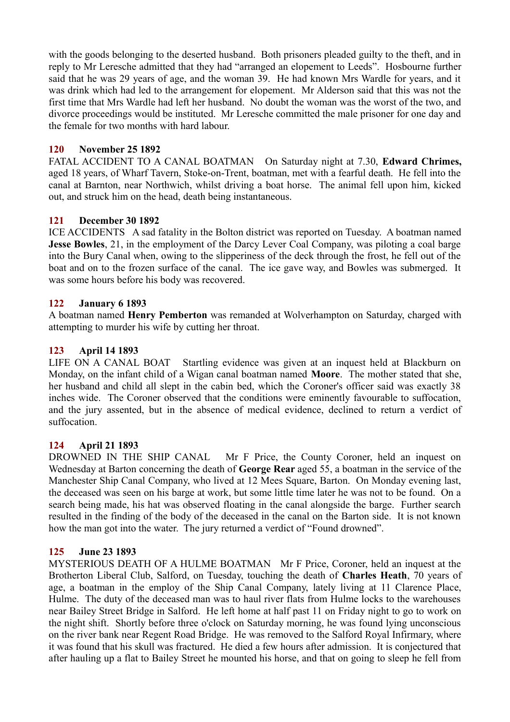with the goods belonging to the deserted husband. Both prisoners pleaded guilty to the theft, and in reply to Mr Leresche admitted that they had "arranged an elopement to Leeds". Hosbourne further said that he was 29 years of age, and the woman 39. He had known Mrs Wardle for years, and it was drink which had led to the arrangement for elopement. Mr Alderson said that this was not the first time that Mrs Wardle had left her husband. No doubt the woman was the worst of the two, and divorce proceedings would be instituted. Mr Leresche committed the male prisoner for one day and the female for two months with hard labour.

# **120 November 25 1892**

FATAL ACCIDENT TO A CANAL BOATMAN On Saturday night at 7.30, **Edward Chrimes,** aged 18 years, of Wharf Tavern, Stoke-on-Trent, boatman, met with a fearful death. He fell into the canal at Barnton, near Northwich, whilst driving a boat horse. The animal fell upon him, kicked out, and struck him on the head, death being instantaneous.

# **121 December 30 1892**

ICE ACCIDENTS A sad fatality in the Bolton district was reported on Tuesday. A boatman named **Jesse Bowles**, 21, in the employment of the Darcy Lever Coal Company, was piloting a coal barge into the Bury Canal when, owing to the slipperiness of the deck through the frost, he fell out of the boat and on to the frozen surface of the canal. The ice gave way, and Bowles was submerged. It was some hours before his body was recovered.

# **122 January 6 1893**

A boatman named **Henry Pemberton** was remanded at Wolverhampton on Saturday, charged with attempting to murder his wife by cutting her throat.

# **123 April 14 1893**

LIFE ON A CANAL BOAT Startling evidence was given at an inquest held at Blackburn on Monday, on the infant child of a Wigan canal boatman named **Moore**. The mother stated that she, her husband and child all slept in the cabin bed, which the Coroner's officer said was exactly 38 inches wide. The Coroner observed that the conditions were eminently favourable to suffocation, and the jury assented, but in the absence of medical evidence, declined to return a verdict of suffocation.

# **124 April 21 1893**

DROWNED IN THE SHIP CANAL Mr F Price, the County Coroner, held an inquest on Wednesday at Barton concerning the death of **George Rear** aged 55, a boatman in the service of the Manchester Ship Canal Company, who lived at 12 Mees Square, Barton. On Monday evening last, the deceased was seen on his barge at work, but some little time later he was not to be found. On a search being made, his hat was observed floating in the canal alongside the barge. Further search resulted in the finding of the body of the deceased in the canal on the Barton side. It is not known how the man got into the water. The jury returned a verdict of "Found drowned".

# **125 June 23 1893**

MYSTERIOUS DEATH OF A HULME BOATMAN Mr F Price, Coroner, held an inquest at the Brotherton Liberal Club, Salford, on Tuesday, touching the death of **Charles Heath**, 70 years of age, a boatman in the employ of the Ship Canal Company, lately living at 11 Clarence Place, Hulme. The duty of the deceased man was to haul river flats from Hulme locks to the warehouses near Bailey Street Bridge in Salford. He left home at half past 11 on Friday night to go to work on the night shift. Shortly before three o'clock on Saturday morning, he was found lying unconscious on the river bank near Regent Road Bridge. He was removed to the Salford Royal Infirmary, where it was found that his skull was fractured. He died a few hours after admission. It is conjectured that after hauling up a flat to Bailey Street he mounted his horse, and that on going to sleep he fell from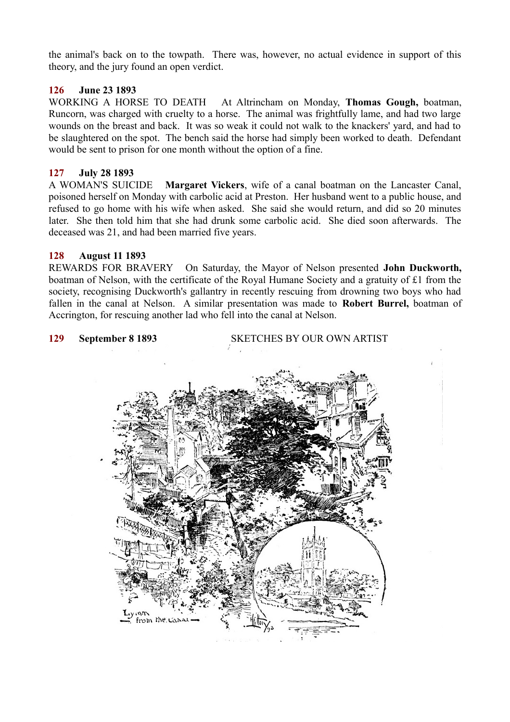the animal's back on to the towpath. There was, however, no actual evidence in support of this theory, and the jury found an open verdict.

## **126 June 23 1893**

WORKING A HORSE TO DEATH At Altrincham on Monday, **Thomas Gough,** boatman, Runcorn, was charged with cruelty to a horse. The animal was frightfully lame, and had two large wounds on the breast and back. It was so weak it could not walk to the knackers' yard, and had to be slaughtered on the spot. The bench said the horse had simply been worked to death. Defendant would be sent to prison for one month without the option of a fine.

### **127 July 28 1893**

A WOMAN'S SUICIDE **Margaret Vickers**, wife of a canal boatman on the Lancaster Canal, poisoned herself on Monday with carbolic acid at Preston. Her husband went to a public house, and refused to go home with his wife when asked. She said she would return, and did so 20 minutes later. She then told him that she had drunk some carbolic acid. She died soon afterwards. The deceased was 21, and had been married five years.

### **128 August 11 1893**

REWARDS FOR BRAVERY On Saturday, the Mayor of Nelson presented **John Duckworth,** boatman of Nelson, with the certificate of the Royal Humane Society and a gratuity of £1 from the society, recognising Duckworth's gallantry in recently rescuing from drowning two boys who had fallen in the canal at Nelson. A similar presentation was made to **Robert Burrel,** boatman of Accrington, for rescuing another lad who fell into the canal at Nelson.

**129 September 8 1893** SKETCHES BY OUR OWN ARTIST

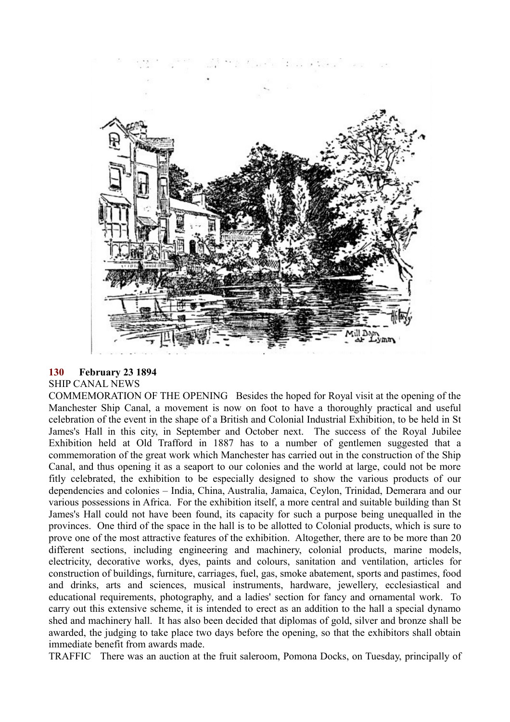

## **130 February 23 1894**

# SHIP CANAL NEWS

COMMEMORATION OF THE OPENING Besides the hoped for Royal visit at the opening of the Manchester Ship Canal, a movement is now on foot to have a thoroughly practical and useful celebration of the event in the shape of a British and Colonial Industrial Exhibition, to be held in St James's Hall in this city, in September and October next. The success of the Royal Jubilee Exhibition held at Old Trafford in 1887 has to a number of gentlemen suggested that a commemoration of the great work which Manchester has carried out in the construction of the Ship Canal, and thus opening it as a seaport to our colonies and the world at large, could not be more fitly celebrated, the exhibition to be especially designed to show the various products of our dependencies and colonies – India, China, Australia, Jamaica, Ceylon, Trinidad, Demerara and our various possessions in Africa. For the exhibition itself, a more central and suitable building than St James's Hall could not have been found, its capacity for such a purpose being unequalled in the provinces. One third of the space in the hall is to be allotted to Colonial products, which is sure to prove one of the most attractive features of the exhibition. Altogether, there are to be more than 20 different sections, including engineering and machinery, colonial products, marine models, electricity, decorative works, dyes, paints and colours, sanitation and ventilation, articles for construction of buildings, furniture, carriages, fuel, gas, smoke abatement, sports and pastimes, food and drinks, arts and sciences, musical instruments, hardware, jewellery, ecclesiastical and educational requirements, photography, and a ladies' section for fancy and ornamental work. To carry out this extensive scheme, it is intended to erect as an addition to the hall a special dynamo shed and machinery hall. It has also been decided that diplomas of gold, silver and bronze shall be awarded, the judging to take place two days before the opening, so that the exhibitors shall obtain immediate benefit from awards made.

TRAFFIC There was an auction at the fruit saleroom, Pomona Docks, on Tuesday, principally of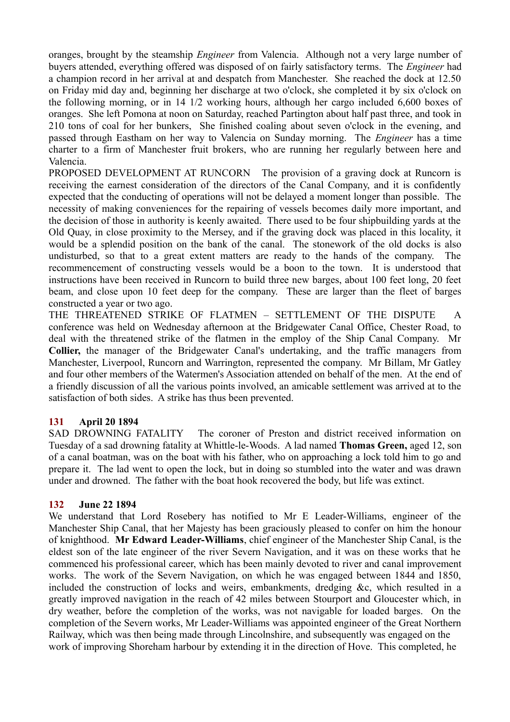oranges, brought by the steamship *Engineer* from Valencia. Although not a very large number of buyers attended, everything offered was disposed of on fairly satisfactory terms. The *Engineer* had a champion record in her arrival at and despatch from Manchester. She reached the dock at 12.50 on Friday mid day and, beginning her discharge at two o'clock, she completed it by six o'clock on the following morning, or in 14 1/2 working hours, although her cargo included 6,600 boxes of oranges. She left Pomona at noon on Saturday, reached Partington about half past three, and took in 210 tons of coal for her bunkers, She finished coaling about seven o'clock in the evening, and passed through Eastham on her way to Valencia on Sunday morning. The *Engineer* has a time charter to a firm of Manchester fruit brokers, who are running her regularly between here and Valencia.

PROPOSED DEVELOPMENT AT RUNCORN The provision of a graving dock at Runcorn is receiving the earnest consideration of the directors of the Canal Company, and it is confidently expected that the conducting of operations will not be delayed a moment longer than possible. The necessity of making conveniences for the repairing of vessels becomes daily more important, and the decision of those in authority is keenly awaited. There used to be four shipbuilding yards at the Old Quay, in close proximity to the Mersey, and if the graving dock was placed in this locality, it would be a splendid position on the bank of the canal. The stonework of the old docks is also undisturbed, so that to a great extent matters are ready to the hands of the company. The recommencement of constructing vessels would be a boon to the town. It is understood that instructions have been received in Runcorn to build three new barges, about 100 feet long, 20 feet beam, and close upon 10 feet deep for the company. These are larger than the fleet of barges constructed a year or two ago.

THE THREATENED STRIKE OF FLATMEN – SETTLEMENT OF THE DISPUTE A conference was held on Wednesday afternoon at the Bridgewater Canal Office, Chester Road, to deal with the threatened strike of the flatmen in the employ of the Ship Canal Company. Mr **Collier,** the manager of the Bridgewater Canal's undertaking, and the traffic managers from Manchester, Liverpool, Runcorn and Warrington, represented the company. Mr Billam, Mr Gatley and four other members of the Watermen's Association attended on behalf of the men. At the end of a friendly discussion of all the various points involved, an amicable settlement was arrived at to the satisfaction of both sides. A strike has thus been prevented.

# **131 April 20 1894**

SAD DROWNING FATALITY The coroner of Preston and district received information on Tuesday of a sad drowning fatality at Whittle-le-Woods. A lad named **Thomas Green,** aged 12, son of a canal boatman, was on the boat with his father, who on approaching a lock told him to go and prepare it. The lad went to open the lock, but in doing so stumbled into the water and was drawn under and drowned. The father with the boat hook recovered the body, but life was extinct.

## **132 June 22 1894**

We understand that Lord Rosebery has notified to Mr E Leader-Williams, engineer of the Manchester Ship Canal, that her Majesty has been graciously pleased to confer on him the honour of knighthood. **Mr Edward Leader-Williams**, chief engineer of the Manchester Ship Canal, is the eldest son of the late engineer of the river Severn Navigation, and it was on these works that he commenced his professional career, which has been mainly devoted to river and canal improvement works. The work of the Severn Navigation, on which he was engaged between 1844 and 1850, included the construction of locks and weirs, embankments, dredging &c, which resulted in a greatly improved navigation in the reach of 42 miles between Stourport and Gloucester which, in dry weather, before the completion of the works, was not navigable for loaded barges. On the completion of the Severn works, Mr Leader-Williams was appointed engineer of the Great Northern Railway, which was then being made through Lincolnshire, and subsequently was engaged on the work of improving Shoreham harbour by extending it in the direction of Hove. This completed, he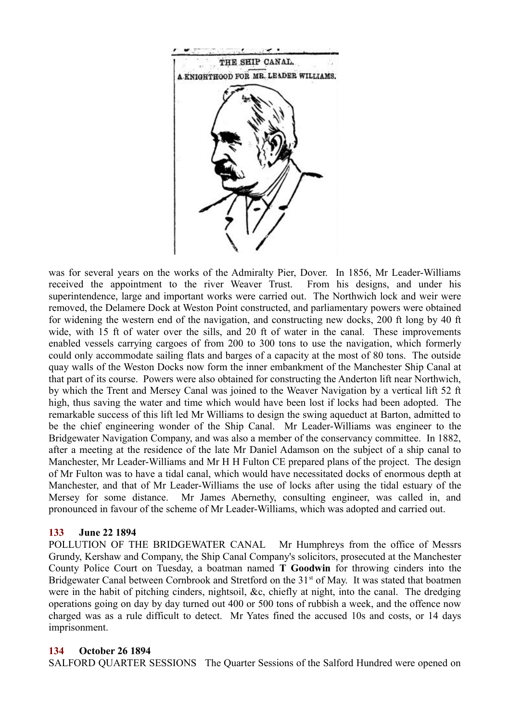

was for several years on the works of the Admiralty Pier, Dover. In 1856, Mr Leader-Williams received the appointment to the river Weaver Trust. From his designs, and under his superintendence, large and important works were carried out. The Northwich lock and weir were removed, the Delamere Dock at Weston Point constructed, and parliamentary powers were obtained for widening the western end of the navigation, and constructing new docks, 200 ft long by 40 ft wide, with 15 ft of water over the sills, and 20 ft of water in the canal. These improvements enabled vessels carrying cargoes of from 200 to 300 tons to use the navigation, which formerly could only accommodate sailing flats and barges of a capacity at the most of 80 tons. The outside quay walls of the Weston Docks now form the inner embankment of the Manchester Ship Canal at that part of its course. Powers were also obtained for constructing the Anderton lift near Northwich, by which the Trent and Mersey Canal was joined to the Weaver Navigation by a vertical lift 52 ft high, thus saving the water and time which would have been lost if locks had been adopted. The remarkable success of this lift led Mr Williams to design the swing aqueduct at Barton, admitted to be the chief engineering wonder of the Ship Canal. Mr Leader-Williams was engineer to the Bridgewater Navigation Company, and was also a member of the conservancy committee. In 1882, after a meeting at the residence of the late Mr Daniel Adamson on the subject of a ship canal to Manchester, Mr Leader-Williams and Mr H H Fulton CE prepared plans of the project. The design of Mr Fulton was to have a tidal canal, which would have necessitated docks of enormous depth at Manchester, and that of Mr Leader-Williams the use of locks after using the tidal estuary of the Mersey for some distance. Mr James Abernethy, consulting engineer, was called in, and pronounced in favour of the scheme of Mr Leader-Williams, which was adopted and carried out.

## **133 June 22 1894**

POLLUTION OF THE BRIDGEWATER CANAL Mr Humphreys from the office of Messrs Grundy, Kershaw and Company, the Ship Canal Company's solicitors, prosecuted at the Manchester County Police Court on Tuesday, a boatman named **T Goodwin** for throwing cinders into the Bridgewater Canal between Cornbrook and Stretford on the 31<sup>st</sup> of May. It was stated that boatmen were in the habit of pitching cinders, nightsoil, &c, chiefly at night, into the canal. The dredging operations going on day by day turned out 400 or 500 tons of rubbish a week, and the offence now charged was as a rule difficult to detect. Mr Yates fined the accused 10s and costs, or 14 days imprisonment.

## **134 October 26 1894**

SALFORD QUARTER SESSIONS The Quarter Sessions of the Salford Hundred were opened on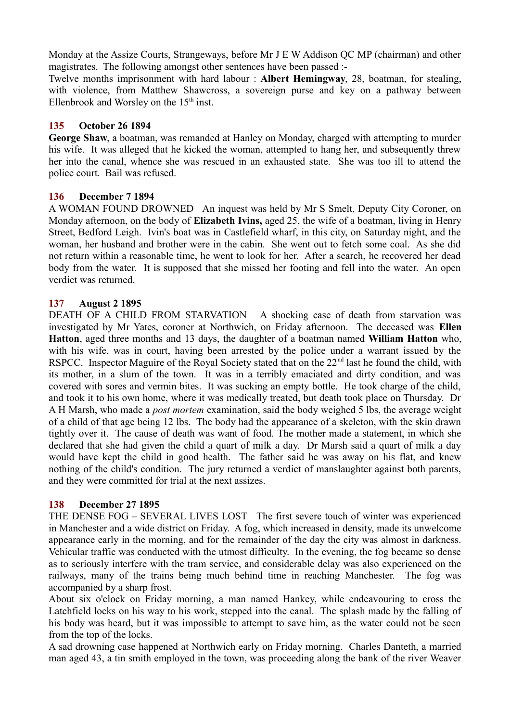Monday at the Assize Courts, Strangeways, before Mr J E W Addison QC MP (chairman) and other magistrates. The following amongst other sentences have been passed :-

Twelve months imprisonment with hard labour : **Albert Hemingway**, 28, boatman, for stealing, with violence, from Matthew Shawcross, a sovereign purse and key on a pathway between Ellenbrook and Worsley on the  $15<sup>th</sup>$  inst.

## **135 October 26 1894**

**George Shaw**, a boatman, was remanded at Hanley on Monday, charged with attempting to murder his wife. It was alleged that he kicked the woman, attempted to hang her, and subsequently threw her into the canal, whence she was rescued in an exhausted state. She was too ill to attend the police court. Bail was refused.

## **136 December 7 1894**

A WOMAN FOUND DROWNED An inquest was held by Mr S Smelt, Deputy City Coroner, on Monday afternoon, on the body of **Elizabeth Ivins,** aged 25, the wife of a boatman, living in Henry Street, Bedford Leigh. Ivin's boat was in Castlefield wharf, in this city, on Saturday night, and the woman, her husband and brother were in the cabin. She went out to fetch some coal. As she did not return within a reasonable time, he went to look for her. After a search, he recovered her dead body from the water. It is supposed that she missed her footing and fell into the water. An open verdict was returned.

## **137 August 2 1895**

DEATH OF A CHILD FROM STARVATION A shocking case of death from starvation was investigated by Mr Yates, coroner at Northwich, on Friday afternoon. The deceased was **Ellen Hatton**, aged three months and 13 days, the daughter of a boatman named **William Hatton** who, with his wife, was in court, having been arrested by the police under a warrant issued by the RSPCC. Inspector Maguire of the Royal Society stated that on the 22<sup>nd</sup> last he found the child, with its mother, in a slum of the town. It was in a terribly emaciated and dirty condition, and was covered with sores and vermin bites. It was sucking an empty bottle. He took charge of the child, and took it to his own home, where it was medically treated, but death took place on Thursday. Dr A H Marsh, who made a *post mortem* examination, said the body weighed 5 lbs, the average weight of a child of that age being 12 lbs. The body had the appearance of a skeleton, with the skin drawn tightly over it. The cause of death was want of food. The mother made a statement, in which she declared that she had given the child a quart of milk a day. Dr Marsh said a quart of milk a day would have kept the child in good health. The father said he was away on his flat, and knew nothing of the child's condition. The jury returned a verdict of manslaughter against both parents, and they were committed for trial at the next assizes.

## **138 December 27 1895**

THE DENSE FOG – SEVERAL LIVES LOST The first severe touch of winter was experienced in Manchester and a wide district on Friday. A fog, which increased in density, made its unwelcome appearance early in the morning, and for the remainder of the day the city was almost in darkness. Vehicular traffic was conducted with the utmost difficulty. In the evening, the fog became so dense as to seriously interfere with the tram service, and considerable delay was also experienced on the railways, many of the trains being much behind time in reaching Manchester. The fog was accompanied by a sharp frost.

About six o'clock on Friday morning, a man named Hankey, while endeavouring to cross the Latchfield locks on his way to his work, stepped into the canal. The splash made by the falling of his body was heard, but it was impossible to attempt to save him, as the water could not be seen from the top of the locks.

A sad drowning case happened at Northwich early on Friday morning. Charles Danteth, a married man aged 43, a tin smith employed in the town, was proceeding along the bank of the river Weaver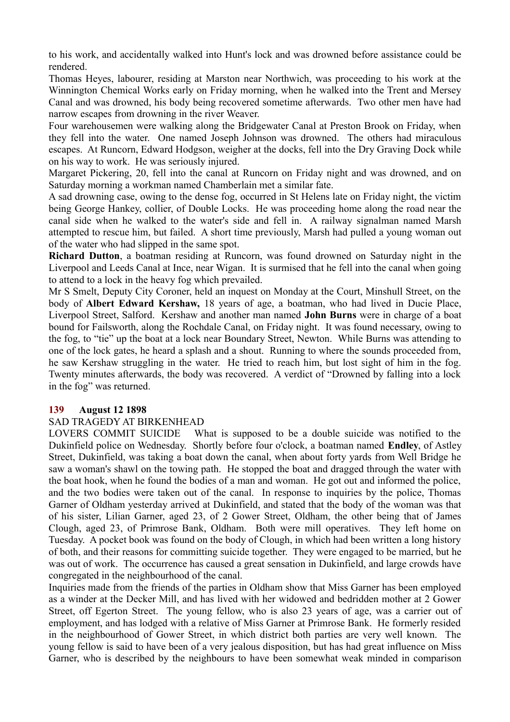to his work, and accidentally walked into Hunt's lock and was drowned before assistance could be rendered.

Thomas Heyes, labourer, residing at Marston near Northwich, was proceeding to his work at the Winnington Chemical Works early on Friday morning, when he walked into the Trent and Mersey Canal and was drowned, his body being recovered sometime afterwards. Two other men have had narrow escapes from drowning in the river Weaver.

Four warehousemen were walking along the Bridgewater Canal at Preston Brook on Friday, when they fell into the water. One named Joseph Johnson was drowned. The others had miraculous escapes. At Runcorn, Edward Hodgson, weigher at the docks, fell into the Dry Graving Dock while on his way to work. He was seriously injured.

Margaret Pickering, 20, fell into the canal at Runcorn on Friday night and was drowned, and on Saturday morning a workman named Chamberlain met a similar fate.

A sad drowning case, owing to the dense fog, occurred in St Helens late on Friday night, the victim being George Hankey, collier, of Double Locks. He was proceeding home along the road near the canal side when he walked to the water's side and fell in. A railway signalman named Marsh attempted to rescue him, but failed. A short time previously, Marsh had pulled a young woman out of the water who had slipped in the same spot.

**Richard Dutton**, a boatman residing at Runcorn, was found drowned on Saturday night in the Liverpool and Leeds Canal at Ince, near Wigan. It is surmised that he fell into the canal when going to attend to a lock in the heavy fog which prevailed.

Mr S Smelt, Deputy City Coroner, held an inquest on Monday at the Court, Minshull Street, on the body of **Albert Edward Kershaw,** 18 years of age, a boatman, who had lived in Ducie Place, Liverpool Street, Salford. Kershaw and another man named **John Burns** were in charge of a boat bound for Failsworth, along the Rochdale Canal, on Friday night. It was found necessary, owing to the fog, to "tie" up the boat at a lock near Boundary Street, Newton. While Burns was attending to one of the lock gates, he heard a splash and a shout. Running to where the sounds proceeded from, he saw Kershaw struggling in the water. He tried to reach him, but lost sight of him in the fog. Twenty minutes afterwards, the body was recovered. A verdict of "Drowned by falling into a lock in the fog" was returned.

## **139 August 12 1898**

# SAD TRAGEDY AT BIRKENHEAD

LOVERS COMMIT SUICIDE What is supposed to be a double suicide was notified to the Dukinfield police on Wednesday. Shortly before four o'clock, a boatman named **Endley**, of Astley Street, Dukinfield, was taking a boat down the canal, when about forty yards from Well Bridge he saw a woman's shawl on the towing path. He stopped the boat and dragged through the water with the boat hook, when he found the bodies of a man and woman. He got out and informed the police, and the two bodies were taken out of the canal. In response to inquiries by the police, Thomas Garner of Oldham yesterday arrived at Dukinfield, and stated that the body of the woman was that of his sister, Lilian Garner, aged 23, of 2 Gower Street, Oldham, the other being that of James Clough, aged 23, of Primrose Bank, Oldham. Both were mill operatives. They left home on Tuesday. A pocket book was found on the body of Clough, in which had been written a long history of both, and their reasons for committing suicide together. They were engaged to be married, but he was out of work. The occurrence has caused a great sensation in Dukinfield, and large crowds have congregated in the neighbourhood of the canal.

Inquiries made from the friends of the parties in Oldham show that Miss Garner has been employed as a winder at the Decker Mill, and has lived with her widowed and bedridden mother at 2 Gower Street, off Egerton Street. The young fellow, who is also 23 years of age, was a carrier out of employment, and has lodged with a relative of Miss Garner at Primrose Bank. He formerly resided in the neighbourhood of Gower Street, in which district both parties are very well known. The young fellow is said to have been of a very jealous disposition, but has had great influence on Miss Garner, who is described by the neighbours to have been somewhat weak minded in comparison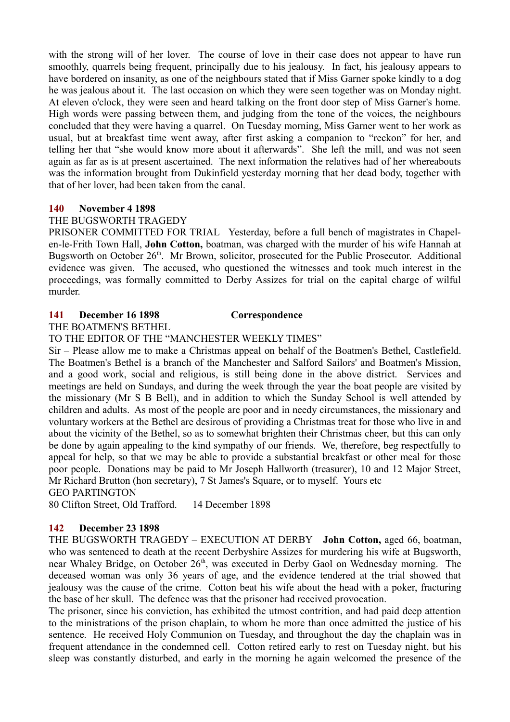with the strong will of her lover. The course of love in their case does not appear to have run smoothly, quarrels being frequent, principally due to his jealousy. In fact, his jealousy appears to have bordered on insanity, as one of the neighbours stated that if Miss Garner spoke kindly to a dog he was jealous about it. The last occasion on which they were seen together was on Monday night. At eleven o'clock, they were seen and heard talking on the front door step of Miss Garner's home. High words were passing between them, and judging from the tone of the voices, the neighbours concluded that they were having a quarrel. On Tuesday morning, Miss Garner went to her work as usual, but at breakfast time went away, after first asking a companion to "reckon" for her, and telling her that "she would know more about it afterwards". She left the mill, and was not seen again as far as is at present ascertained. The next information the relatives had of her whereabouts was the information brought from Dukinfield yesterday morning that her dead body, together with that of her lover, had been taken from the canal.

## **140 November 4 1898**

## THE BUGSWORTH TRAGEDY

PRISONER COMMITTED FOR TRIAL Yesterday, before a full bench of magistrates in Chapelen-le-Frith Town Hall, **John Cotton,** boatman, was charged with the murder of his wife Hannah at Bugsworth on October 26<sup>th</sup>. Mr Brown, solicitor, prosecuted for the Public Prosecutor. Additional evidence was given. The accused, who questioned the witnesses and took much interest in the proceedings, was formally committed to Derby Assizes for trial on the capital charge of wilful murder.

## **141 December 16 1898 Correspondence**

THE BOATMEN'S BETHEL

TO THE EDITOR OF THE "MANCHESTER WEEKLY TIMES"

Sir – Please allow me to make a Christmas appeal on behalf of the Boatmen's Bethel, Castlefield. The Boatmen's Bethel is a branch of the Manchester and Salford Sailors' and Boatmen's Mission, and a good work, social and religious, is still being done in the above district. Services and meetings are held on Sundays, and during the week through the year the boat people are visited by the missionary (Mr S B Bell), and in addition to which the Sunday School is well attended by children and adults. As most of the people are poor and in needy circumstances, the missionary and voluntary workers at the Bethel are desirous of providing a Christmas treat for those who live in and about the vicinity of the Bethel, so as to somewhat brighten their Christmas cheer, but this can only be done by again appealing to the kind sympathy of our friends. We, therefore, beg respectfully to appeal for help, so that we may be able to provide a substantial breakfast or other meal for those poor people. Donations may be paid to Mr Joseph Hallworth (treasurer), 10 and 12 Major Street, Mr Richard Brutton (hon secretary), 7 St James's Square, or to myself. Yours etc GEO PARTINGTON

80 Clifton Street, Old Trafford. 14 December 1898

# **142 December 23 1898**

THE BUGSWORTH TRAGEDY – EXECUTION AT DERBY **John Cotton,** aged 66, boatman, who was sentenced to death at the recent Derbyshire Assizes for murdering his wife at Bugsworth, near Whaley Bridge, on October 26<sup>th</sup>, was executed in Derby Gaol on Wednesday morning. The deceased woman was only 36 years of age, and the evidence tendered at the trial showed that jealousy was the cause of the crime. Cotton beat his wife about the head with a poker, fracturing the base of her skull. The defence was that the prisoner had received provocation.

The prisoner, since his conviction, has exhibited the utmost contrition, and had paid deep attention to the ministrations of the prison chaplain, to whom he more than once admitted the justice of his sentence. He received Holy Communion on Tuesday, and throughout the day the chaplain was in frequent attendance in the condemned cell. Cotton retired early to rest on Tuesday night, but his sleep was constantly disturbed, and early in the morning he again welcomed the presence of the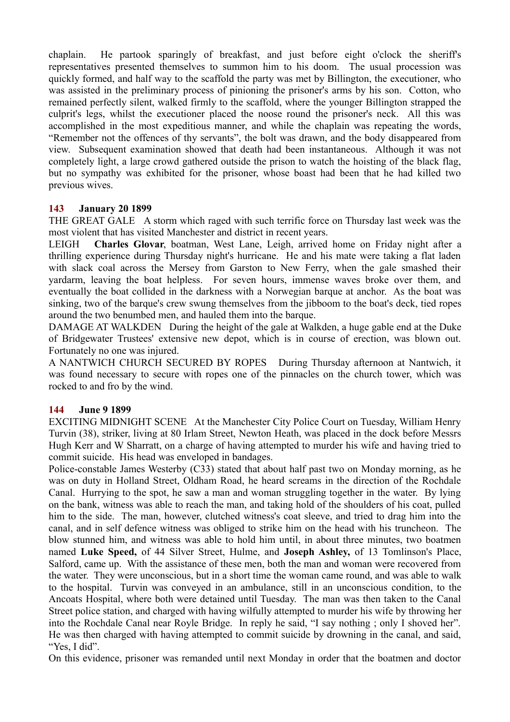chaplain. He partook sparingly of breakfast, and just before eight o'clock the sheriff's representatives presented themselves to summon him to his doom. The usual procession was quickly formed, and half way to the scaffold the party was met by Billington, the executioner, who was assisted in the preliminary process of pinioning the prisoner's arms by his son. Cotton, who remained perfectly silent, walked firmly to the scaffold, where the younger Billington strapped the culprit's legs, whilst the executioner placed the noose round the prisoner's neck. All this was accomplished in the most expeditious manner, and while the chaplain was repeating the words, "Remember not the offences of thy servants", the bolt was drawn, and the body disappeared from view. Subsequent examination showed that death had been instantaneous. Although it was not completely light, a large crowd gathered outside the prison to watch the hoisting of the black flag, but no sympathy was exhibited for the prisoner, whose boast had been that he had killed two previous wives.

## **143 January 20 1899**

THE GREAT GALE A storm which raged with such terrific force on Thursday last week was the most violent that has visited Manchester and district in recent years.

LEIGH **Charles Glovar**, boatman, West Lane, Leigh, arrived home on Friday night after a thrilling experience during Thursday night's hurricane. He and his mate were taking a flat laden with slack coal across the Mersey from Garston to New Ferry, when the gale smashed their yardarm, leaving the boat helpless. For seven hours, immense waves broke over them, and eventually the boat collided in the darkness with a Norwegian barque at anchor. As the boat was sinking, two of the barque's crew swung themselves from the jibboom to the boat's deck, tied ropes around the two benumbed men, and hauled them into the barque.

DAMAGE AT WALKDEN During the height of the gale at Walkden, a huge gable end at the Duke of Bridgewater Trustees' extensive new depot, which is in course of erection, was blown out. Fortunately no one was injured.

A NANTWICH CHURCH SECURED BY ROPES During Thursday afternoon at Nantwich, it was found necessary to secure with ropes one of the pinnacles on the church tower, which was rocked to and fro by the wind.

# **144 June 9 1899**

EXCITING MIDNIGHT SCENE At the Manchester City Police Court on Tuesday, William Henry Turvin (38), striker, living at 80 Irlam Street, Newton Heath, was placed in the dock before Messrs Hugh Kerr and W Sharratt, on a charge of having attempted to murder his wife and having tried to commit suicide. His head was enveloped in bandages.

Police-constable James Westerby (C33) stated that about half past two on Monday morning, as he was on duty in Holland Street, Oldham Road, he heard screams in the direction of the Rochdale Canal. Hurrying to the spot, he saw a man and woman struggling together in the water. By lying on the bank, witness was able to reach the man, and taking hold of the shoulders of his coat, pulled him to the side. The man, however, clutched witness's coat sleeve, and tried to drag him into the canal, and in self defence witness was obliged to strike him on the head with his truncheon. The blow stunned him, and witness was able to hold him until, in about three minutes, two boatmen named **Luke Speed,** of 44 Silver Street, Hulme, and **Joseph Ashley,** of 13 Tomlinson's Place, Salford, came up. With the assistance of these men, both the man and woman were recovered from the water. They were unconscious, but in a short time the woman came round, and was able to walk to the hospital. Turvin was conveyed in an ambulance, still in an unconscious condition, to the Ancoats Hospital, where both were detained until Tuesday. The man was then taken to the Canal Street police station, and charged with having wilfully attempted to murder his wife by throwing her into the Rochdale Canal near Royle Bridge. In reply he said, "I say nothing ; only I shoved her". He was then charged with having attempted to commit suicide by drowning in the canal, and said, "Yes, I did".

On this evidence, prisoner was remanded until next Monday in order that the boatmen and doctor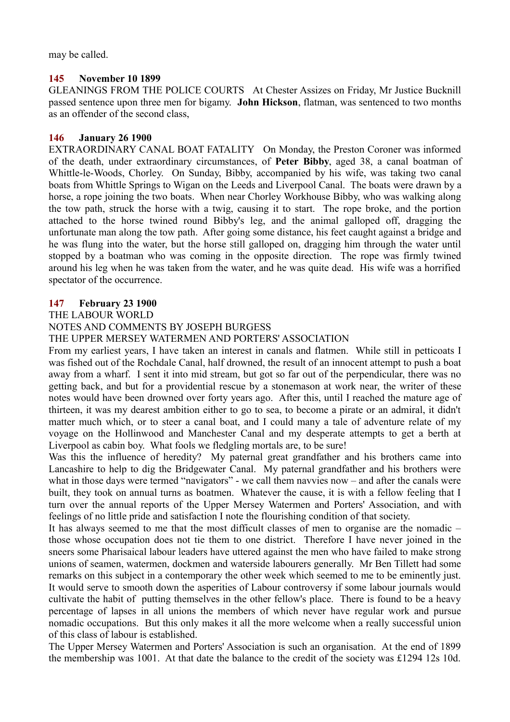may be called.

## **145 November 10 1899**

GLEANINGS FROM THE POLICE COURTS At Chester Assizes on Friday, Mr Justice Bucknill passed sentence upon three men for bigamy. **John Hickson**, flatman, was sentenced to two months as an offender of the second class,

## **146 January 26 1900**

EXTRAORDINARY CANAL BOAT FATALITY On Monday, the Preston Coroner was informed of the death, under extraordinary circumstances, of **Peter Bibby**, aged 38, a canal boatman of Whittle-le-Woods, Chorley. On Sunday, Bibby, accompanied by his wife, was taking two canal boats from Whittle Springs to Wigan on the Leeds and Liverpool Canal. The boats were drawn by a horse, a rope joining the two boats. When near Chorley Workhouse Bibby, who was walking along the tow path, struck the horse with a twig, causing it to start. The rope broke, and the portion attached to the horse twined round Bibby's leg, and the animal galloped off, dragging the unfortunate man along the tow path. After going some distance, his feet caught against a bridge and he was flung into the water, but the horse still galloped on, dragging him through the water until stopped by a boatman who was coming in the opposite direction. The rope was firmly twined around his leg when he was taken from the water, and he was quite dead. His wife was a horrified spectator of the occurrence.

# **147 February 23 1900**

THE LABOUR WORLD

## NOTES AND COMMENTS BY JOSEPH BURGESS

THE UPPER MERSEY WATERMEN AND PORTERS' ASSOCIATION

From my earliest years, I have taken an interest in canals and flatmen. While still in petticoats I was fished out of the Rochdale Canal, half drowned, the result of an innocent attempt to push a boat away from a wharf. I sent it into mid stream, but got so far out of the perpendicular, there was no getting back, and but for a providential rescue by a stonemason at work near, the writer of these notes would have been drowned over forty years ago. After this, until I reached the mature age of thirteen, it was my dearest ambition either to go to sea, to become a pirate or an admiral, it didn't matter much which, or to steer a canal boat, and I could many a tale of adventure relate of my voyage on the Hollinwood and Manchester Canal and my desperate attempts to get a berth at Liverpool as cabin boy. What fools we fledgling mortals are, to be sure!

Was this the influence of heredity? My paternal great grandfather and his brothers came into Lancashire to help to dig the Bridgewater Canal. My paternal grandfather and his brothers were what in those days were termed "navigators" - we call them navvies now – and after the canals were built, they took on annual turns as boatmen. Whatever the cause, it is with a fellow feeling that I turn over the annual reports of the Upper Mersey Watermen and Porters' Association, and with feelings of no little pride and satisfaction I note the flourishing condition of that society.

It has always seemed to me that the most difficult classes of men to organise are the nomadic – those whose occupation does not tie them to one district. Therefore I have never joined in the sneers some Pharisaical labour leaders have uttered against the men who have failed to make strong unions of seamen, watermen, dockmen and waterside labourers generally. Mr Ben Tillett had some remarks on this subject in a contemporary the other week which seemed to me to be eminently just. It would serve to smooth down the asperities of Labour controversy if some labour journals would cultivate the habit of putting themselves in the other fellow's place. There is found to be a heavy percentage of lapses in all unions the members of which never have regular work and pursue nomadic occupations. But this only makes it all the more welcome when a really successful union of this class of labour is established.

The Upper Mersey Watermen and Porters' Association is such an organisation. At the end of 1899 the membership was 1001. At that date the balance to the credit of the society was £1294 12s 10d.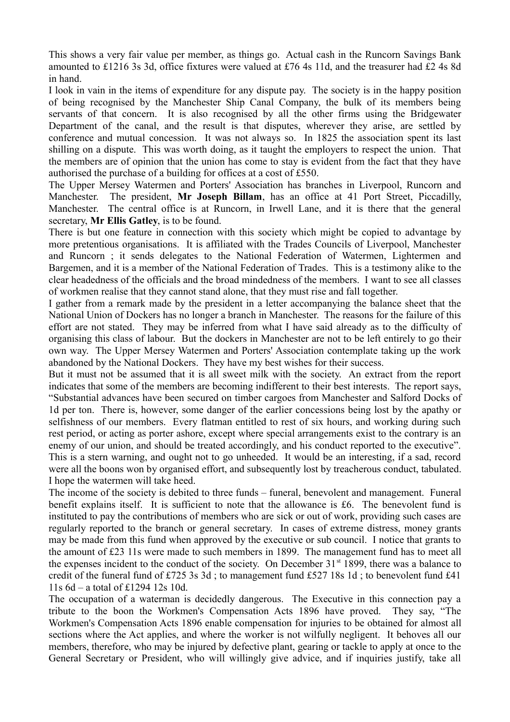This shows a very fair value per member, as things go. Actual cash in the Runcorn Savings Bank amounted to £1216 3s 3d, office fixtures were valued at £76 4s 11d, and the treasurer had £2 4s 8d in hand.

I look in vain in the items of expenditure for any dispute pay. The society is in the happy position of being recognised by the Manchester Ship Canal Company, the bulk of its members being servants of that concern. It is also recognised by all the other firms using the Bridgewater Department of the canal, and the result is that disputes, wherever they arise, are settled by conference and mutual concession. It was not always so. In 1825 the association spent its last shilling on a dispute. This was worth doing, as it taught the employers to respect the union. That the members are of opinion that the union has come to stay is evident from the fact that they have authorised the purchase of a building for offices at a cost of £550.

The Upper Mersey Watermen and Porters' Association has branches in Liverpool, Runcorn and Manchester. The president, **Mr Joseph Billam**, has an office at 41 Port Street, Piccadilly, Manchester. The central office is at Runcorn, in Irwell Lane, and it is there that the general secretary, **Mr Ellis Gatley**, is to be found.

There is but one feature in connection with this society which might be copied to advantage by more pretentious organisations. It is affiliated with the Trades Councils of Liverpool, Manchester and Runcorn ; it sends delegates to the National Federation of Watermen, Lightermen and Bargemen, and it is a member of the National Federation of Trades. This is a testimony alike to the clear headedness of the officials and the broad mindedness of the members. I want to see all classes of workmen realise that they cannot stand alone, that they must rise and fall together.

I gather from a remark made by the president in a letter accompanying the balance sheet that the National Union of Dockers has no longer a branch in Manchester. The reasons for the failure of this effort are not stated. They may be inferred from what I have said already as to the difficulty of organising this class of labour. But the dockers in Manchester are not to be left entirely to go their own way. The Upper Mersey Watermen and Porters' Association contemplate taking up the work abandoned by the National Dockers. They have my best wishes for their success.

But it must not be assumed that it is all sweet milk with the society. An extract from the report indicates that some of the members are becoming indifferent to their best interests. The report says, "Substantial advances have been secured on timber cargoes from Manchester and Salford Docks of 1d per ton. There is, however, some danger of the earlier concessions being lost by the apathy or selfishness of our members. Every flatman entitled to rest of six hours, and working during such rest period, or acting as porter ashore, except where special arrangements exist to the contrary is an enemy of our union, and should be treated accordingly, and his conduct reported to the executive". This is a stern warning, and ought not to go unheeded. It would be an interesting, if a sad, record were all the boons won by organised effort, and subsequently lost by treacherous conduct, tabulated. I hope the watermen will take heed.

The income of the society is debited to three funds – funeral, benevolent and management. Funeral benefit explains itself. It is sufficient to note that the allowance is £6. The benevolent fund is instituted to pay the contributions of members who are sick or out of work, providing such cases are regularly reported to the branch or general secretary. In cases of extreme distress, money grants may be made from this fund when approved by the executive or sub council. I notice that grants to the amount of £23 11s were made to such members in 1899. The management fund has to meet all the expenses incident to the conduct of the society. On December 31<sup>st</sup> 1899, there was a balance to credit of the funeral fund of £725 3s 3d; to management fund £527 18s 1d; to benevolent fund £41 11s 6d – a total of £1294 12s 10d.

The occupation of a waterman is decidedly dangerous. The Executive in this connection pay a tribute to the boon the Workmen's Compensation Acts 1896 have proved. They say, "The Workmen's Compensation Acts 1896 enable compensation for injuries to be obtained for almost all sections where the Act applies, and where the worker is not wilfully negligent. It behoves all our members, therefore, who may be injured by defective plant, gearing or tackle to apply at once to the General Secretary or President, who will willingly give advice, and if inquiries justify, take all